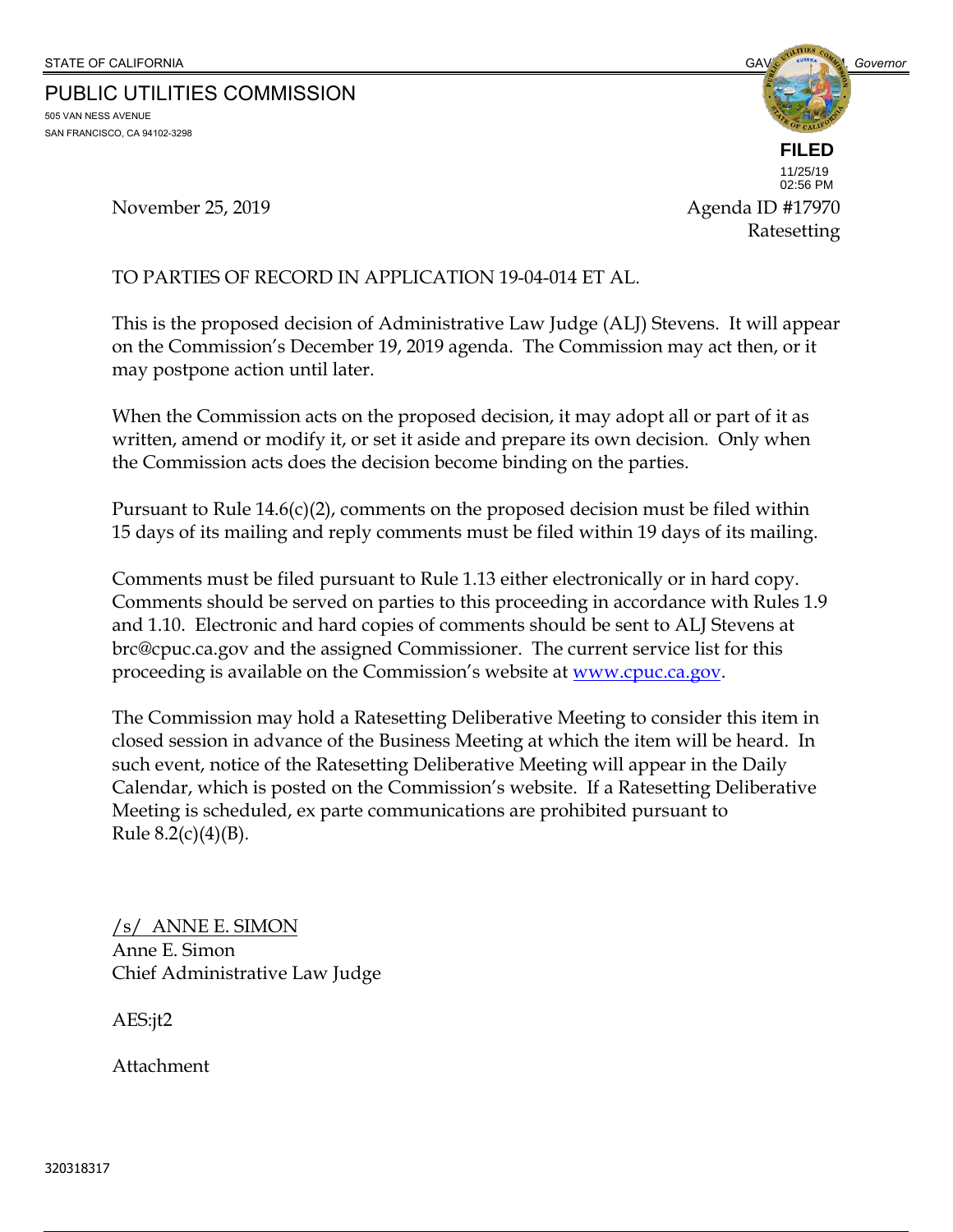PUBLIC UTILITIES COMMISSION

505 VAN NESS AVENUE SAN FRANCISCO, CA 94102-3298



Ratesetting 11/25/19 02:56 PM

November 25, 2019 **Agenda ID** #17970

#### TO PARTIES OF RECORD IN APPLICATION 19-04-014 ET AL.

This is the proposed decision of Administrative Law Judge (ALJ) Stevens. It will appear on the Commission's December 19, 2019 agenda. The Commission may act then, or it may postpone action until later.

When the Commission acts on the proposed decision, it may adopt all or part of it as written, amend or modify it, or set it aside and prepare its own decision. Only when the Commission acts does the decision become binding on the parties.

Pursuant to Rule 14.6(c)(2), comments on the proposed decision must be filed within 15 days of its mailing and reply comments must be filed within 19 days of its mailing.

Comments must be filed pursuant to Rule 1.13 either electronically or in hard copy. Comments should be served on parties to this proceeding in accordance with Rules 1.9 and 1.10. Electronic and hard copies of comments should be sent to ALJ Stevens at brc@cpuc.ca.gov and the assigned Commissioner. The current service list for this proceeding is available on the Commission's website at <u>www.cpuc.ca.gov</u>.

The Commission may hold a Ratesetting Deliberative Meeting to consider this item in closed session in advance of the Business Meeting at which the item will be heard. In such event, notice of the Ratesetting Deliberative Meeting will appear in the Daily Calendar, which is posted on the Commission's website. If a Ratesetting Deliberative Meeting is scheduled, ex parte communications are prohibited pursuant to Rule  $8.2(c)(4)(B)$ .

/s/ ANNE E. SIMON Anne E. Simon Chief Administrative Law Judge

AES:jt2

Attachment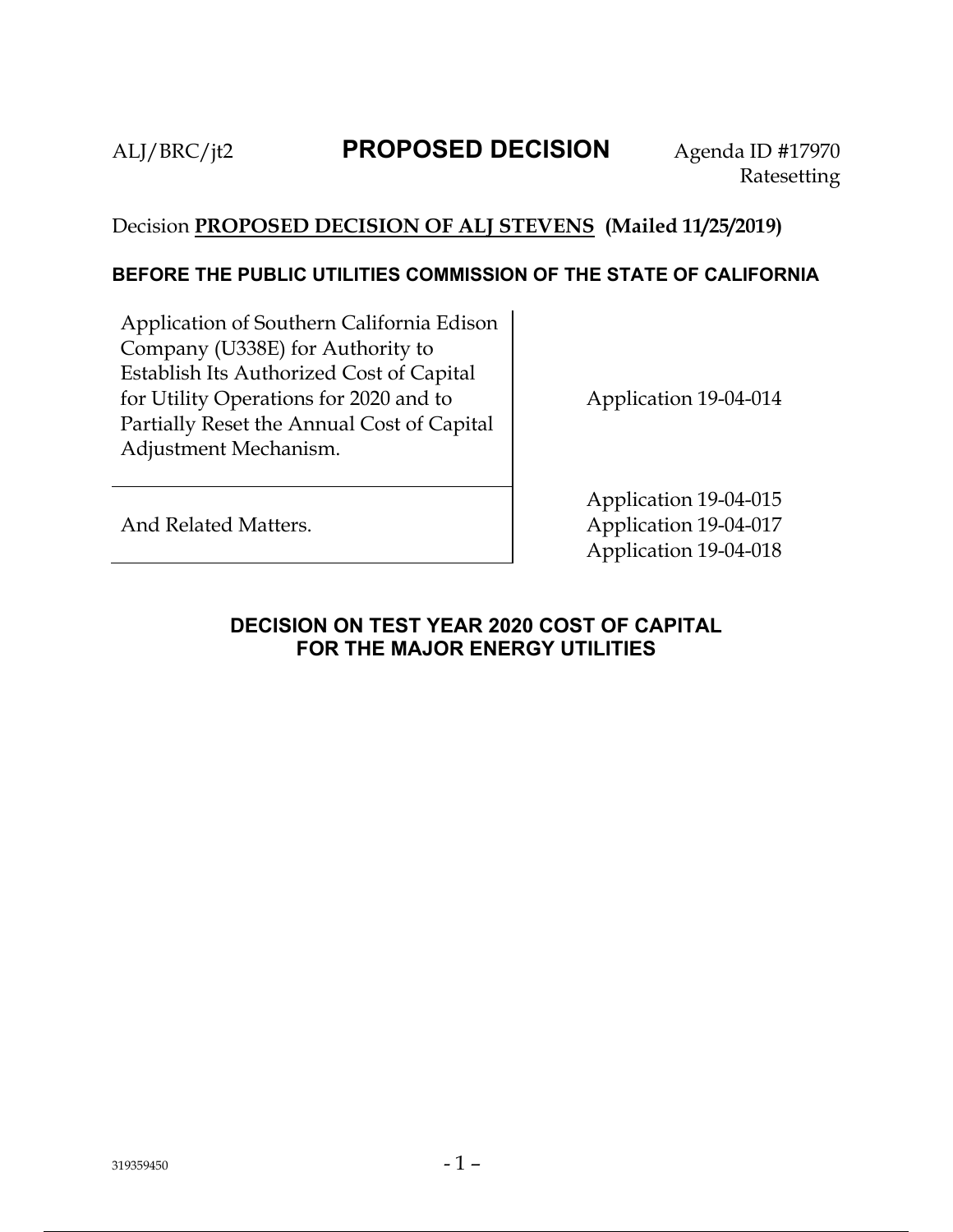# ALJ/BRC/jt2 **PROPOSED DECISION** Agenda ID #17970

## Decision **PROPOSED DECISION OF ALJ STEVENS (Mailed 11/25/2019)**

### **BEFORE THE PUBLIC UTILITIES COMMISSION OF THE STATE OF CALIFORNIA**

Application of Southern California Edison Company (U338E) for Authority to Establish Its Authorized Cost of Capital for Utility Operations for 2020 and to Partially Reset the Annual Cost of Capital Adjustment Mechanism.

Application 19-04-014

And Related Matters.

Application 19-04-015 Application 19-04-017 Application 19-04-018

## **DECISION ON TEST YEAR 2020 COST OF CAPITAL FOR THE MAJOR ENERGY UTILITIES**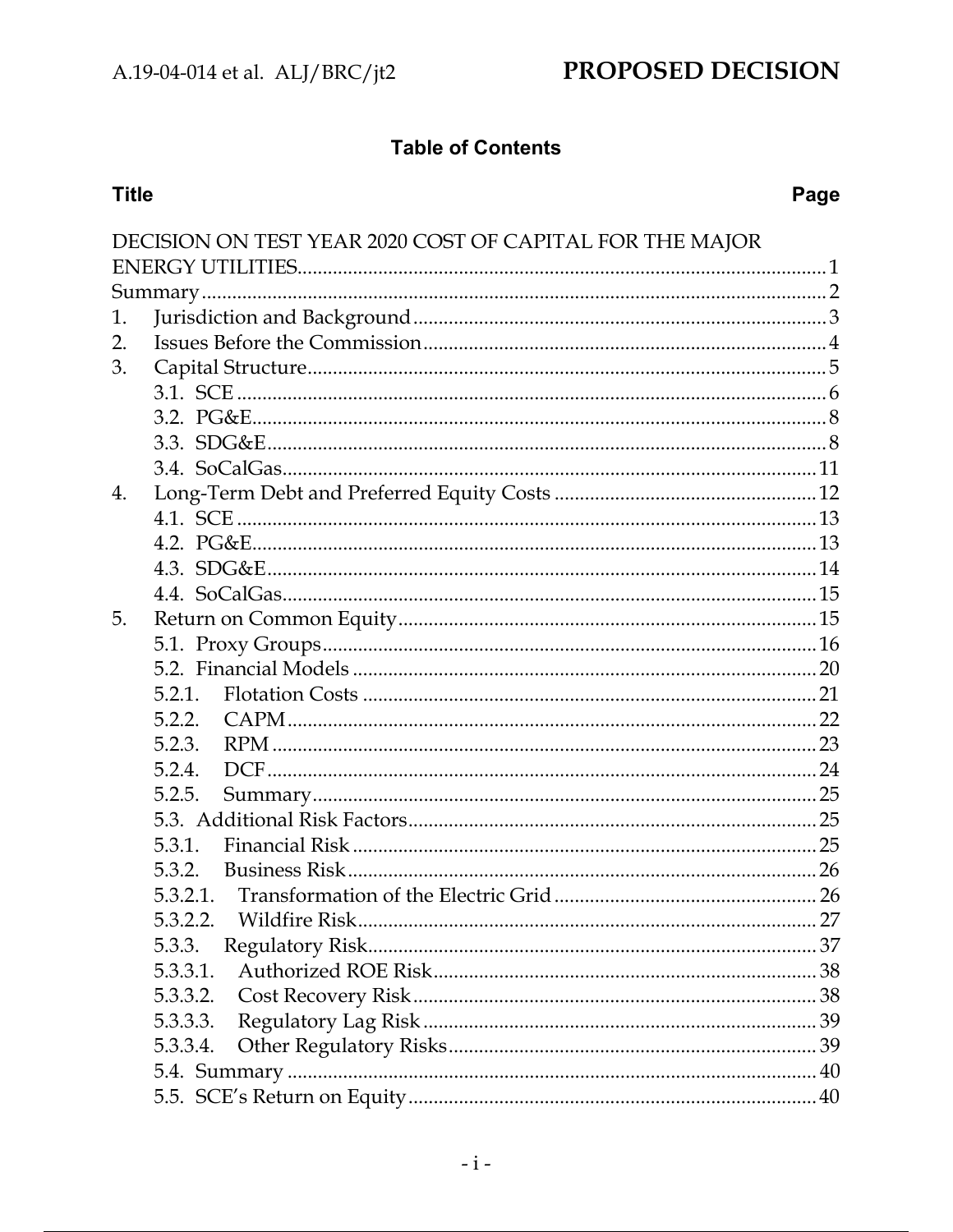## **Table of Contents**

## **Title**

## Page

|    | DECISION ON TEST YEAR 2020 COST OF CAPITAL FOR THE MAJOR |    |
|----|----------------------------------------------------------|----|
|    |                                                          |    |
|    |                                                          |    |
| 1. |                                                          |    |
| 2. |                                                          |    |
| 3. |                                                          |    |
|    |                                                          |    |
|    |                                                          |    |
|    |                                                          |    |
|    |                                                          |    |
| 4. |                                                          |    |
|    |                                                          |    |
|    |                                                          |    |
|    |                                                          |    |
|    |                                                          |    |
| 5. |                                                          |    |
|    |                                                          |    |
|    |                                                          |    |
|    |                                                          |    |
|    | 5.2.2.                                                   |    |
|    | 5.2.3.                                                   |    |
|    | 5.2.4.                                                   |    |
|    | 5.2.5.                                                   |    |
|    |                                                          |    |
|    | 5.3.1.                                                   |    |
|    | 5.3.2.                                                   |    |
|    | 5.3.2.1.                                                 |    |
|    | 5.3.2.2. Wildfire Risk                                   | 27 |
|    | 5.3.3.                                                   |    |
|    |                                                          |    |
|    | 5.3.3.2.                                                 |    |
|    | 5.3.3.3.                                                 |    |
|    | 5.3.3.4.                                                 |    |
|    |                                                          |    |
|    |                                                          |    |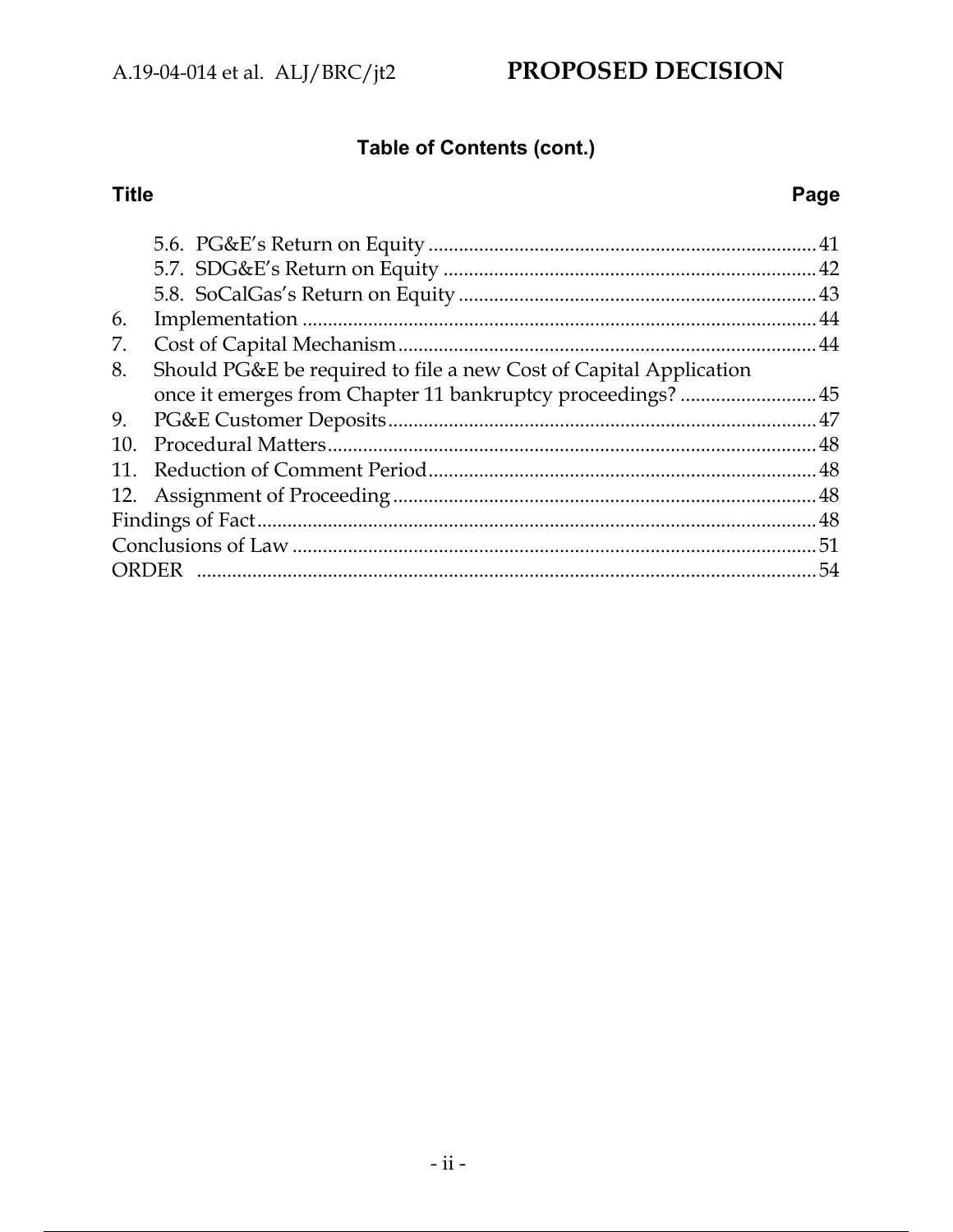# PROPOSED DECISION

# Table of Contents (cont.)

## **Title**

## Page

| 6.  |                                                                   |    |
|-----|-------------------------------------------------------------------|----|
| 7.  |                                                                   |    |
| 8.  | Should PG&E be required to file a new Cost of Capital Application |    |
|     |                                                                   |    |
| 9.  |                                                                   |    |
| 10. |                                                                   |    |
| 11. |                                                                   |    |
|     |                                                                   |    |
|     |                                                                   |    |
|     |                                                                   |    |
|     |                                                                   | 54 |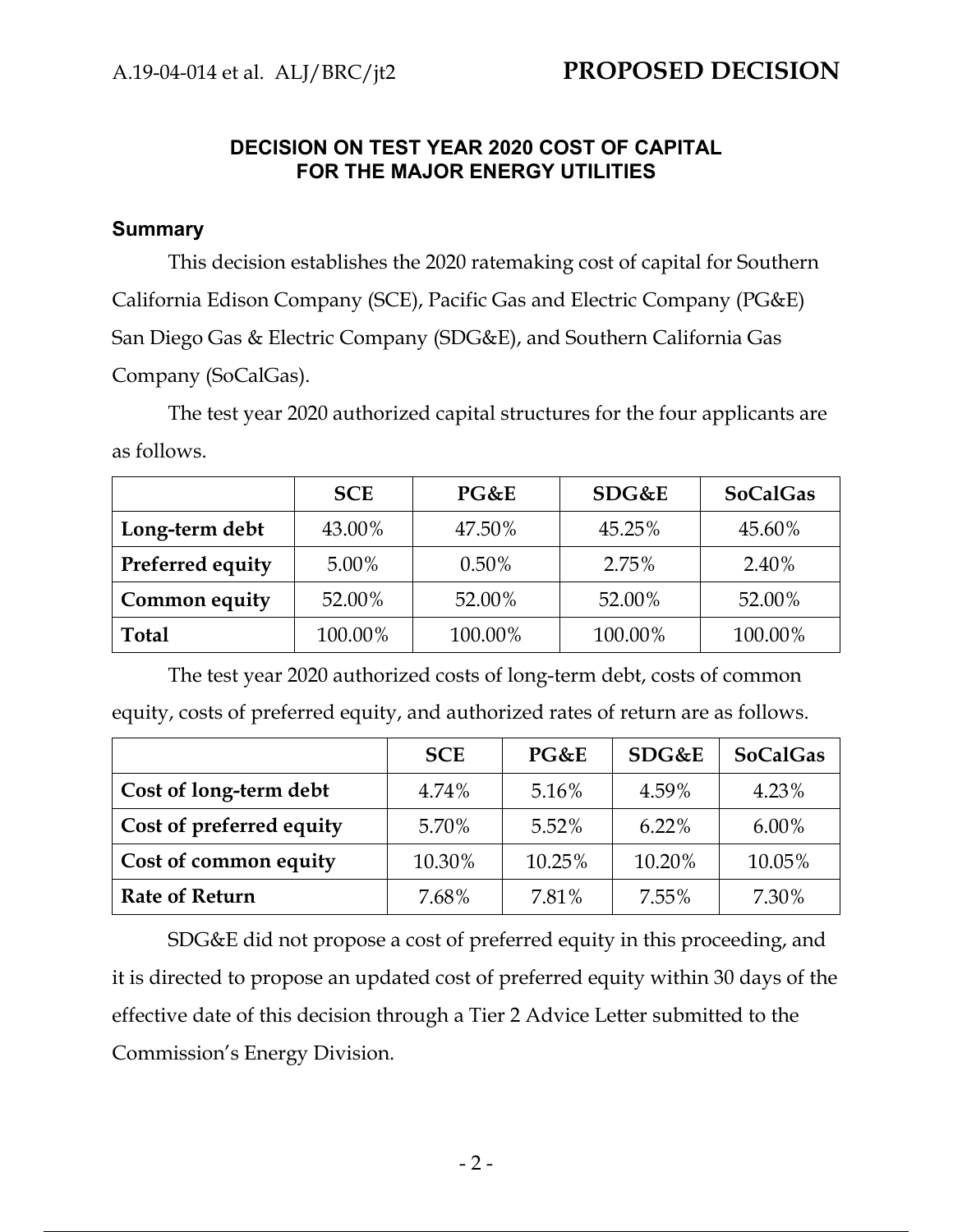### **DECISION ON TEST YEAR 2020 COST OF CAPITAL FOR THE MAJOR ENERGY UTILITIES**

### **Summary**

This decision establishes the 2020 ratemaking cost of capital for Southern California Edison Company (SCE), Pacific Gas and Electric Company (PG&E) San Diego Gas & Electric Company (SDG&E), and Southern California Gas Company (SoCalGas).

The test year 2020 authorized capital structures for the four applicants are as follows.

|                  | <b>SCE</b> | PG&E     | SDG&E   | <b>SoCalGas</b> |
|------------------|------------|----------|---------|-----------------|
| Long-term debt   | 43.00%     | 47.50%   | 45.25%  | 45.60%          |
| Preferred equity | 5.00%      | $0.50\%$ | 2.75%   | 2.40%           |
| Common equity    | 52.00%     | 52.00%   | 52.00%  | 52.00%          |
| <b>Total</b>     | 100.00%    | 100.00%  | 100.00% | 100.00%         |

The test year 2020 authorized costs of long-term debt, costs of common equity, costs of preferred equity, and authorized rates of return are as follows.

|                          | <b>SCE</b> | PG&E   | SDG&E    | <b>SoCalGas</b> |
|--------------------------|------------|--------|----------|-----------------|
| Cost of long-term debt   | 4.74%      | 5.16%  | 4.59%    | 4.23%           |
| Cost of preferred equity | 5.70%      | 5.52%  | $6.22\%$ | $6.00\%$        |
| Cost of common equity    | 10.30%     | 10.25% | 10.20%   | 10.05%          |
| <b>Rate of Return</b>    | 7.68%      | 7.81%  | 7.55%    | 7.30%           |

SDG&E did not propose a cost of preferred equity in this proceeding, and it is directed to propose an updated cost of preferred equity within 30 days of the effective date of this decision through a Tier 2 Advice Letter submitted to the Commission's Energy Division.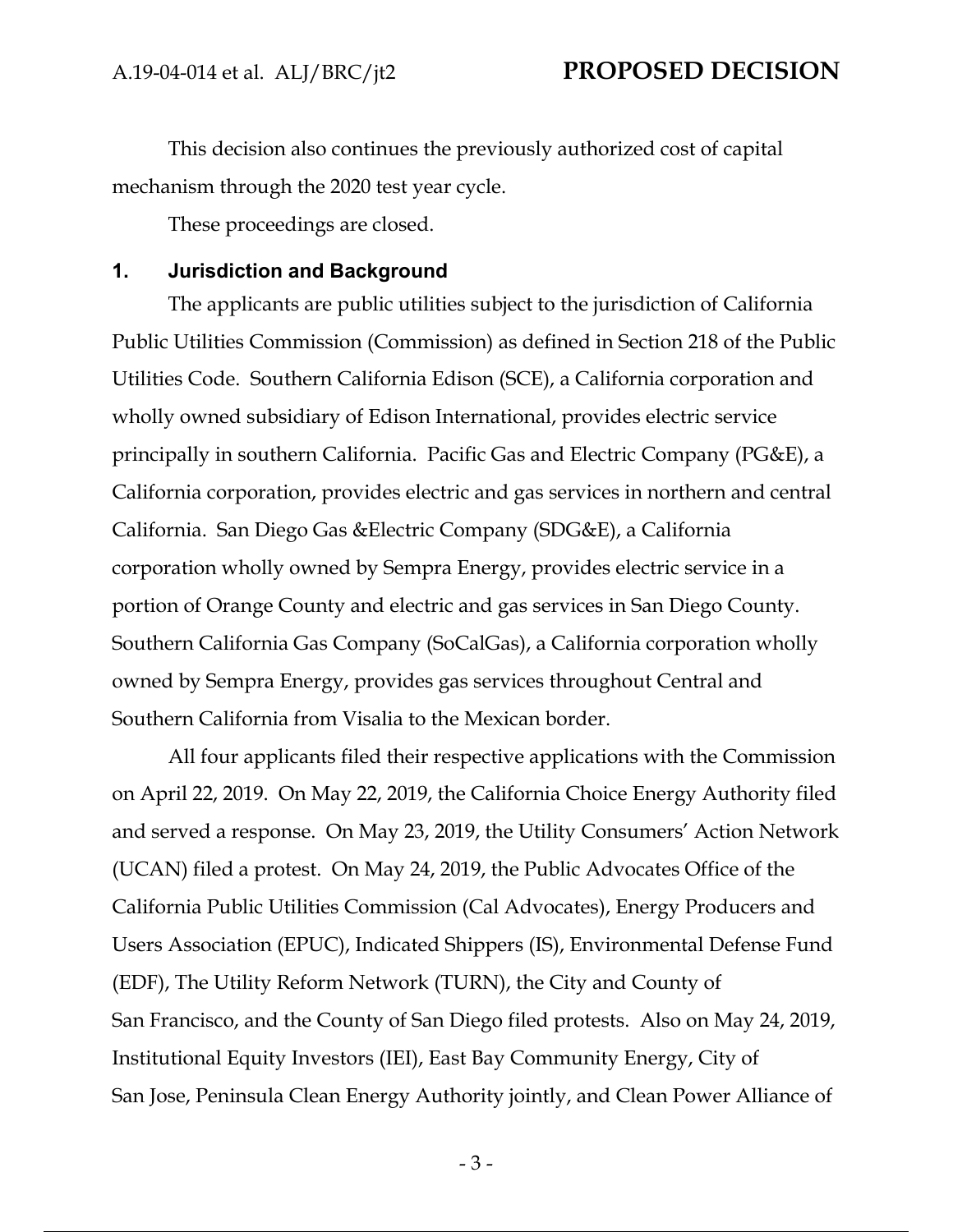This decision also continues the previously authorized cost of capital mechanism through the 2020 test year cycle.

These proceedings are closed.

#### **1. Jurisdiction and Background**

The applicants are public utilities subject to the jurisdiction of California Public Utilities Commission (Commission) as defined in Section 218 of the Public Utilities Code. Southern California Edison (SCE), a California corporation and wholly owned subsidiary of Edison International, provides electric service principally in southern California. Pacific Gas and Electric Company (PG&E), a California corporation, provides electric and gas services in northern and central California. San Diego Gas &Electric Company (SDG&E), a California corporation wholly owned by Sempra Energy, provides electric service in a portion of Orange County and electric and gas services in San Diego County. Southern California Gas Company (SoCalGas), a California corporation wholly owned by Sempra Energy, provides gas services throughout Central and Southern California from Visalia to the Mexican border.

All four applicants filed their respective applications with the Commission on April 22, 2019. On May 22, 2019, the California Choice Energy Authority filed and served a response. On May 23, 2019, the Utility Consumers' Action Network (UCAN) filed a protest. On May 24, 2019, the Public Advocates Office of the California Public Utilities Commission (Cal Advocates), Energy Producers and Users Association (EPUC), Indicated Shippers (IS), Environmental Defense Fund (EDF), The Utility Reform Network (TURN), the City and County of San Francisco, and the County of San Diego filed protests. Also on May 24, 2019, Institutional Equity Investors (IEI), East Bay Community Energy, City of San Jose, Peninsula Clean Energy Authority jointly, and Clean Power Alliance of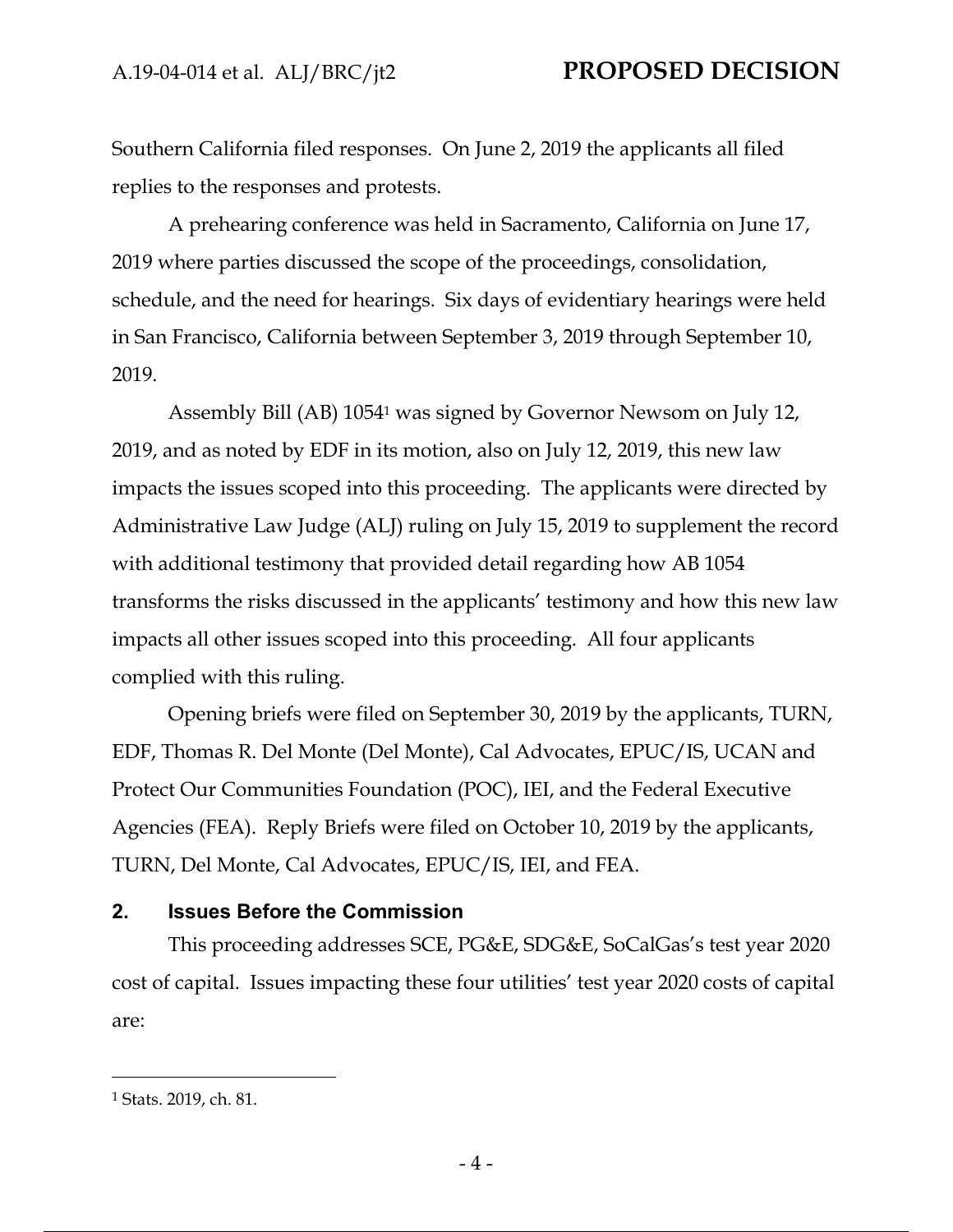Southern California filed responses. On June 2, 2019 the applicants all filed replies to the responses and protests.

A prehearing conference was held in Sacramento, California on June 17, 2019 where parties discussed the scope of the proceedings, consolidation, schedule, and the need for hearings. Six days of evidentiary hearings were held in San Francisco, California between September 3, 2019 through September 10, 2019.

Assembly Bill (AB) 10541 was signed by Governor Newsom on July 12, 2019, and as noted by EDF in its motion, also on July 12, 2019, this new law impacts the issues scoped into this proceeding. The applicants were directed by Administrative Law Judge (ALJ) ruling on July 15, 2019 to supplement the record with additional testimony that provided detail regarding how AB 1054 transforms the risks discussed in the applicants' testimony and how this new law impacts all other issues scoped into this proceeding. All four applicants complied with this ruling.

Opening briefs were filed on September 30, 2019 by the applicants, TURN, EDF, Thomas R. Del Monte (Del Monte), Cal Advocates, EPUC/IS, UCAN and Protect Our Communities Foundation (POC), IEI, and the Federal Executive Agencies (FEA). Reply Briefs were filed on October 10, 2019 by the applicants, TURN, Del Monte, Cal Advocates, EPUC/IS, IEI, and FEA.

#### **2. Issues Before the Commission**

This proceeding addresses SCE, PG&E, SDG&E, SoCalGas's test year 2020 cost of capital. Issues impacting these four utilities' test year 2020 costs of capital are:

<sup>1</sup> Stats. 2019, ch. 81.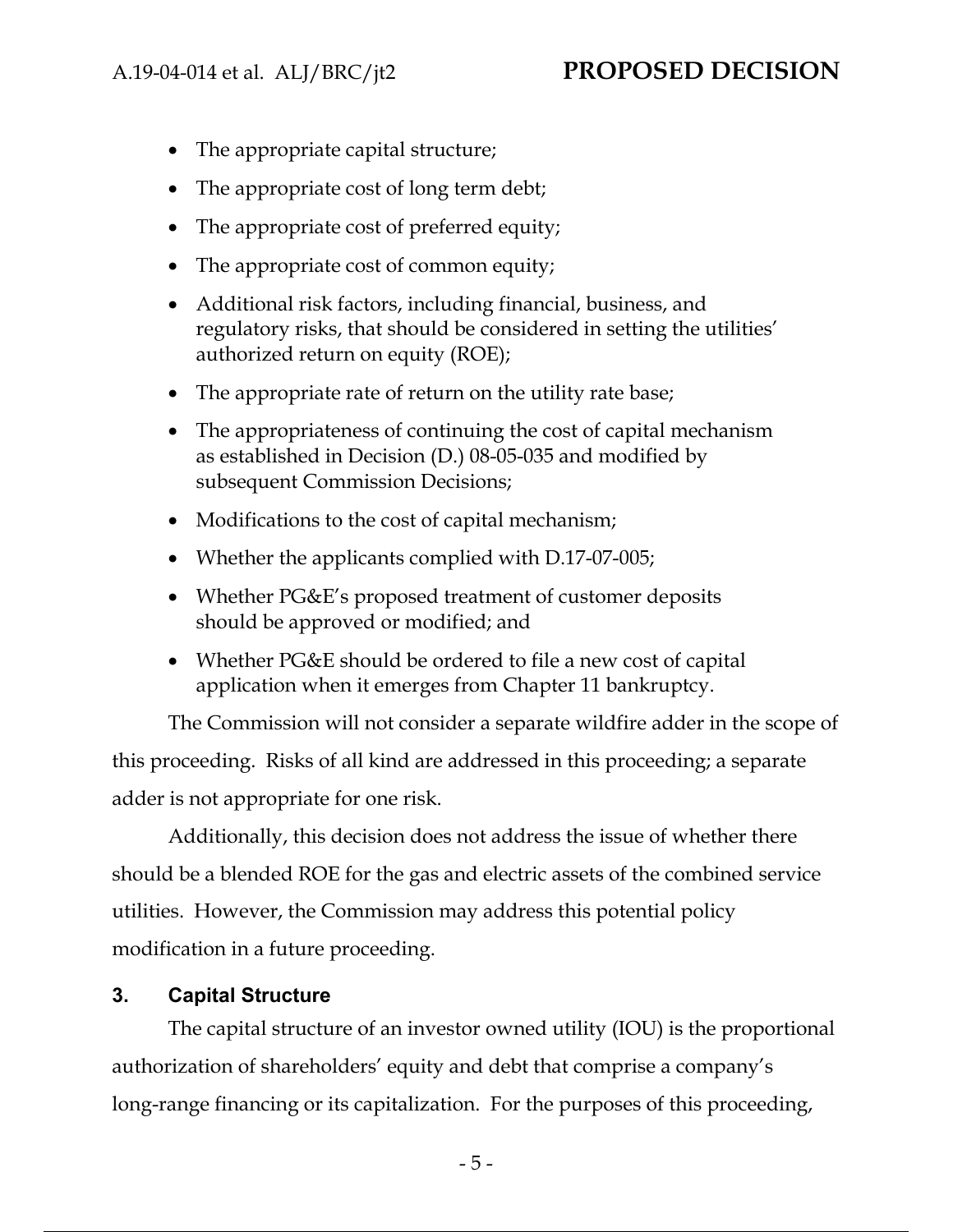- The appropriate capital structure;
- The appropriate cost of long term debt;
- The appropriate cost of preferred equity;
- The appropriate cost of common equity;
- Additional risk factors, including financial, business, and regulatory risks, that should be considered in setting the utilities' authorized return on equity (ROE);
- The appropriate rate of return on the utility rate base;
- The appropriateness of continuing the cost of capital mechanism as established in Decision (D.) 08-05-035 and modified by subsequent Commission Decisions;
- Modifications to the cost of capital mechanism;
- Whether the applicants complied with D.17-07-005;
- Whether PG&E's proposed treatment of customer deposits should be approved or modified; and
- Whether PG&E should be ordered to file a new cost of capital application when it emerges from Chapter 11 bankruptcy.

The Commission will not consider a separate wildfire adder in the scope of this proceeding. Risks of all kind are addressed in this proceeding; a separate adder is not appropriate for one risk.

Additionally, this decision does not address the issue of whether there should be a blended ROE for the gas and electric assets of the combined service utilities. However, the Commission may address this potential policy modification in a future proceeding.

## **3. Capital Structure**

The capital structure of an investor owned utility (IOU) is the proportional authorization of shareholders' equity and debt that comprise a company's long-range financing or its capitalization. For the purposes of this proceeding,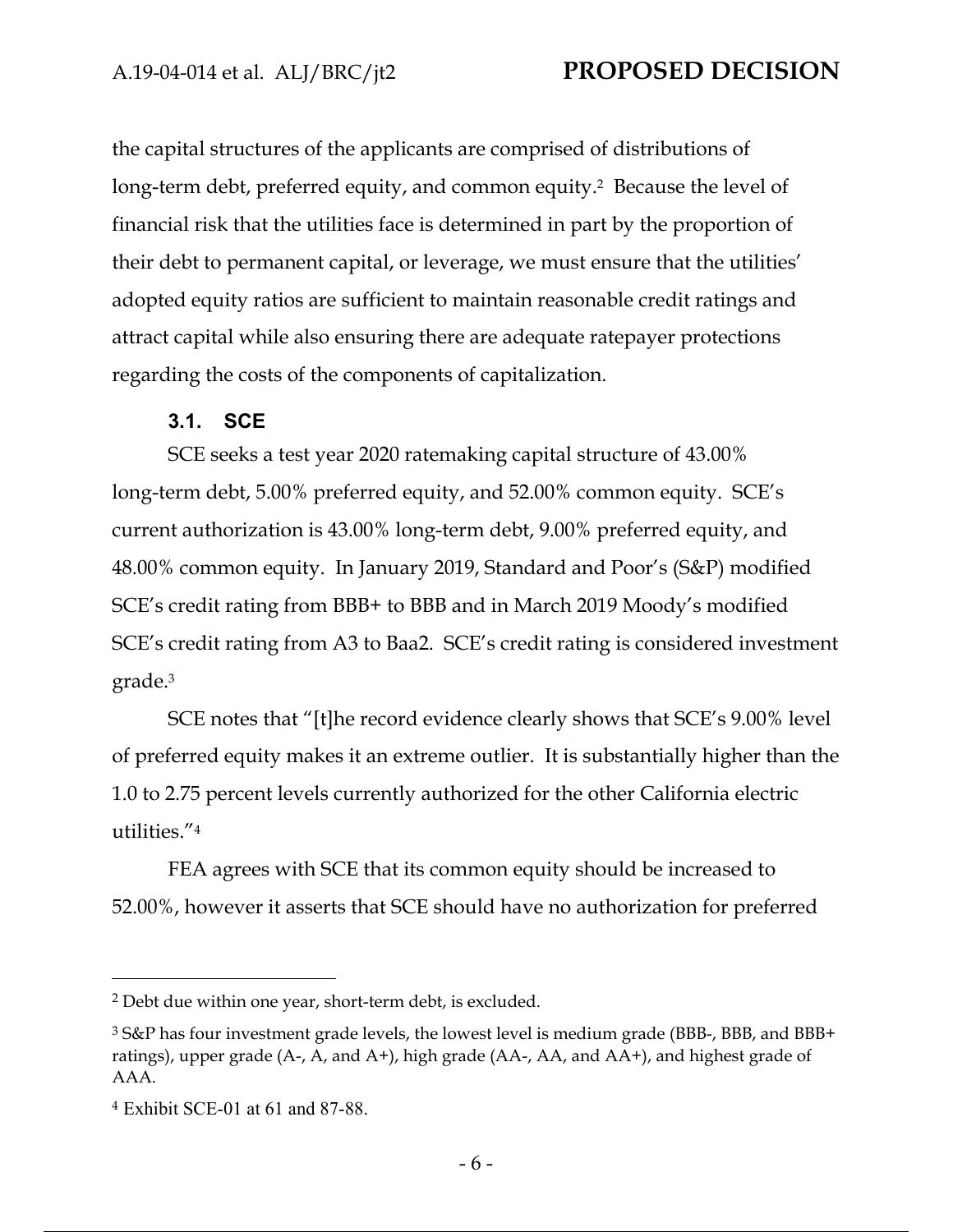the capital structures of the applicants are comprised of distributions of long-term debt, preferred equity, and common equity.2 Because the level of financial risk that the utilities face is determined in part by the proportion of their debt to permanent capital, or leverage, we must ensure that the utilities' adopted equity ratios are sufficient to maintain reasonable credit ratings and attract capital while also ensuring there are adequate ratepayer protections regarding the costs of the components of capitalization.

### **3.1. SCE**

SCE seeks a test year 2020 ratemaking capital structure of 43.00% long-term debt, 5.00% preferred equity, and 52.00% common equity. SCE's current authorization is 43.00% long-term debt, 9.00% preferred equity, and 48.00% common equity. In January 2019, Standard and Poor's (S&P) modified SCE's credit rating from BBB+ to BBB and in March 2019 Moody's modified SCE's credit rating from A3 to Baa2. SCE's credit rating is considered investment grade.3

SCE notes that "[t]he record evidence clearly shows that SCE's 9.00% level of preferred equity makes it an extreme outlier. It is substantially higher than the 1.0 to 2.75 percent levels currently authorized for the other California electric utilities."4

FEA agrees with SCE that its common equity should be increased to 52.00%, however it asserts that SCE should have no authorization for preferred

<sup>2</sup> Debt due within one year, short-term debt, is excluded.

<sup>3</sup> S&P has four investment grade levels, the lowest level is medium grade (BBB-, BBB, and BBB+ ratings), upper grade (A-, A, and A+), high grade (AA-, AA, and AA+), and highest grade of AAA.

<sup>4</sup> Exhibit SCE-01 at 61 and 87-88.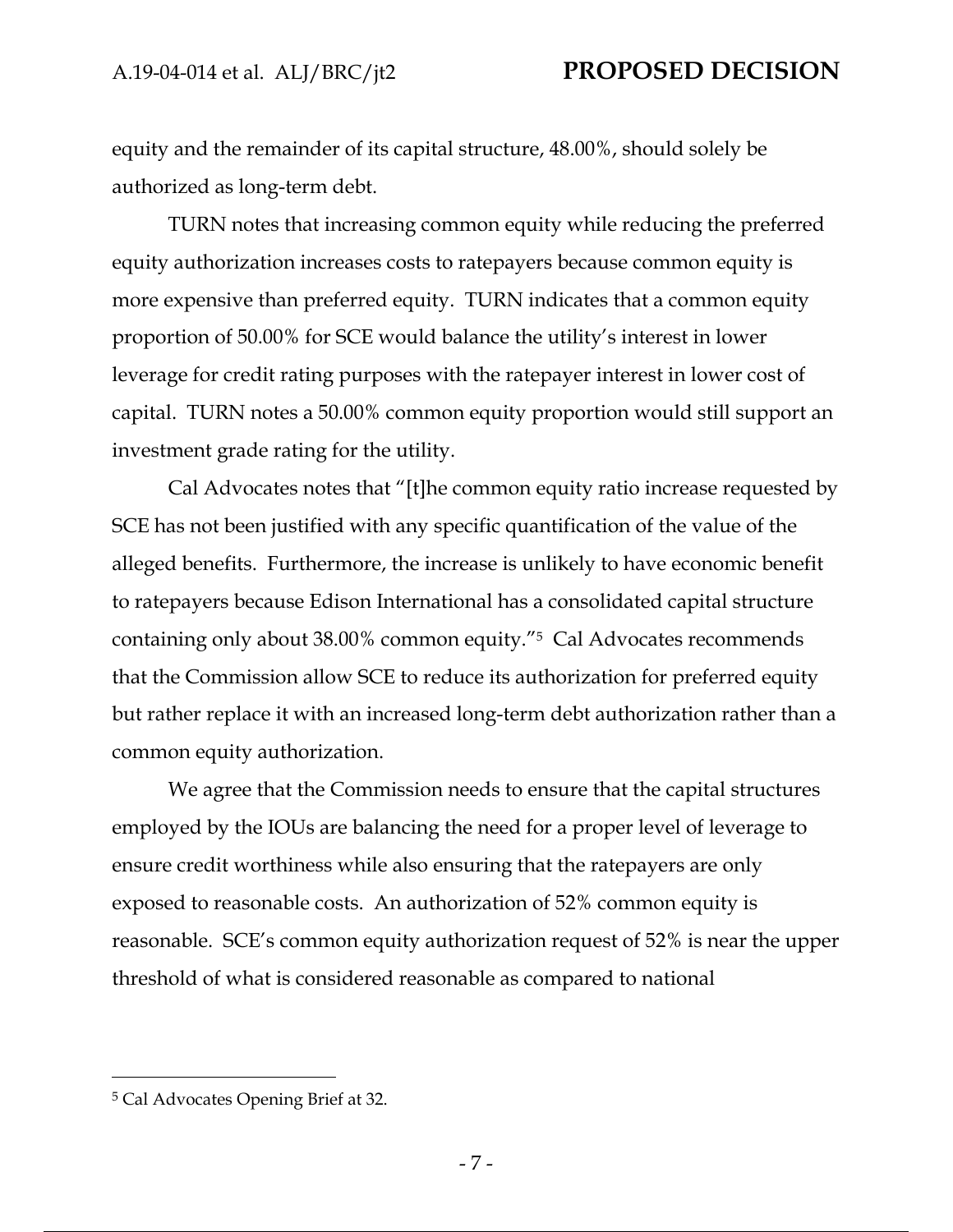equity and the remainder of its capital structure, 48.00%, should solely be authorized as long-term debt.

TURN notes that increasing common equity while reducing the preferred equity authorization increases costs to ratepayers because common equity is more expensive than preferred equity. TURN indicates that a common equity proportion of 50.00% for SCE would balance the utility's interest in lower leverage for credit rating purposes with the ratepayer interest in lower cost of capital. TURN notes a 50.00% common equity proportion would still support an investment grade rating for the utility.

Cal Advocates notes that "[t]he common equity ratio increase requested by SCE has not been justified with any specific quantification of the value of the alleged benefits. Furthermore, the increase is unlikely to have economic benefit to ratepayers because Edison International has a consolidated capital structure containing only about 38.00% common equity."5 Cal Advocates recommends that the Commission allow SCE to reduce its authorization for preferred equity but rather replace it with an increased long-term debt authorization rather than a common equity authorization.

We agree that the Commission needs to ensure that the capital structures employed by the IOUs are balancing the need for a proper level of leverage to ensure credit worthiness while also ensuring that the ratepayers are only exposed to reasonable costs. An authorization of 52% common equity is reasonable. SCE's common equity authorization request of 52% is near the upper threshold of what is considered reasonable as compared to national

<sup>5</sup> Cal Advocates Opening Brief at 32.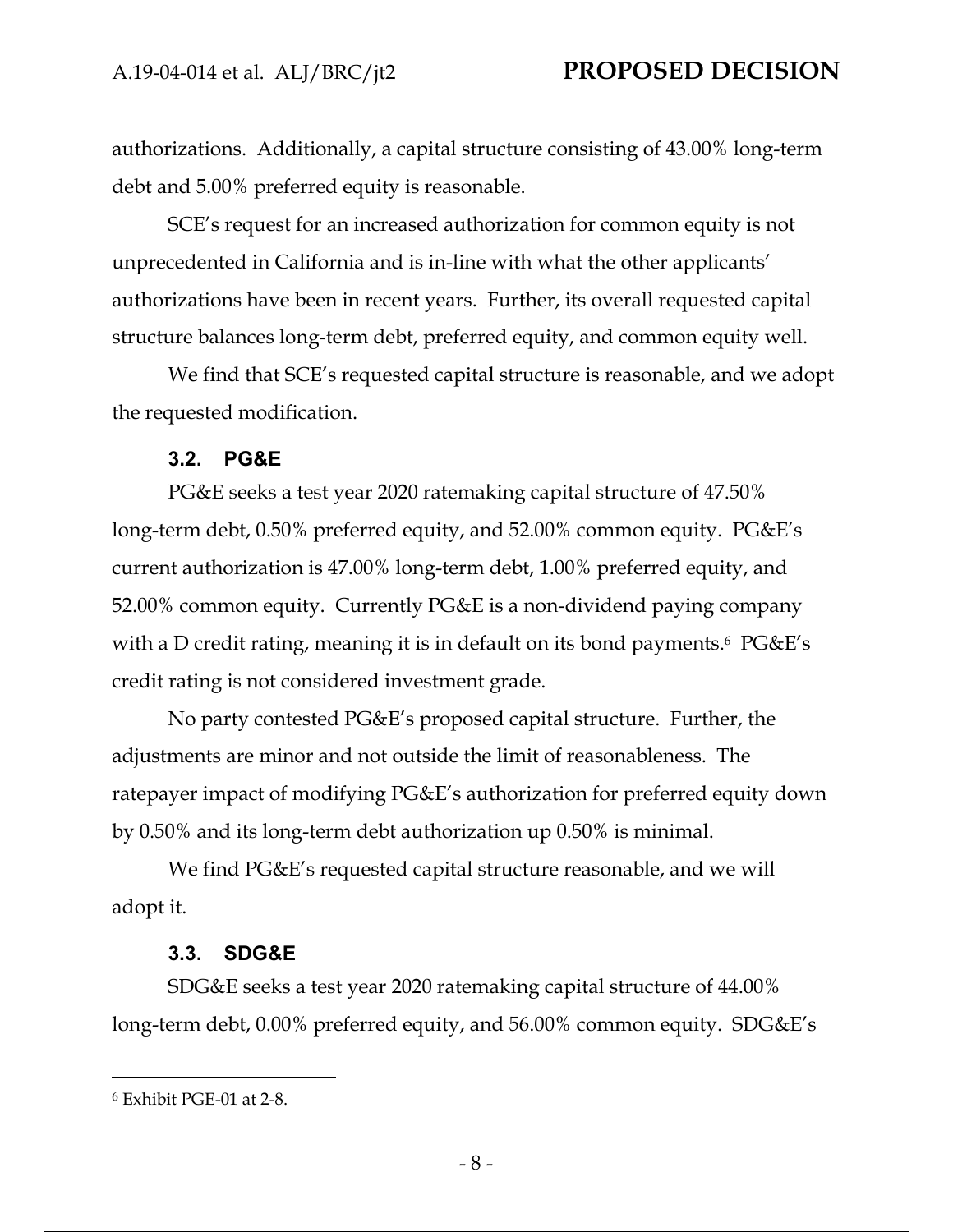authorizations. Additionally, a capital structure consisting of 43.00% long-term debt and 5.00% preferred equity is reasonable.

SCE's request for an increased authorization for common equity is not unprecedented in California and is in-line with what the other applicants' authorizations have been in recent years. Further, its overall requested capital structure balances long-term debt, preferred equity, and common equity well.

We find that SCE's requested capital structure is reasonable, and we adopt the requested modification.

#### **3.2. PG&E**

PG&E seeks a test year 2020 ratemaking capital structure of 47.50% long-term debt, 0.50% preferred equity, and 52.00% common equity. PG&E's current authorization is 47.00% long-term debt, 1.00% preferred equity, and 52.00% common equity. Currently PG&E is a non-dividend paying company with a D credit rating, meaning it is in default on its bond payments.<sup>6</sup> PG&E's credit rating is not considered investment grade.

No party contested PG&E's proposed capital structure. Further, the adjustments are minor and not outside the limit of reasonableness. The ratepayer impact of modifying PG&E's authorization for preferred equity down by 0.50% and its long-term debt authorization up 0.50% is minimal.

We find PG&E's requested capital structure reasonable, and we will adopt it.

#### **3.3. SDG&E**

SDG&E seeks a test year 2020 ratemaking capital structure of 44.00% long-term debt, 0.00% preferred equity, and 56.00% common equity. SDG&E's

<sup>6</sup> Exhibit PGE-01 at 2-8.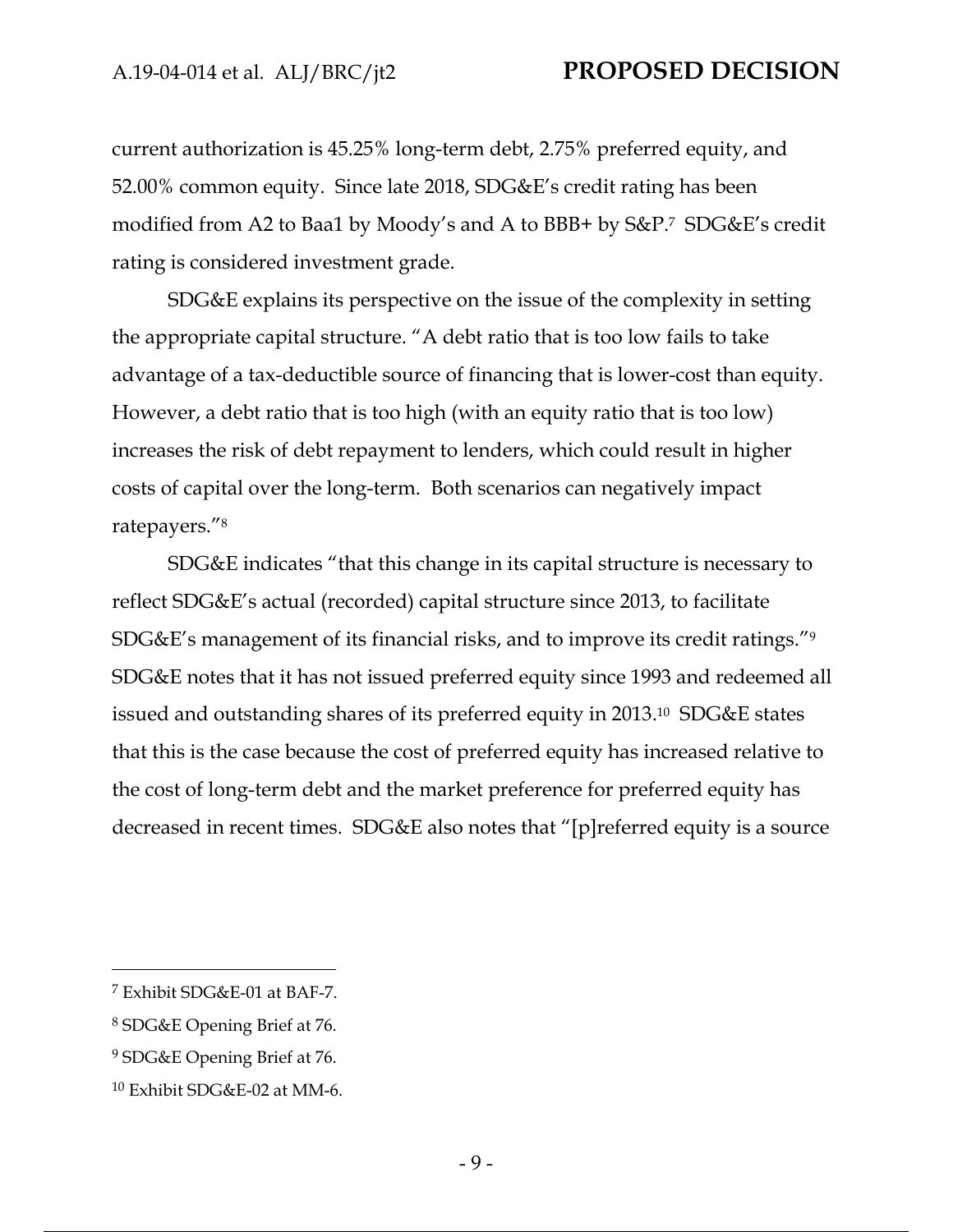current authorization is 45.25% long-term debt, 2.75% preferred equity, and 52.00% common equity. Since late 2018, SDG&E's credit rating has been modified from A2 to Baa1 by Moody's and A to BBB+ by S&P.7 SDG&E's credit rating is considered investment grade.

SDG&E explains its perspective on the issue of the complexity in setting the appropriate capital structure. "A debt ratio that is too low fails to take advantage of a tax-deductible source of financing that is lower-cost than equity. However, a debt ratio that is too high (with an equity ratio that is too low) increases the risk of debt repayment to lenders, which could result in higher costs of capital over the long-term. Both scenarios can negatively impact ratepayers."8

SDG&E indicates "that this change in its capital structure is necessary to reflect SDG&E's actual (recorded) capital structure since 2013, to facilitate SDG&E's management of its financial risks, and to improve its credit ratings."9 SDG&E notes that it has not issued preferred equity since 1993 and redeemed all issued and outstanding shares of its preferred equity in 2013.10 SDG&E states that this is the case because the cost of preferred equity has increased relative to the cost of long-term debt and the market preference for preferred equity has decreased in recent times. SDG&E also notes that "[p]referred equity is a source

<sup>7</sup> Exhibit SDG&E-01 at BAF-7.

<sup>8</sup> SDG&E Opening Brief at 76.

<sup>9</sup> SDG&E Opening Brief at 76.

<sup>10</sup> Exhibit SDG&E-02 at MM-6.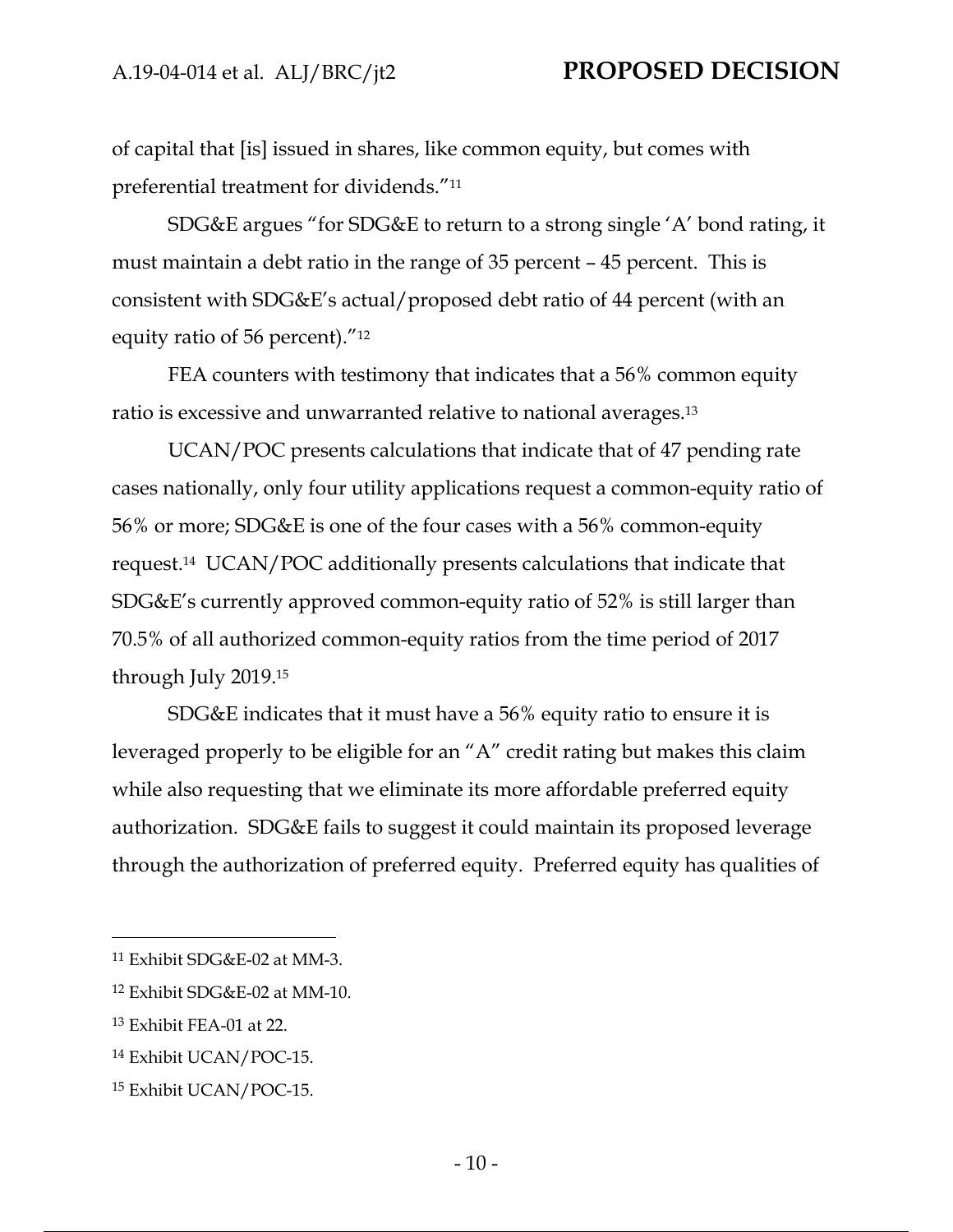of capital that [is] issued in shares, like common equity, but comes with preferential treatment for dividends."11

SDG&E argues "for SDG&E to return to a strong single 'A' bond rating, it must maintain a debt ratio in the range of 35 percent – 45 percent. This is consistent with SDG&E's actual/proposed debt ratio of 44 percent (with an equity ratio of 56 percent)."12

FEA counters with testimony that indicates that a 56% common equity ratio is excessive and unwarranted relative to national averages.13

UCAN/POC presents calculations that indicate that of 47 pending rate cases nationally, only four utility applications request a common-equity ratio of 56% or more; SDG&E is one of the four cases with a 56% common-equity request.14 UCAN/POC additionally presents calculations that indicate that SDG&E's currently approved common-equity ratio of 52% is still larger than 70.5% of all authorized common-equity ratios from the time period of 2017 through July 2019.15

SDG&E indicates that it must have a 56% equity ratio to ensure it is leveraged properly to be eligible for an "A" credit rating but makes this claim while also requesting that we eliminate its more affordable preferred equity authorization. SDG&E fails to suggest it could maintain its proposed leverage through the authorization of preferred equity. Preferred equity has qualities of

<sup>11</sup> Exhibit SDG&E-02 at MM-3.

<sup>12</sup> Exhibit SDG&E-02 at MM-10.

<sup>13</sup> Exhibit FEA-01 at 22.

<sup>14</sup> Exhibit UCAN/POC-15.

<sup>15</sup> Exhibit UCAN/POC-15.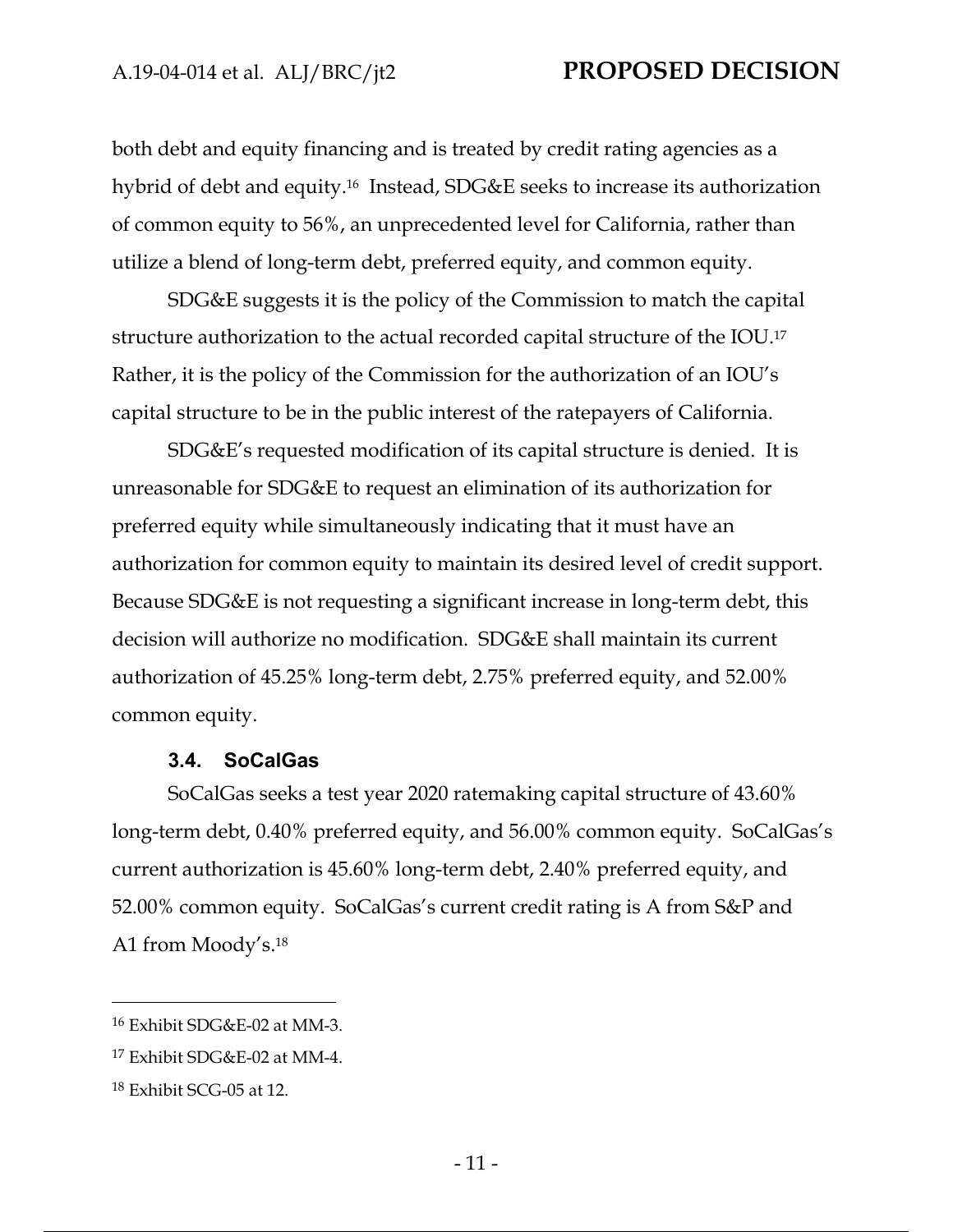both debt and equity financing and is treated by credit rating agencies as a hybrid of debt and equity.16 Instead, SDG&E seeks to increase its authorization of common equity to 56%, an unprecedented level for California, rather than utilize a blend of long-term debt, preferred equity, and common equity.

SDG&E suggests it is the policy of the Commission to match the capital structure authorization to the actual recorded capital structure of the IOU.17 Rather, it is the policy of the Commission for the authorization of an IOU's capital structure to be in the public interest of the ratepayers of California.

SDG&E's requested modification of its capital structure is denied. It is unreasonable for SDG&E to request an elimination of its authorization for preferred equity while simultaneously indicating that it must have an authorization for common equity to maintain its desired level of credit support. Because SDG&E is not requesting a significant increase in long-term debt, this decision will authorize no modification. SDG&E shall maintain its current authorization of 45.25% long-term debt, 2.75% preferred equity, and 52.00% common equity.

#### **3.4. SoCalGas**

SoCalGas seeks a test year 2020 ratemaking capital structure of 43.60% long-term debt, 0.40% preferred equity, and 56.00% common equity. SoCalGas's current authorization is 45.60% long-term debt, 2.40% preferred equity, and 52.00% common equity. SoCalGas's current credit rating is A from S&P and A1 from Moody's.18

<sup>16</sup> Exhibit SDG&E-02 at MM-3.

<sup>17</sup> Exhibit SDG&E-02 at MM-4.

<sup>18</sup> Exhibit SCG-05 at 12.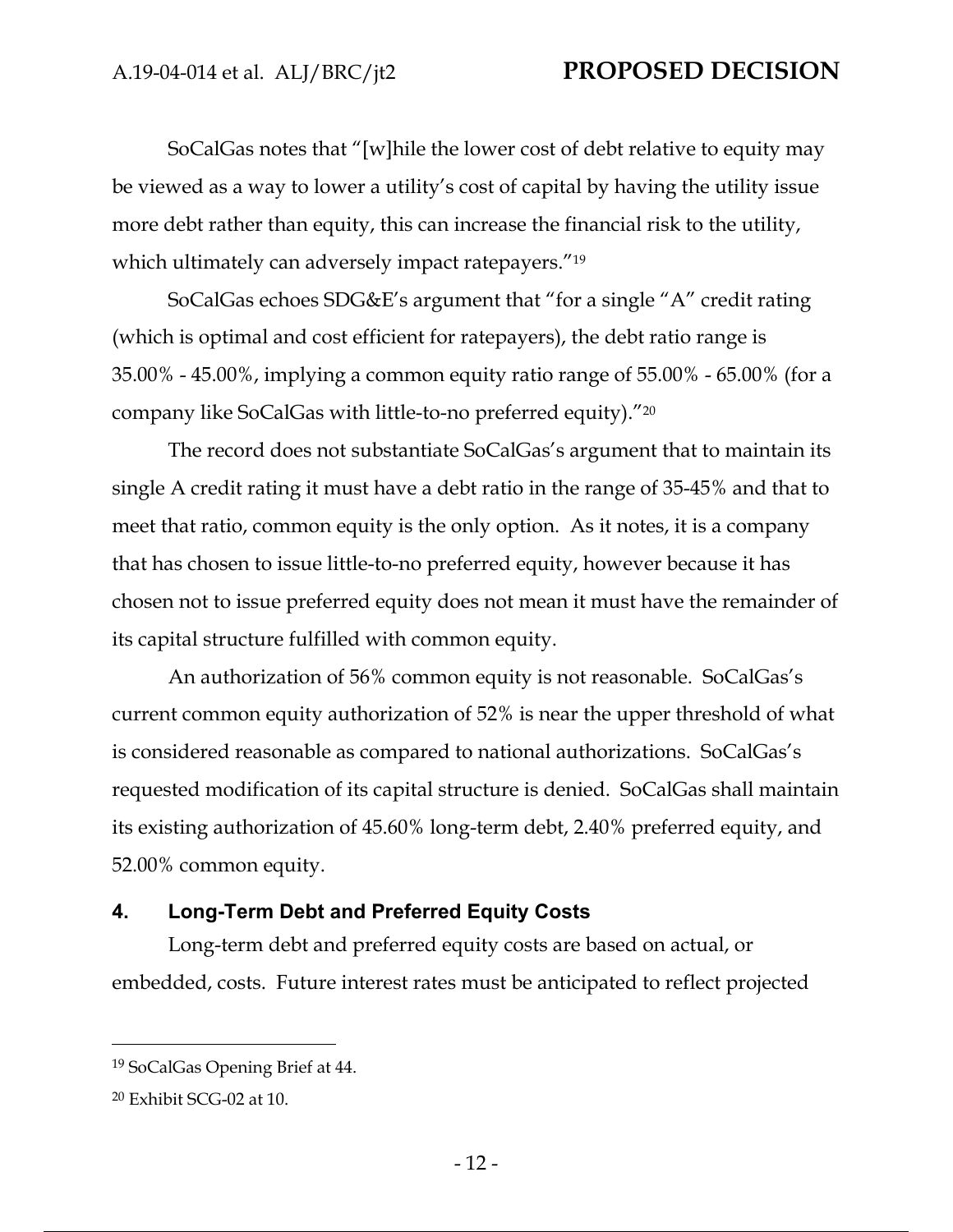SoCalGas notes that "[w]hile the lower cost of debt relative to equity may be viewed as a way to lower a utility's cost of capital by having the utility issue more debt rather than equity, this can increase the financial risk to the utility, which ultimately can adversely impact ratepayers."<sup>19</sup>

SoCalGas echoes SDG&E's argument that "for a single "A" credit rating (which is optimal and cost efficient for ratepayers), the debt ratio range is 35.00% - 45.00%, implying a common equity ratio range of 55.00% - 65.00% (for a company like SoCalGas with little-to-no preferred equity)."20

The record does not substantiate SoCalGas's argument that to maintain its single A credit rating it must have a debt ratio in the range of 35-45% and that to meet that ratio, common equity is the only option. As it notes, it is a company that has chosen to issue little-to-no preferred equity, however because it has chosen not to issue preferred equity does not mean it must have the remainder of its capital structure fulfilled with common equity.

An authorization of 56% common equity is not reasonable. SoCalGas's current common equity authorization of 52% is near the upper threshold of what is considered reasonable as compared to national authorizations. SoCalGas's requested modification of its capital structure is denied. SoCalGas shall maintain its existing authorization of 45.60% long-term debt, 2.40% preferred equity, and 52.00% common equity.

### **4. Long-Term Debt and Preferred Equity Costs**

Long-term debt and preferred equity costs are based on actual, or embedded, costs. Future interest rates must be anticipated to reflect projected

<sup>19</sup> SoCalGas Opening Brief at 44.

<sup>20</sup> Exhibit SCG-02 at 10.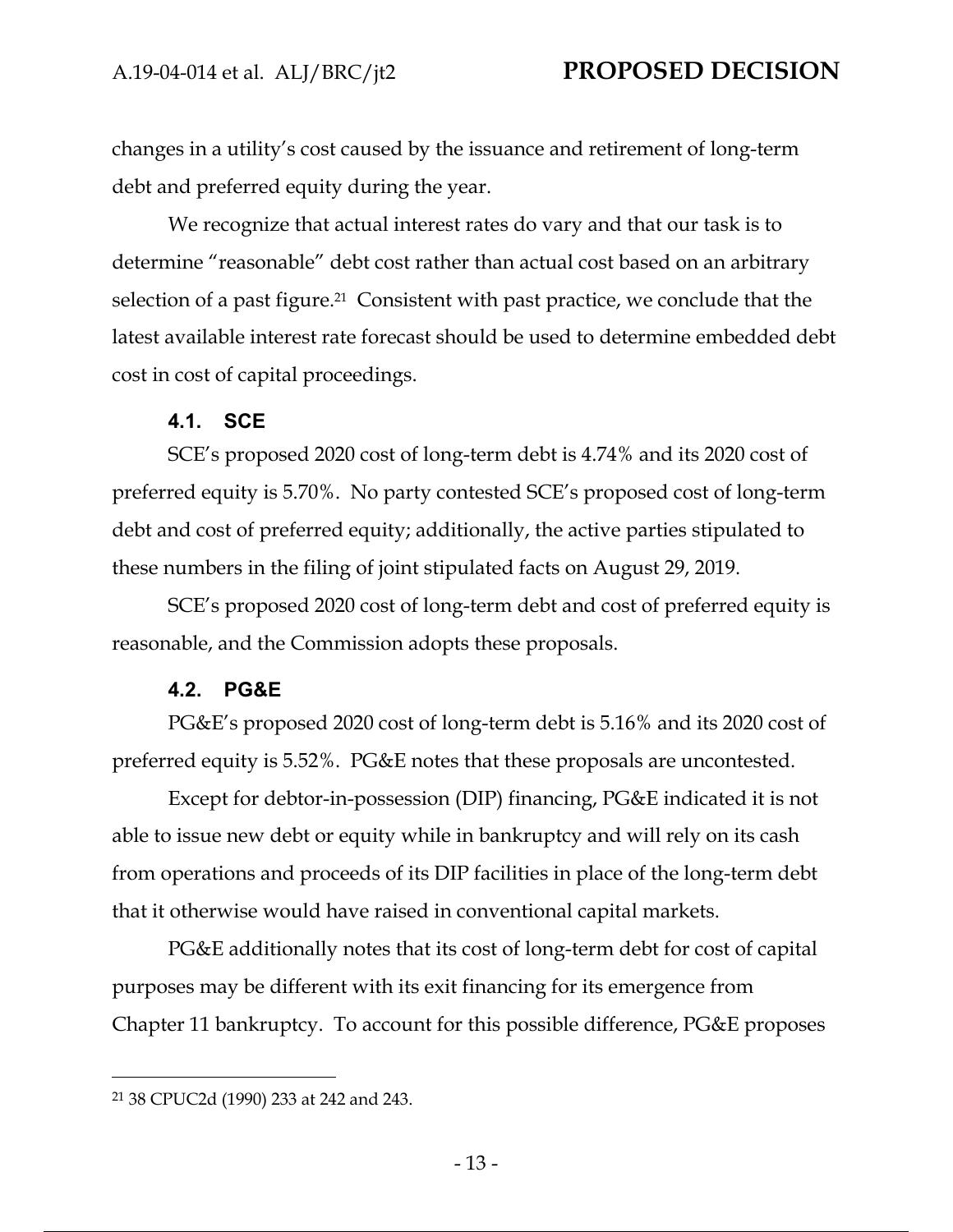changes in a utility's cost caused by the issuance and retirement of long-term debt and preferred equity during the year.

We recognize that actual interest rates do vary and that our task is to determine "reasonable" debt cost rather than actual cost based on an arbitrary selection of a past figure.<sup>21</sup> Consistent with past practice, we conclude that the latest available interest rate forecast should be used to determine embedded debt cost in cost of capital proceedings.

#### **4.1. SCE**

SCE's proposed 2020 cost of long-term debt is 4.74% and its 2020 cost of preferred equity is 5.70%. No party contested SCE's proposed cost of long-term debt and cost of preferred equity; additionally, the active parties stipulated to these numbers in the filing of joint stipulated facts on August 29, 2019.

SCE's proposed 2020 cost of long-term debt and cost of preferred equity is reasonable, and the Commission adopts these proposals.

#### **4.2. PG&E**

PG&E's proposed 2020 cost of long-term debt is 5.16% and its 2020 cost of preferred equity is 5.52%. PG&E notes that these proposals are uncontested.

Except for debtor-in-possession (DIP) financing, PG&E indicated it is not able to issue new debt or equity while in bankruptcy and will rely on its cash from operations and proceeds of its DIP facilities in place of the long-term debt that it otherwise would have raised in conventional capital markets.

PG&E additionally notes that its cost of long-term debt for cost of capital purposes may be different with its exit financing for its emergence from Chapter 11 bankruptcy. To account for this possible difference, PG&E proposes

<sup>21 38</sup> CPUC2d (1990) 233 at 242 and 243.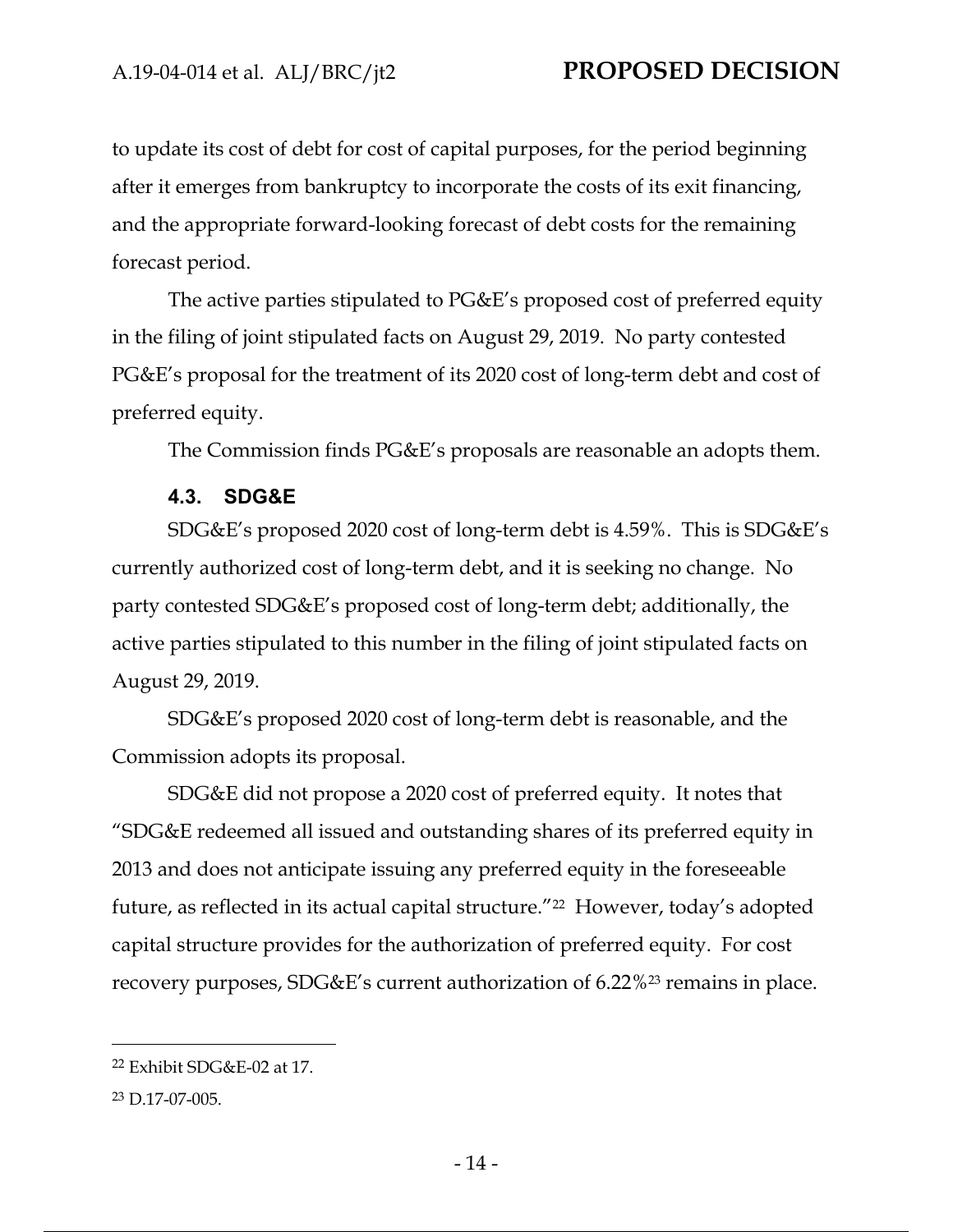to update its cost of debt for cost of capital purposes, for the period beginning after it emerges from bankruptcy to incorporate the costs of its exit financing, and the appropriate forward-looking forecast of debt costs for the remaining forecast period.

The active parties stipulated to PG&E's proposed cost of preferred equity in the filing of joint stipulated facts on August 29, 2019. No party contested PG&E's proposal for the treatment of its 2020 cost of long-term debt and cost of preferred equity.

The Commission finds PG&E's proposals are reasonable an adopts them.

#### **4.3. SDG&E**

SDG&E's proposed 2020 cost of long-term debt is 4.59%. This is SDG&E's currently authorized cost of long-term debt, and it is seeking no change. No party contested SDG&E's proposed cost of long-term debt; additionally, the active parties stipulated to this number in the filing of joint stipulated facts on August 29, 2019.

SDG&E's proposed 2020 cost of long-term debt is reasonable, and the Commission adopts its proposal.

SDG&E did not propose a 2020 cost of preferred equity. It notes that "SDG&E redeemed all issued and outstanding shares of its preferred equity in 2013 and does not anticipate issuing any preferred equity in the foreseeable future, as reflected in its actual capital structure."22 However, today's adopted capital structure provides for the authorization of preferred equity. For cost recovery purposes, SDG&E's current authorization of 6.22%23 remains in place.

<sup>22</sup> Exhibit SDG&E-02 at 17.

<sup>23</sup> D.17-07-005.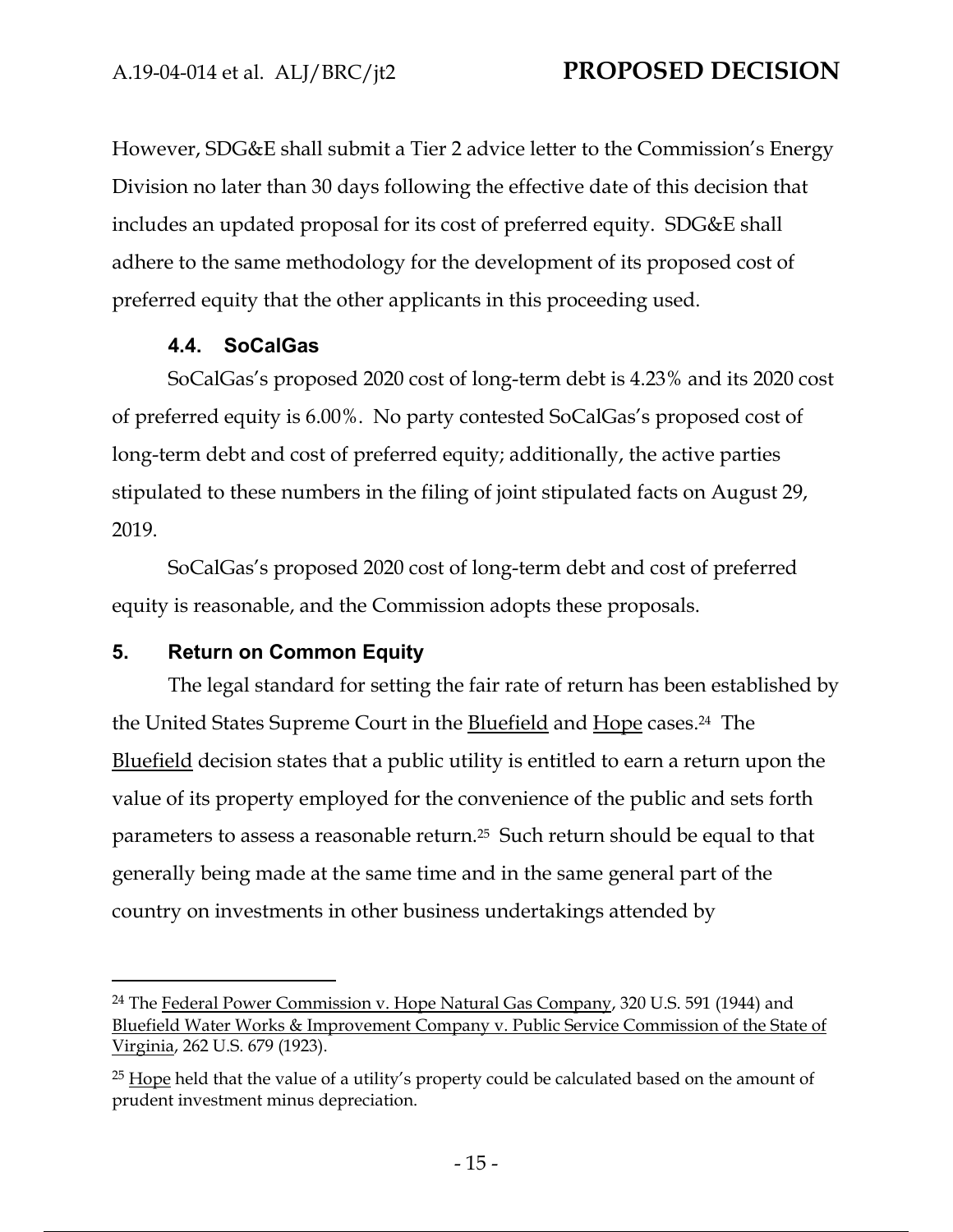However, SDG&E shall submit a Tier 2 advice letter to the Commission's Energy Division no later than 30 days following the effective date of this decision that includes an updated proposal for its cost of preferred equity. SDG&E shall adhere to the same methodology for the development of its proposed cost of preferred equity that the other applicants in this proceeding used.

## **4.4. SoCalGas**

SoCalGas's proposed 2020 cost of long-term debt is 4.23% and its 2020 cost of preferred equity is 6.00%. No party contested SoCalGas's proposed cost of long-term debt and cost of preferred equity; additionally, the active parties stipulated to these numbers in the filing of joint stipulated facts on August 29, 2019.

SoCalGas's proposed 2020 cost of long-term debt and cost of preferred equity is reasonable, and the Commission adopts these proposals.

## **5. Return on Common Equity**

The legal standard for setting the fair rate of return has been established by the United States Supreme Court in the Bluefield and Hope cases.24 The Bluefield decision states that a public utility is entitled to earn a return upon the value of its property employed for the convenience of the public and sets forth parameters to assess a reasonable return.25 Such return should be equal to that generally being made at the same time and in the same general part of the country on investments in other business undertakings attended by

<sup>24</sup> The Federal Power Commission v. Hope Natural Gas Company, 320 U.S. 591 (1944) and Bluefield Water Works & Improvement Company v. Public Service Commission of the State of Virginia, 262 U.S. 679 (1923).

<sup>&</sup>lt;sup>25</sup> Hope held that the value of a utility's property could be calculated based on the amount of prudent investment minus depreciation.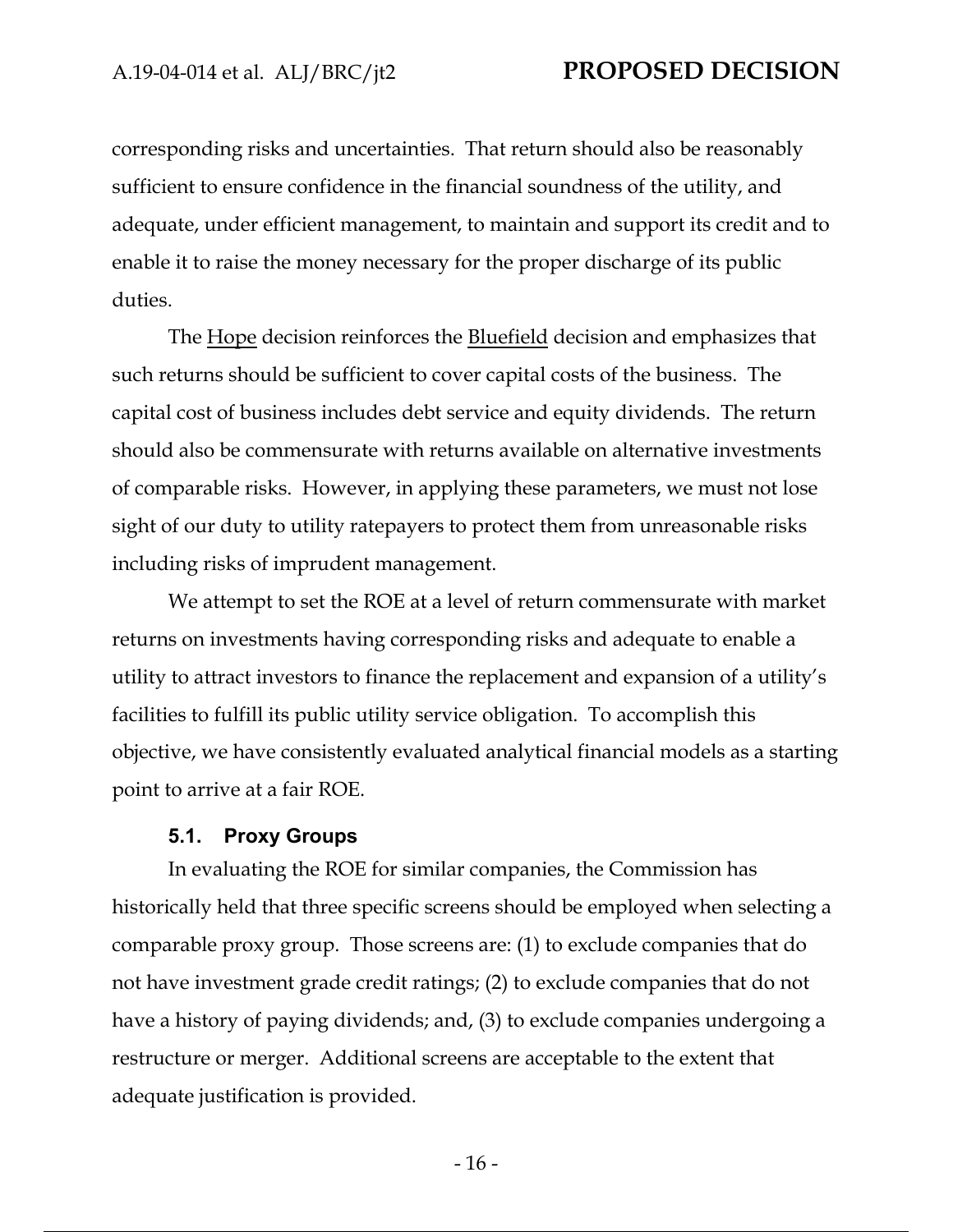corresponding risks and uncertainties. That return should also be reasonably sufficient to ensure confidence in the financial soundness of the utility, and adequate, under efficient management, to maintain and support its credit and to enable it to raise the money necessary for the proper discharge of its public duties.

The Hope decision reinforces the Bluefield decision and emphasizes that such returns should be sufficient to cover capital costs of the business. The capital cost of business includes debt service and equity dividends. The return should also be commensurate with returns available on alternative investments of comparable risks. However, in applying these parameters, we must not lose sight of our duty to utility ratepayers to protect them from unreasonable risks including risks of imprudent management.

We attempt to set the ROE at a level of return commensurate with market returns on investments having corresponding risks and adequate to enable a utility to attract investors to finance the replacement and expansion of a utility's facilities to fulfill its public utility service obligation. To accomplish this objective, we have consistently evaluated analytical financial models as a starting point to arrive at a fair ROE.

#### **5.1. Proxy Groups**

In evaluating the ROE for similar companies, the Commission has historically held that three specific screens should be employed when selecting a comparable proxy group. Those screens are: (1) to exclude companies that do not have investment grade credit ratings; (2) to exclude companies that do not have a history of paying dividends; and, (3) to exclude companies undergoing a restructure or merger. Additional screens are acceptable to the extent that adequate justification is provided.

- 16 -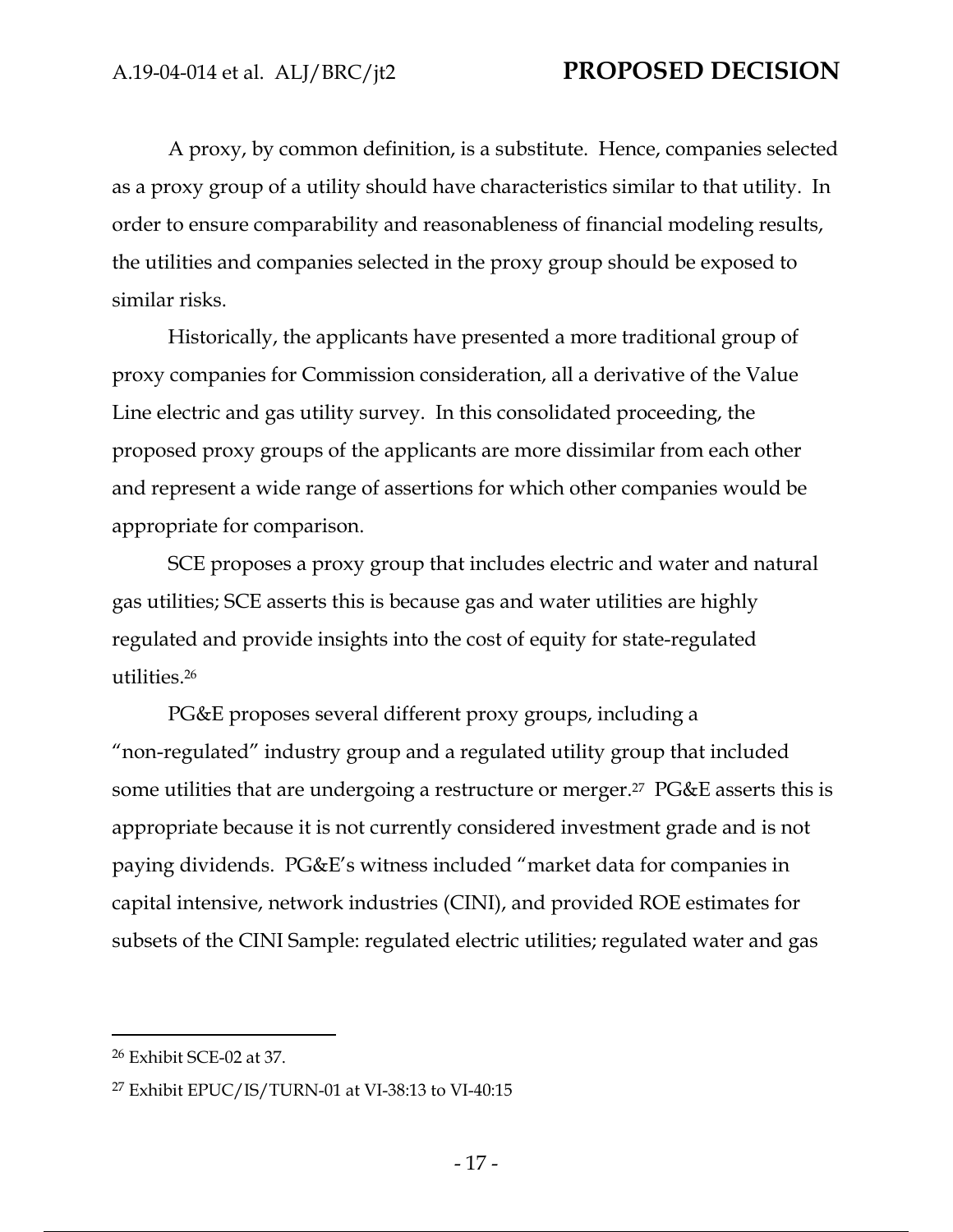A proxy, by common definition, is a substitute. Hence, companies selected as a proxy group of a utility should have characteristics similar to that utility. In order to ensure comparability and reasonableness of financial modeling results, the utilities and companies selected in the proxy group should be exposed to similar risks.

Historically, the applicants have presented a more traditional group of proxy companies for Commission consideration, all a derivative of the Value Line electric and gas utility survey. In this consolidated proceeding, the proposed proxy groups of the applicants are more dissimilar from each other and represent a wide range of assertions for which other companies would be appropriate for comparison.

SCE proposes a proxy group that includes electric and water and natural gas utilities; SCE asserts this is because gas and water utilities are highly regulated and provide insights into the cost of equity for state-regulated utilities.26

PG&E proposes several different proxy groups, including a "non-regulated" industry group and a regulated utility group that included some utilities that are undergoing a restructure or merger.<sup>27</sup> PG&E asserts this is appropriate because it is not currently considered investment grade and is not paying dividends. PG&E's witness included "market data for companies in capital intensive, network industries (CINI), and provided ROE estimates for subsets of the CINI Sample: regulated electric utilities; regulated water and gas

<sup>26</sup> Exhibit SCE-02 at 37.

<sup>27</sup> Exhibit EPUC/IS/TURN-01 at VI-38:13 to VI-40:15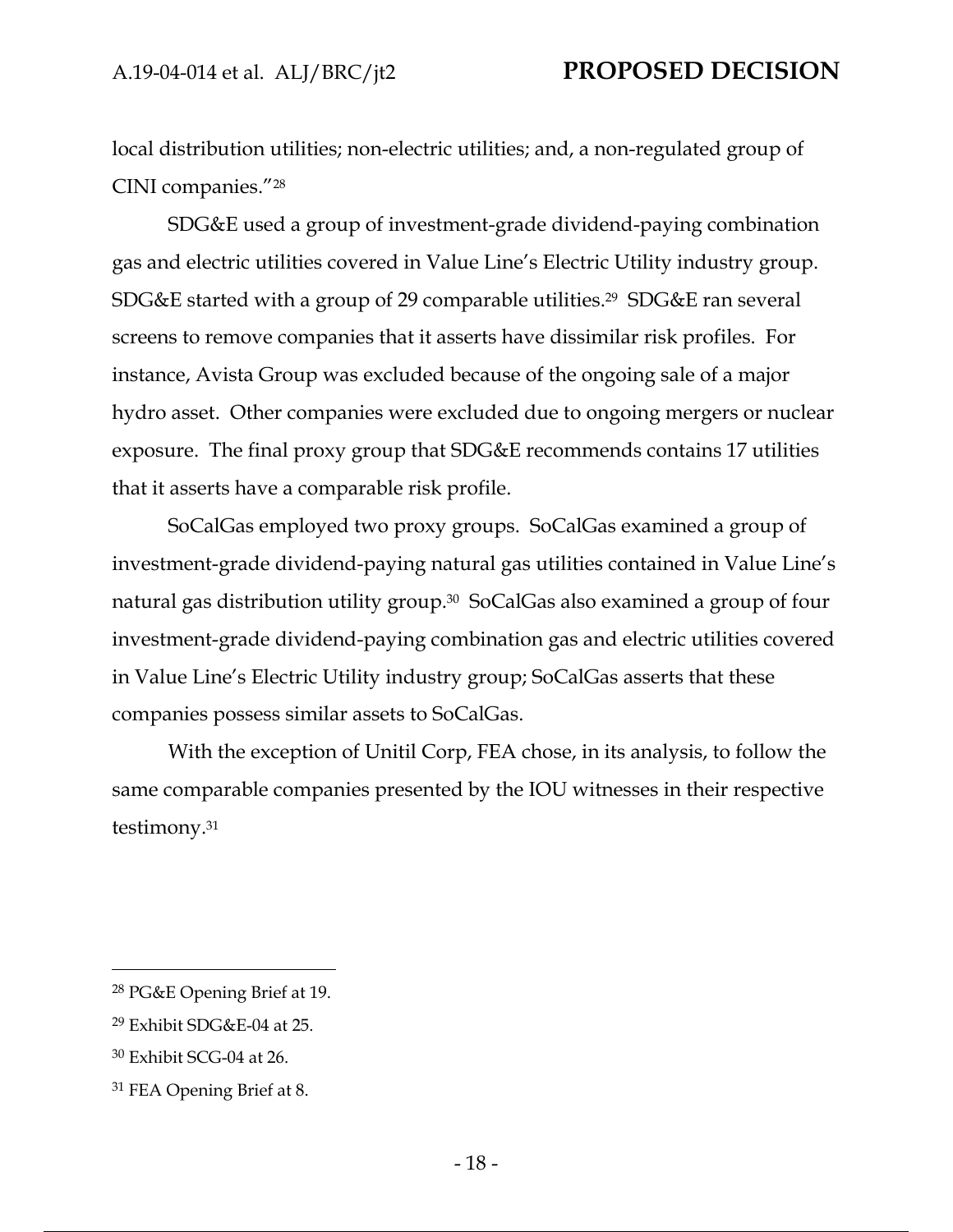local distribution utilities; non-electric utilities; and, a non-regulated group of CINI companies."28

SDG&E used a group of investment-grade dividend-paying combination gas and electric utilities covered in Value Line's Electric Utility industry group. SDG&E started with a group of 29 comparable utilities.29 SDG&E ran several screens to remove companies that it asserts have dissimilar risk profiles. For instance, Avista Group was excluded because of the ongoing sale of a major hydro asset. Other companies were excluded due to ongoing mergers or nuclear exposure. The final proxy group that SDG&E recommends contains 17 utilities that it asserts have a comparable risk profile.

SoCalGas employed two proxy groups. SoCalGas examined a group of investment-grade dividend-paying natural gas utilities contained in Value Line's natural gas distribution utility group.30 SoCalGas also examined a group of four investment-grade dividend-paying combination gas and electric utilities covered in Value Line's Electric Utility industry group; SoCalGas asserts that these companies possess similar assets to SoCalGas.

With the exception of Unitil Corp, FEA chose, in its analysis, to follow the same comparable companies presented by the IOU witnesses in their respective testimony.31

<sup>28</sup> PG&E Opening Brief at 19.

<sup>29</sup> Exhibit SDG&E-04 at 25.

<sup>30</sup> Exhibit SCG-04 at 26.

<sup>31</sup> FEA Opening Brief at 8.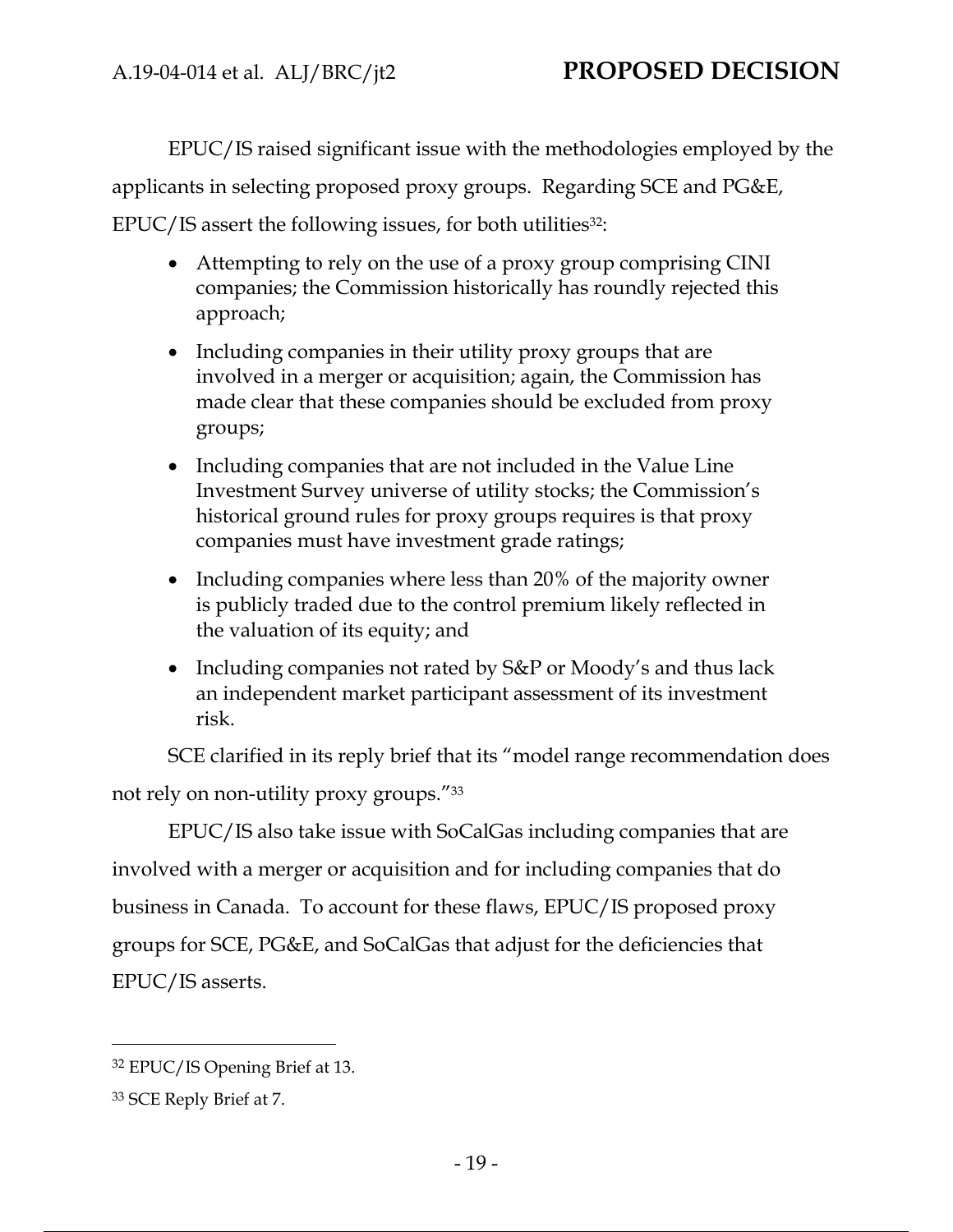EPUC/IS raised significant issue with the methodologies employed by the applicants in selecting proposed proxy groups. Regarding SCE and PG&E, EPUC/IS assert the following issues, for both utilities<sup>32</sup>:

- Attempting to rely on the use of a proxy group comprising CINI companies; the Commission historically has roundly rejected this approach;
- Including companies in their utility proxy groups that are involved in a merger or acquisition; again, the Commission has made clear that these companies should be excluded from proxy groups;
- Including companies that are not included in the Value Line Investment Survey universe of utility stocks; the Commission's historical ground rules for proxy groups requires is that proxy companies must have investment grade ratings;
- Including companies where less than 20% of the majority owner is publicly traded due to the control premium likely reflected in the valuation of its equity; and
- Including companies not rated by S&P or Moody's and thus lack an independent market participant assessment of its investment risk.

SCE clarified in its reply brief that its "model range recommendation does not rely on non-utility proxy groups."33

EPUC/IS also take issue with SoCalGas including companies that are involved with a merger or acquisition and for including companies that do business in Canada. To account for these flaws, EPUC/IS proposed proxy groups for SCE, PG&E, and SoCalGas that adjust for the deficiencies that EPUC/IS asserts.

<sup>32</sup> EPUC/IS Opening Brief at 13.

<sup>33</sup> SCE Reply Brief at 7.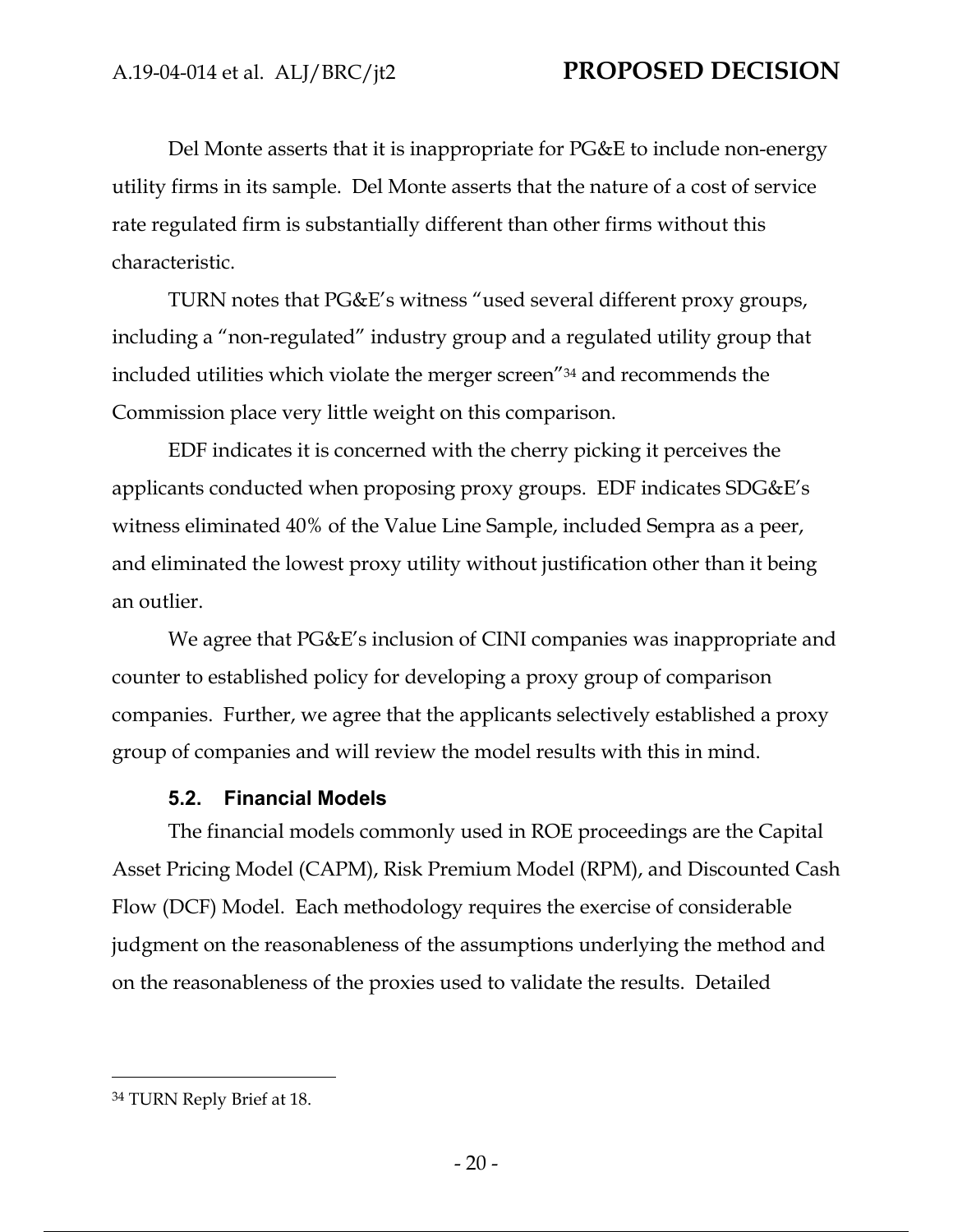Del Monte asserts that it is inappropriate for PG&E to include non-energy utility firms in its sample. Del Monte asserts that the nature of a cost of service rate regulated firm is substantially different than other firms without this characteristic.

TURN notes that PG&E's witness "used several different proxy groups, including a "non-regulated" industry group and a regulated utility group that included utilities which violate the merger screen"34 and recommends the Commission place very little weight on this comparison.

EDF indicates it is concerned with the cherry picking it perceives the applicants conducted when proposing proxy groups. EDF indicates SDG&E's witness eliminated 40% of the Value Line Sample, included Sempra as a peer, and eliminated the lowest proxy utility without justification other than it being an outlier.

We agree that PG&E's inclusion of CINI companies was inappropriate and counter to established policy for developing a proxy group of comparison companies. Further, we agree that the applicants selectively established a proxy group of companies and will review the model results with this in mind.

### **5.2. Financial Models**

The financial models commonly used in ROE proceedings are the Capital Asset Pricing Model (CAPM), Risk Premium Model (RPM), and Discounted Cash Flow (DCF) Model. Each methodology requires the exercise of considerable judgment on the reasonableness of the assumptions underlying the method and on the reasonableness of the proxies used to validate the results. Detailed

<sup>34</sup> TURN Reply Brief at 18.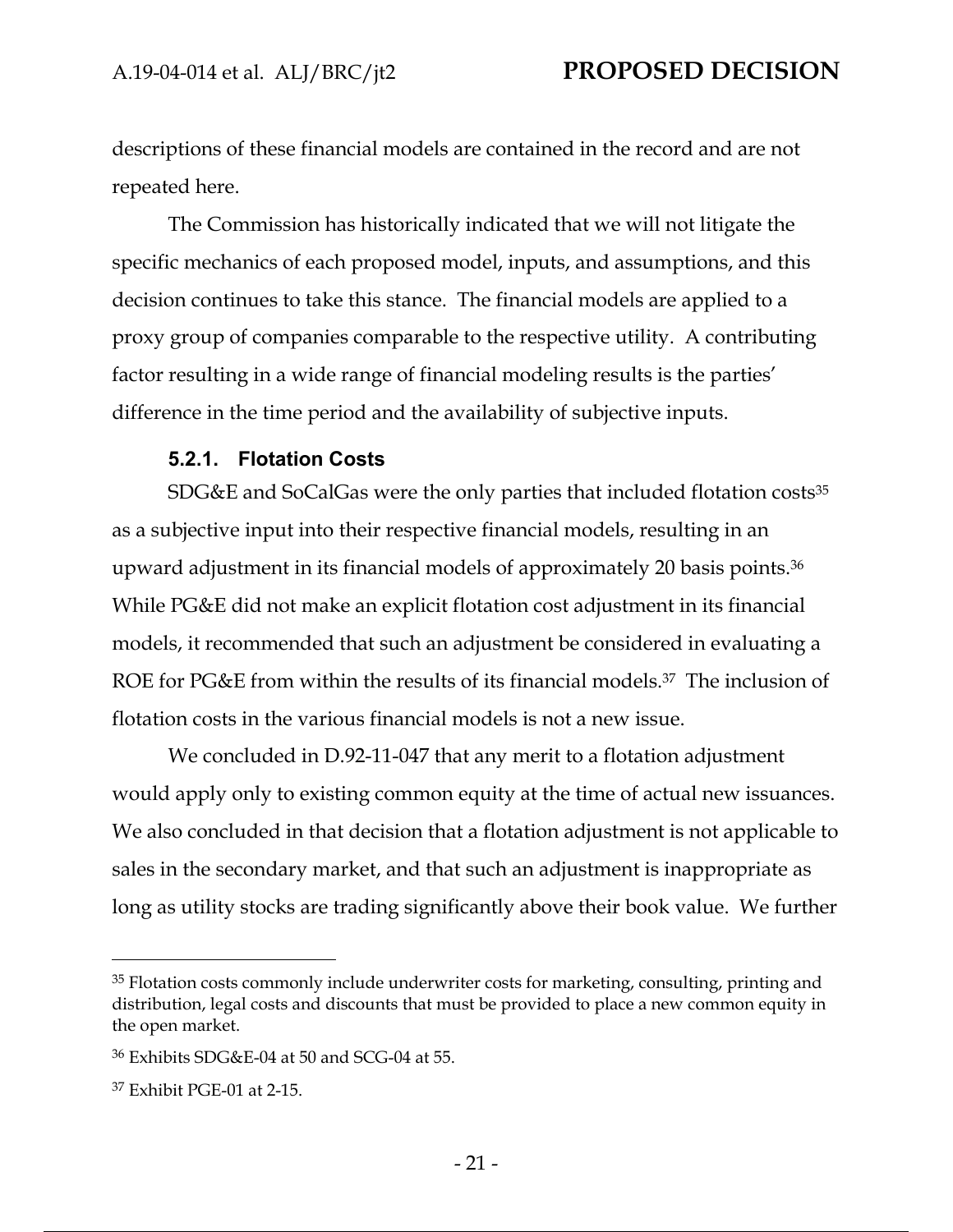descriptions of these financial models are contained in the record and are not repeated here.

The Commission has historically indicated that we will not litigate the specific mechanics of each proposed model, inputs, and assumptions, and this decision continues to take this stance. The financial models are applied to a proxy group of companies comparable to the respective utility. A contributing factor resulting in a wide range of financial modeling results is the parties' difference in the time period and the availability of subjective inputs.

### **5.2.1. Flotation Costs**

SDG&E and SoCalGas were the only parties that included flotation costs<sup>35</sup> as a subjective input into their respective financial models, resulting in an upward adjustment in its financial models of approximately 20 basis points.36 While PG&E did not make an explicit flotation cost adjustment in its financial models, it recommended that such an adjustment be considered in evaluating a ROE for PG&E from within the results of its financial models.<sup>37</sup> The inclusion of flotation costs in the various financial models is not a new issue.

We concluded in D.92-11-047 that any merit to a flotation adjustment would apply only to existing common equity at the time of actual new issuances. We also concluded in that decision that a flotation adjustment is not applicable to sales in the secondary market, and that such an adjustment is inappropriate as long as utility stocks are trading significantly above their book value. We further

<sup>&</sup>lt;sup>35</sup> Flotation costs commonly include underwriter costs for marketing, consulting, printing and distribution, legal costs and discounts that must be provided to place a new common equity in the open market.

<sup>36</sup> Exhibits SDG&E-04 at 50 and SCG-04 at 55.

<sup>37</sup> Exhibit PGE-01 at 2-15.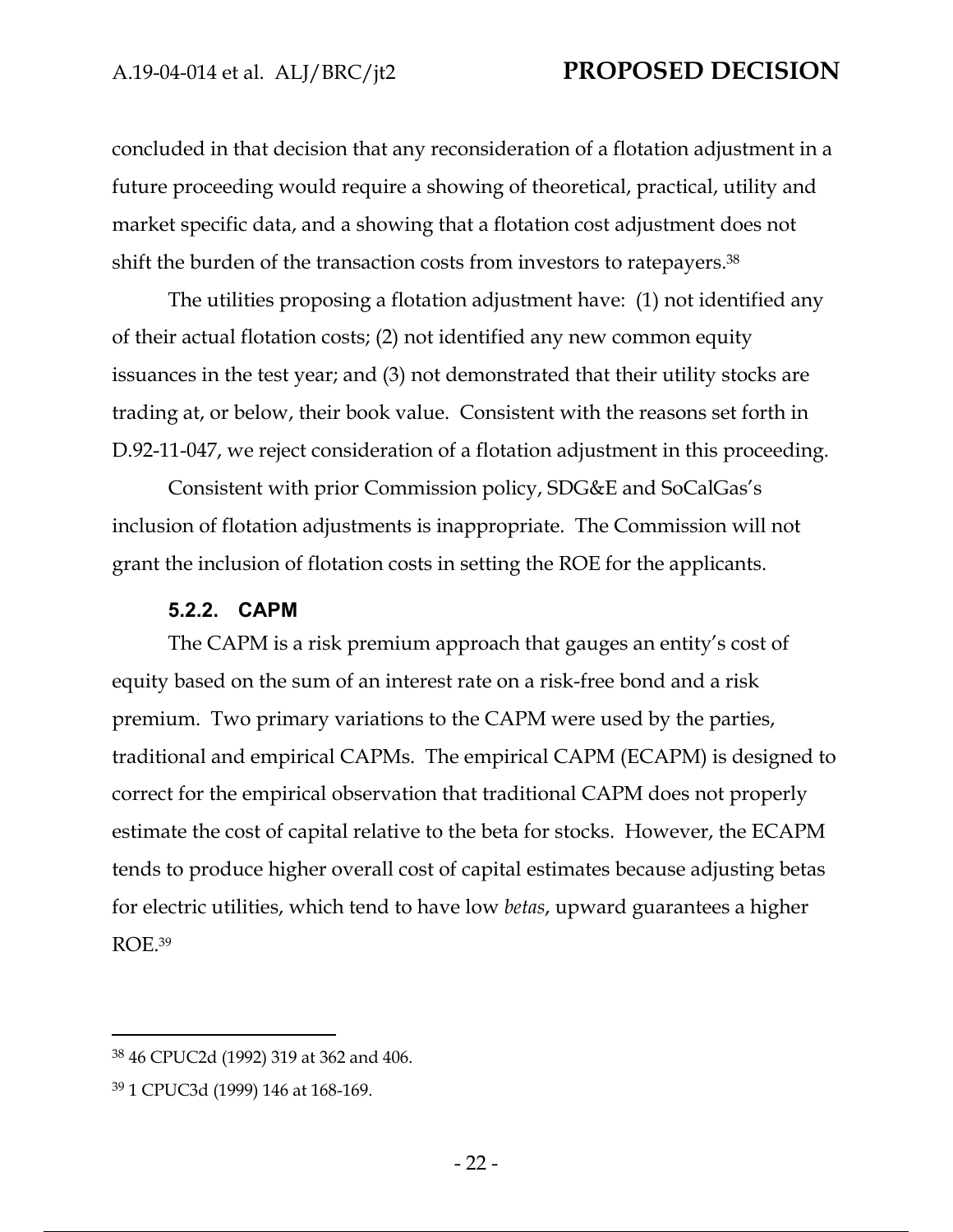concluded in that decision that any reconsideration of a flotation adjustment in a future proceeding would require a showing of theoretical, practical, utility and market specific data, and a showing that a flotation cost adjustment does not shift the burden of the transaction costs from investors to ratepayers.38

The utilities proposing a flotation adjustment have: (1) not identified any of their actual flotation costs; (2) not identified any new common equity issuances in the test year; and (3) not demonstrated that their utility stocks are trading at, or below, their book value. Consistent with the reasons set forth in D.92-11-047, we reject consideration of a flotation adjustment in this proceeding.

Consistent with prior Commission policy, SDG&E and SoCalGas's inclusion of flotation adjustments is inappropriate. The Commission will not grant the inclusion of flotation costs in setting the ROE for the applicants.

#### **5.2.2. CAPM**

The CAPM is a risk premium approach that gauges an entity's cost of equity based on the sum of an interest rate on a risk-free bond and a risk premium. Two primary variations to the CAPM were used by the parties, traditional and empirical CAPMs. The empirical CAPM (ECAPM) is designed to correct for the empirical observation that traditional CAPM does not properly estimate the cost of capital relative to the beta for stocks. However, the ECAPM tends to produce higher overall cost of capital estimates because adjusting betas for electric utilities, which tend to have low *betas*, upward guarantees a higher ROE.39

<sup>38 46</sup> CPUC2d (1992) 319 at 362 and 406.

<sup>39 1</sup> CPUC3d (1999) 146 at 168-169.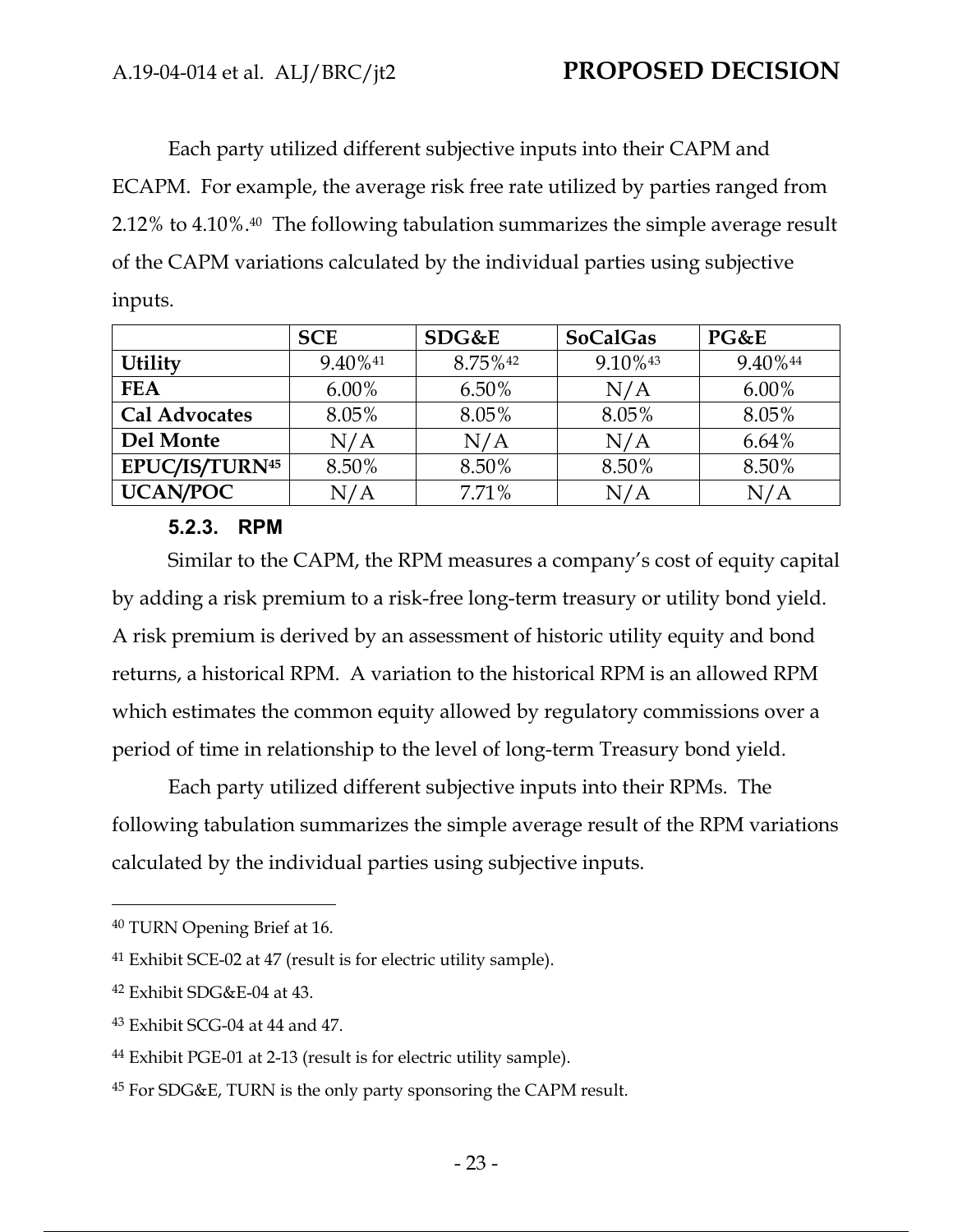Each party utilized different subjective inputs into their CAPM and ECAPM. For example, the average risk free rate utilized by parties ranged from 2.12% to 4.10%.40 The following tabulation summarizes the simple average result of the CAPM variations calculated by the individual parties using subjective inputs.

|                                  | <b>SCE</b> | SDG&E   | <b>SoCalGas</b> | PG&E     |
|----------------------------------|------------|---------|-----------------|----------|
| <b>Utility</b>                   | 9.40%41    | 8.75%42 | 9.10%43         | 9.40% 44 |
| <b>FEA</b>                       | $6.00\%$   | 6.50%   | N/A             | $6.00\%$ |
| <b>Cal Advocates</b>             | 8.05%      | 8.05%   | 8.05%           | 8.05%    |
| Del Monte                        | N/A        | N/A     | N/A             | $6.64\%$ |
| <b>EPUC/IS/TURN<sup>45</sup></b> | 8.50%      | 8.50%   | 8.50%           | 8.50%    |
| <b>UCAN/POC</b>                  | N/A        | 7.71%   | N/A             | N/A      |

### **5.2.3. RPM**

Similar to the CAPM, the RPM measures a company's cost of equity capital by adding a risk premium to a risk-free long-term treasury or utility bond yield. A risk premium is derived by an assessment of historic utility equity and bond returns, a historical RPM. A variation to the historical RPM is an allowed RPM which estimates the common equity allowed by regulatory commissions over a period of time in relationship to the level of long-term Treasury bond yield.

Each party utilized different subjective inputs into their RPMs. The following tabulation summarizes the simple average result of the RPM variations calculated by the individual parties using subjective inputs.

<sup>40</sup> TURN Opening Brief at 16.

<sup>41</sup> Exhibit SCE-02 at 47 (result is for electric utility sample).

<sup>42</sup> Exhibit SDG&E-04 at 43.

<sup>43</sup> Exhibit SCG-04 at 44 and 47.

<sup>44</sup> Exhibit PGE-01 at 2-13 (result is for electric utility sample).

<sup>45</sup> For SDG&E, TURN is the only party sponsoring the CAPM result.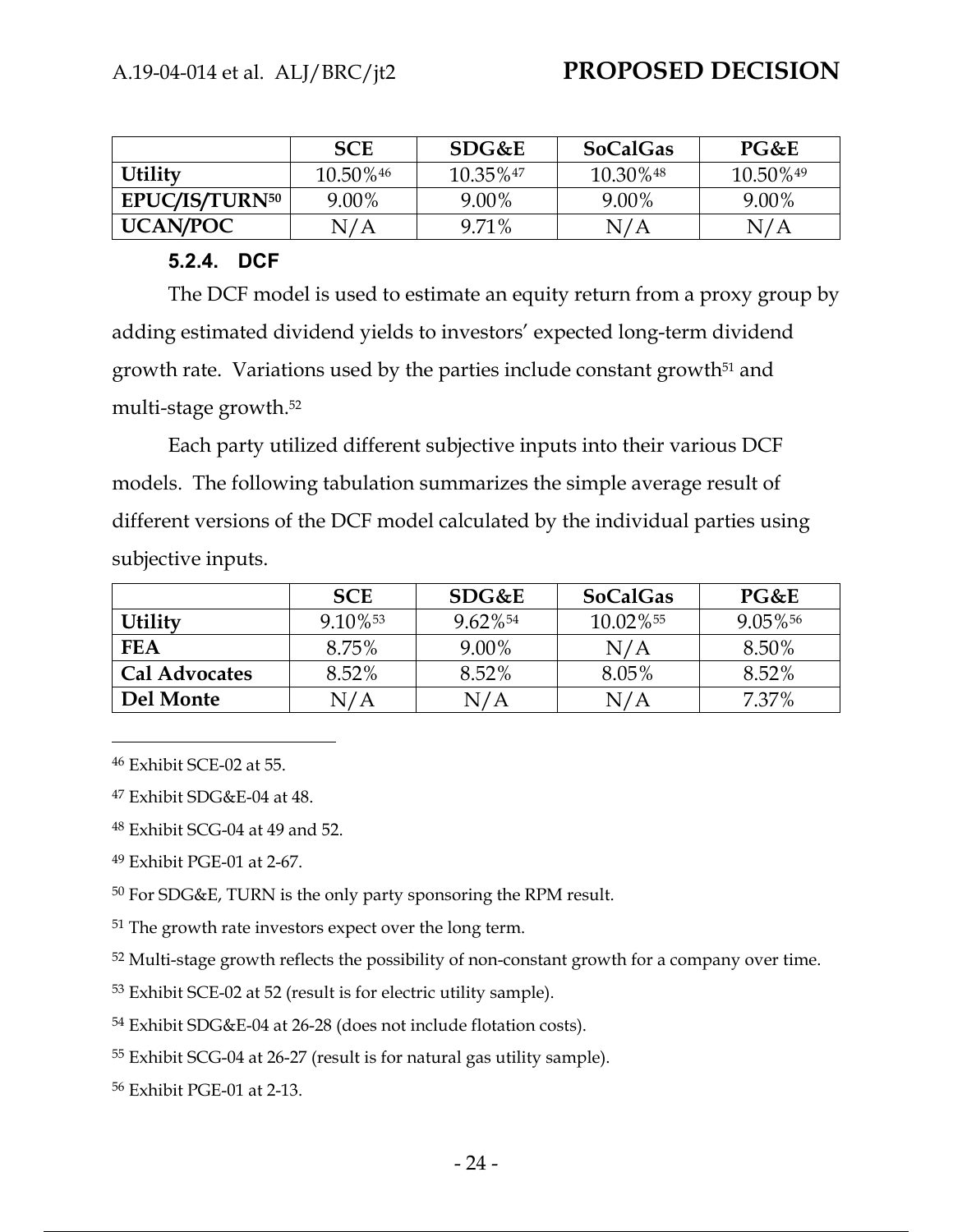|                            | <b>SCE</b> | SDG&E    | <b>SoCalGas</b>         | PG&E     |
|----------------------------|------------|----------|-------------------------|----------|
| <b>Utility</b>             | 10.50%46   | 10.35%47 | $10.30\%$ <sup>48</sup> | 10.50%49 |
| EPUC/IS/TURN <sup>50</sup> | 9.00%      | 9.00%    | 9.00%                   | 9.00%    |
| <b>UCAN/POC</b>            | N/A        | 9.71%    | N/A                     | N/A      |

### **5.2.4. DCF**

The DCF model is used to estimate an equity return from a proxy group by adding estimated dividend yields to investors' expected long-term dividend growth rate. Variations used by the parties include constant growth<sup>51</sup> and multi-stage growth.52

Each party utilized different subjective inputs into their various DCF models. The following tabulation summarizes the simple average result of different versions of the DCF model calculated by the individual parties using subjective inputs.

|                      | <b>SCE</b> | SDG&E                  | <b>SoCalGas</b> | PG&E    |
|----------------------|------------|------------------------|-----------------|---------|
| <b>Utility</b>       | 9.10%      | $9.62\%$ <sup>54</sup> | 10.02%55        | 9.05%56 |
| <b>FEA</b>           | 8.75%      | 9.00%                  | N/A             | 8.50%   |
| <b>Cal Advocates</b> | 8.52%      | 8.52%                  | 8.05%           | 8.52%   |
| Del Monte            | N/A        | N/A                    | N/A             | 7.37%   |

46 Exhibit SCE-02 at 55.

47 Exhibit SDG&E-04 at 48.

48 Exhibit SCG-04 at 49 and 52.

49 Exhibit PGE-01 at 2-67.

50 For SDG&E, TURN is the only party sponsoring the RPM result.

<sup>51</sup> The growth rate investors expect over the long term.

<sup>52</sup> Multi-stage growth reflects the possibility of non-constant growth for a company over time.

53 Exhibit SCE-02 at 52 (result is for electric utility sample).

54 Exhibit SDG&E-04 at 26-28 (does not include flotation costs).

55 Exhibit SCG-04 at 26-27 (result is for natural gas utility sample).

56 Exhibit PGE-01 at 2-13.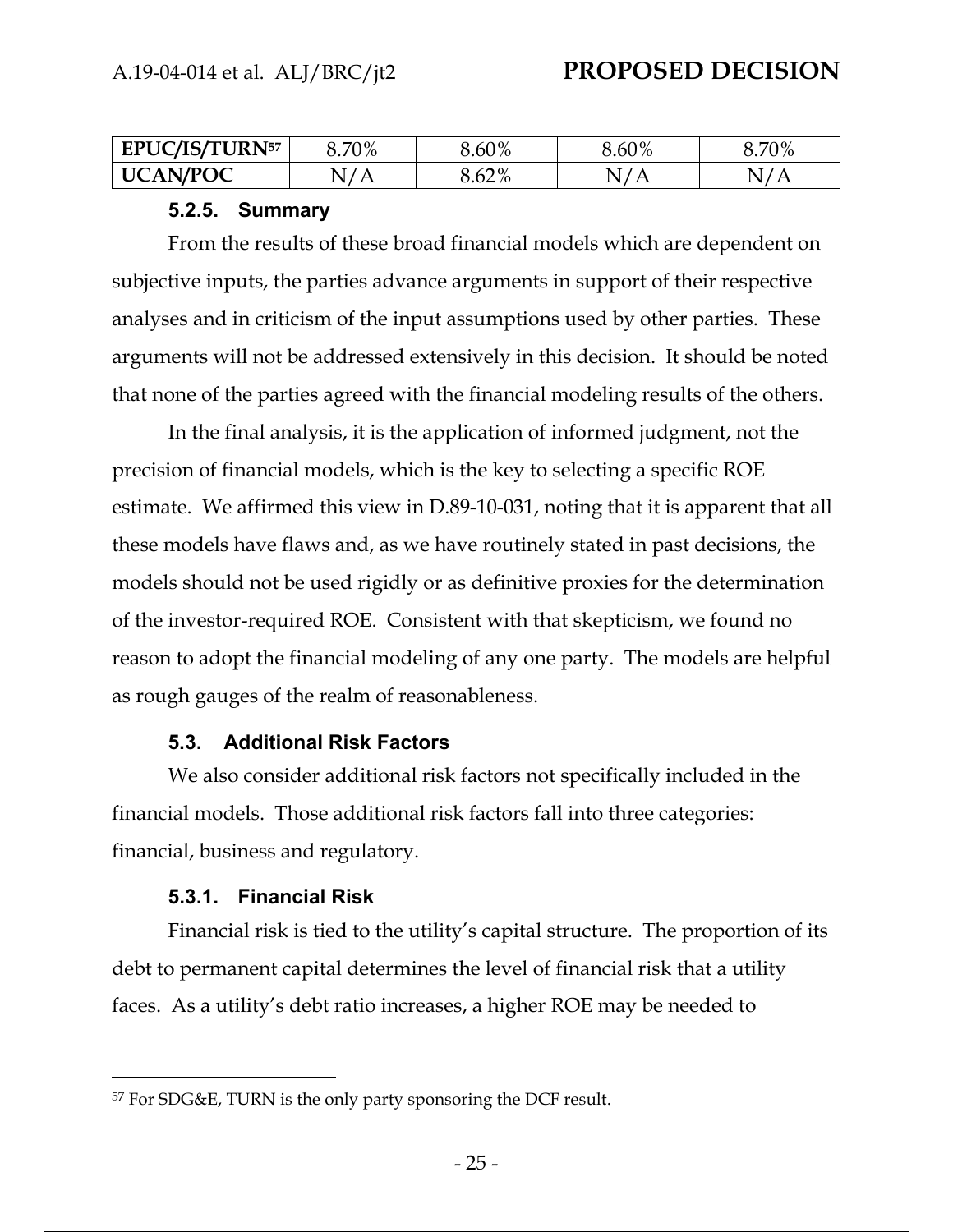| <b>EPUC/IS/TURN57</b>           | 70% | 8.60%          | $5.60\%$ | 70%      |
|---------------------------------|-----|----------------|----------|----------|
| $\cap$ A N/POC<br>$\bf H$<br>—— |     | 10/<br>O.O∠ 70 | <b>A</b> | <u>.</u> |

#### **5.2.5. Summary**

From the results of these broad financial models which are dependent on subjective inputs, the parties advance arguments in support of their respective analyses and in criticism of the input assumptions used by other parties. These arguments will not be addressed extensively in this decision. It should be noted that none of the parties agreed with the financial modeling results of the others.

In the final analysis, it is the application of informed judgment, not the precision of financial models, which is the key to selecting a specific ROE estimate. We affirmed this view in D.89-10-031, noting that it is apparent that all these models have flaws and, as we have routinely stated in past decisions, the models should not be used rigidly or as definitive proxies for the determination of the investor-required ROE. Consistent with that skepticism, we found no reason to adopt the financial modeling of any one party. The models are helpful as rough gauges of the realm of reasonableness.

#### **5.3. Additional Risk Factors**

We also consider additional risk factors not specifically included in the financial models. Those additional risk factors fall into three categories: financial, business and regulatory.

#### **5.3.1. Financial Risk**

Financial risk is tied to the utility's capital structure. The proportion of its debt to permanent capital determines the level of financial risk that a utility faces. As a utility's debt ratio increases, a higher ROE may be needed to

<sup>57</sup> For SDG&E, TURN is the only party sponsoring the DCF result.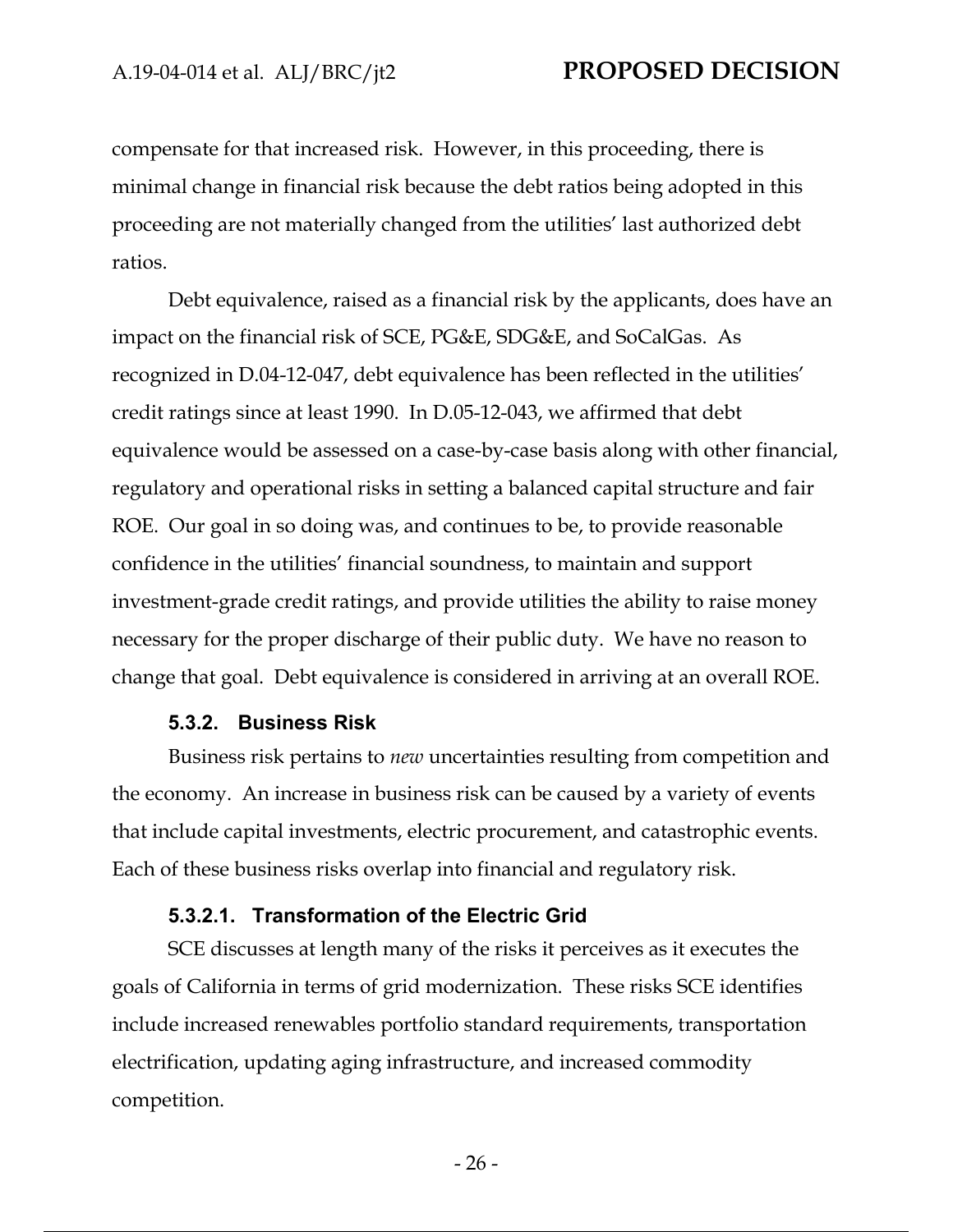compensate for that increased risk. However, in this proceeding, there is minimal change in financial risk because the debt ratios being adopted in this proceeding are not materially changed from the utilities' last authorized debt ratios.

Debt equivalence, raised as a financial risk by the applicants, does have an impact on the financial risk of SCE, PG&E, SDG&E, and SoCalGas. As recognized in D.04-12-047, debt equivalence has been reflected in the utilities' credit ratings since at least 1990. In D.05-12-043, we affirmed that debt equivalence would be assessed on a case-by-case basis along with other financial, regulatory and operational risks in setting a balanced capital structure and fair ROE. Our goal in so doing was, and continues to be, to provide reasonable confidence in the utilities' financial soundness, to maintain and support investment-grade credit ratings, and provide utilities the ability to raise money necessary for the proper discharge of their public duty. We have no reason to change that goal. Debt equivalence is considered in arriving at an overall ROE.

#### **5.3.2. Business Risk**

Business risk pertains to *new* uncertainties resulting from competition and the economy. An increase in business risk can be caused by a variety of events that include capital investments, electric procurement, and catastrophic events. Each of these business risks overlap into financial and regulatory risk.

#### **5.3.2.1. Transformation of the Electric Grid**

SCE discusses at length many of the risks it perceives as it executes the goals of California in terms of grid modernization. These risks SCE identifies include increased renewables portfolio standard requirements, transportation electrification, updating aging infrastructure, and increased commodity competition.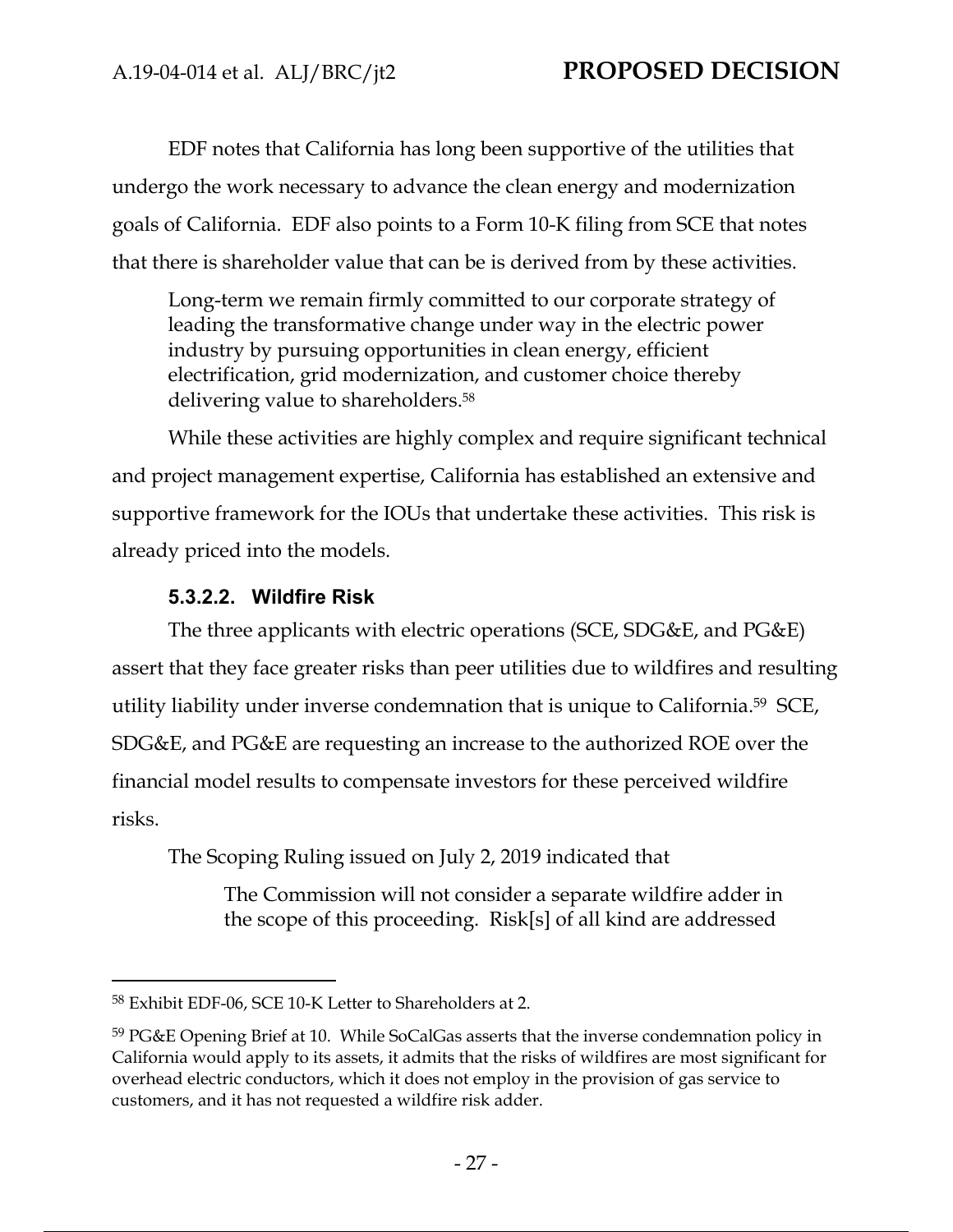EDF notes that California has long been supportive of the utilities that undergo the work necessary to advance the clean energy and modernization goals of California. EDF also points to a Form 10-K filing from SCE that notes that there is shareholder value that can be is derived from by these activities.

Long-term we remain firmly committed to our corporate strategy of leading the transformative change under way in the electric power industry by pursuing opportunities in clean energy, efficient electrification, grid modernization, and customer choice thereby delivering value to shareholders.58

While these activities are highly complex and require significant technical and project management expertise, California has established an extensive and supportive framework for the IOUs that undertake these activities. This risk is already priced into the models.

## **5.3.2.2. Wildfire Risk**

The three applicants with electric operations (SCE, SDG&E, and PG&E) assert that they face greater risks than peer utilities due to wildfires and resulting utility liability under inverse condemnation that is unique to California.59 SCE, SDG&E, and PG&E are requesting an increase to the authorized ROE over the financial model results to compensate investors for these perceived wildfire risks.

The Scoping Ruling issued on July 2, 2019 indicated that

The Commission will not consider a separate wildfire adder in the scope of this proceeding. Risk[s] of all kind are addressed

<sup>58</sup> Exhibit EDF-06, SCE 10-K Letter to Shareholders at 2.

<sup>59</sup> PG&E Opening Brief at 10. While SoCalGas asserts that the inverse condemnation policy in California would apply to its assets, it admits that the risks of wildfires are most significant for overhead electric conductors, which it does not employ in the provision of gas service to customers, and it has not requested a wildfire risk adder.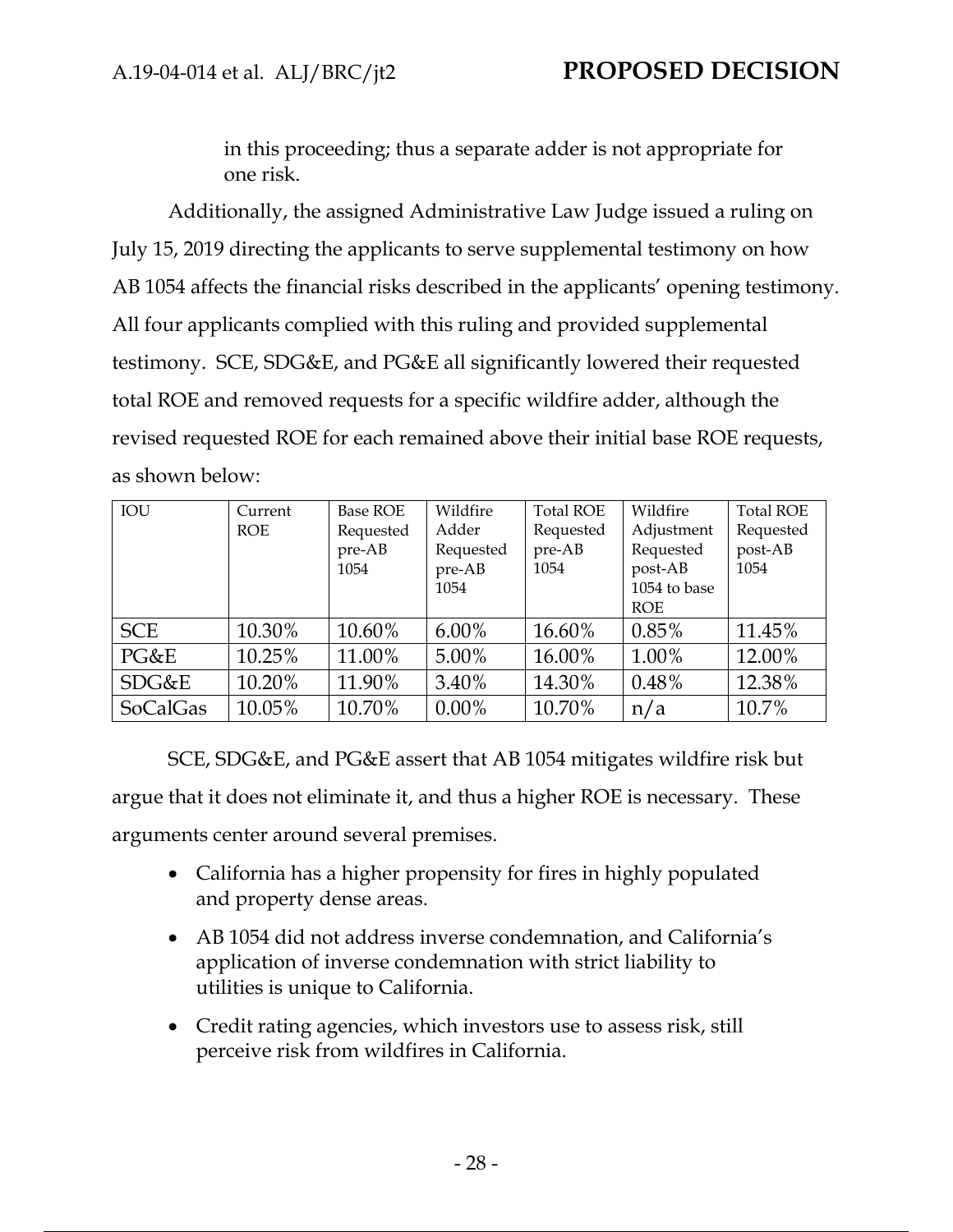in this proceeding; thus a separate adder is not appropriate for one risk.

Additionally, the assigned Administrative Law Judge issued a ruling on July 15, 2019 directing the applicants to serve supplemental testimony on how AB 1054 affects the financial risks described in the applicants' opening testimony. All four applicants complied with this ruling and provided supplemental testimony. SCE, SDG&E, and PG&E all significantly lowered their requested total ROE and removed requests for a specific wildfire adder, although the revised requested ROE for each remained above their initial base ROE requests, as shown below:

| IOU             | Current    | Base ROE  | Wildfire  | <b>Total ROE</b> | Wildfire     | <b>Total ROE</b> |
|-----------------|------------|-----------|-----------|------------------|--------------|------------------|
|                 | <b>ROE</b> | Requested | Adder     | Requested        | Adjustment   | Requested        |
|                 |            | pre-AB    | Requested | pre-AB           | Requested    | post-AB          |
|                 |            | 1054      | pre-AB    | 1054             | post-AB      | 1054             |
|                 |            |           | 1054      |                  | 1054 to base |                  |
|                 |            |           |           |                  | <b>ROE</b>   |                  |
| <b>SCE</b>      | 10.30%     | 10.60%    | $6.00\%$  | 16.60%           | 0.85%        | 11.45%           |
| PG&E            | 10.25%     | 11.00%    | 5.00%     | 16.00%           | 1.00%        | 12.00%           |
| SDG&E           | 10.20%     | 11.90%    | 3.40%     | 14.30%           | 0.48%        | 12.38%           |
| <b>SoCalGas</b> | 10.05%     | 10.70%    | $0.00\%$  | 10.70%           | n/a          | 10.7%            |

SCE, SDG&E, and PG&E assert that AB 1054 mitigates wildfire risk but argue that it does not eliminate it, and thus a higher ROE is necessary. These arguments center around several premises.

- California has a higher propensity for fires in highly populated and property dense areas.
- AB 1054 did not address inverse condemnation, and California's application of inverse condemnation with strict liability to utilities is unique to California.
- Credit rating agencies, which investors use to assess risk, still perceive risk from wildfires in California.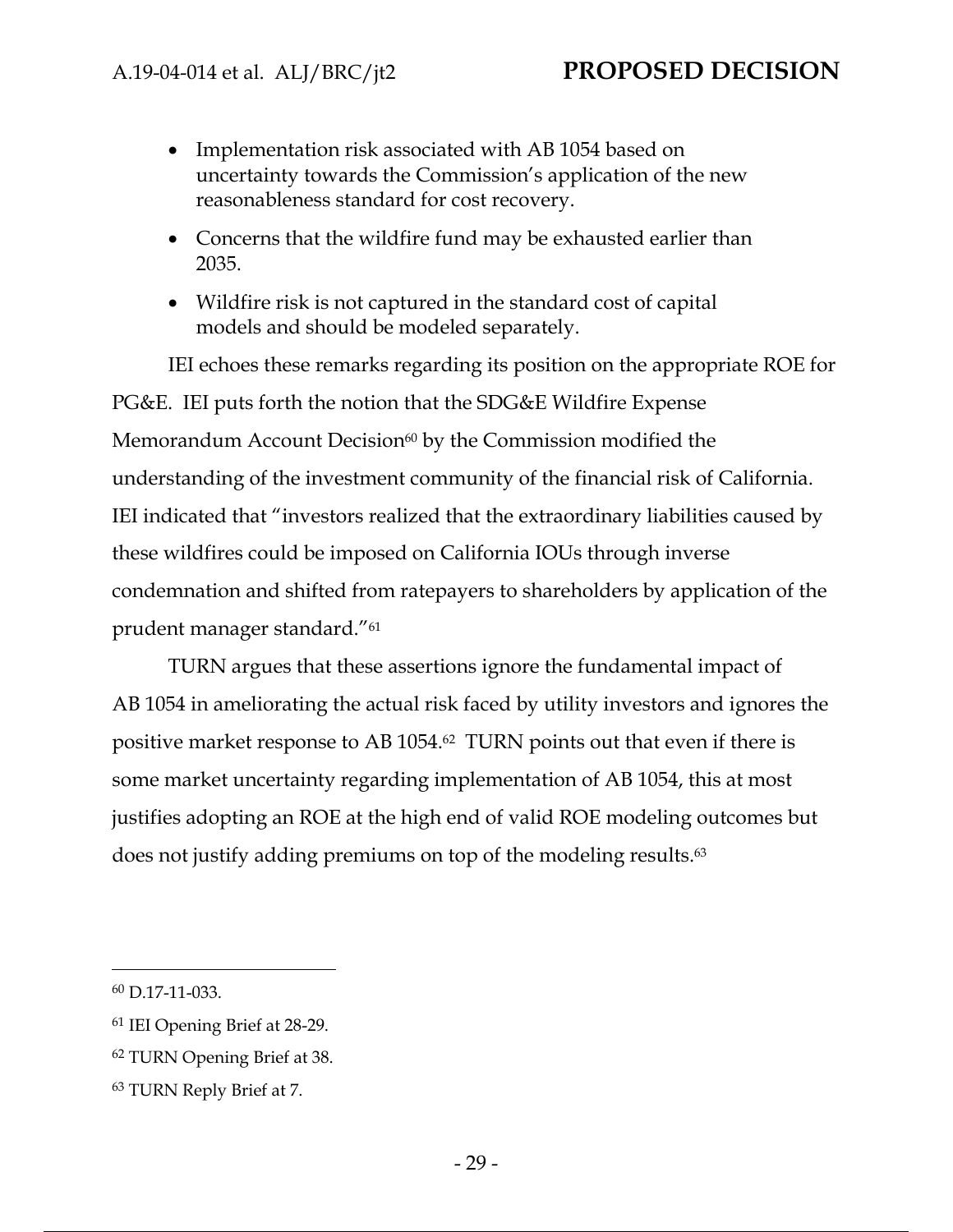- Implementation risk associated with AB 1054 based on uncertainty towards the Commission's application of the new reasonableness standard for cost recovery.
- Concerns that the wildfire fund may be exhausted earlier than 2035.
- Wildfire risk is not captured in the standard cost of capital models and should be modeled separately.

IEI echoes these remarks regarding its position on the appropriate ROE for PG&E. IEI puts forth the notion that the SDG&E Wildfire Expense Memorandum Account Decision $60$  by the Commission modified the understanding of the investment community of the financial risk of California. IEI indicated that "investors realized that the extraordinary liabilities caused by these wildfires could be imposed on California IOUs through inverse condemnation and shifted from ratepayers to shareholders by application of the prudent manager standard."61

TURN argues that these assertions ignore the fundamental impact of AB 1054 in ameliorating the actual risk faced by utility investors and ignores the positive market response to AB 1054.62 TURN points out that even if there is some market uncertainty regarding implementation of AB 1054, this at most justifies adopting an ROE at the high end of valid ROE modeling outcomes but does not justify adding premiums on top of the modeling results.63

<sup>60</sup> D.17-11-033.

<sup>61</sup> IEI Opening Brief at 28-29.

<sup>62</sup> TURN Opening Brief at 38.

<sup>63</sup> TURN Reply Brief at 7.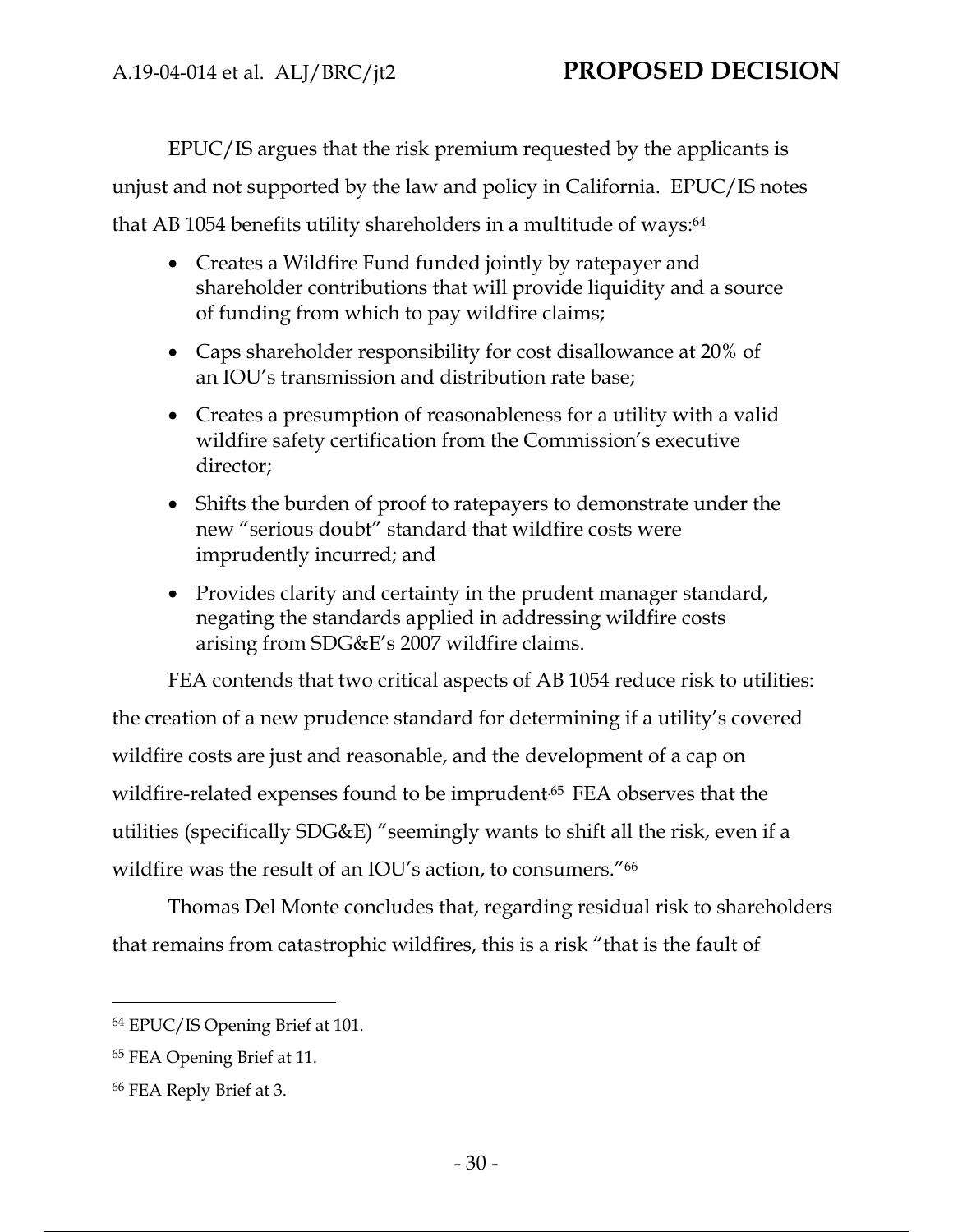EPUC/IS argues that the risk premium requested by the applicants is unjust and not supported by the law and policy in California. EPUC/IS notes that AB 1054 benefits utility shareholders in a multitude of ways:<sup>64</sup>

- Creates a Wildfire Fund funded jointly by ratepayer and shareholder contributions that will provide liquidity and a source of funding from which to pay wildfire claims;
- Caps shareholder responsibility for cost disallowance at 20% of an IOU's transmission and distribution rate base;
- Creates a presumption of reasonableness for a utility with a valid wildfire safety certification from the Commission's executive director;
- Shifts the burden of proof to ratepayers to demonstrate under the new "serious doubt" standard that wildfire costs were imprudently incurred; and
- Provides clarity and certainty in the prudent manager standard, negating the standards applied in addressing wildfire costs arising from SDG&E's 2007 wildfire claims.

FEA contends that two critical aspects of AB 1054 reduce risk to utilities: the creation of a new prudence standard for determining if a utility's covered wildfire costs are just and reasonable, and the development of a cap on wildfire-related expenses found to be imprudent.<sup>65</sup> FEA observes that the utilities (specifically SDG&E) "seemingly wants to shift all the risk, even if a wildfire was the result of an IOU's action, to consumers."66

Thomas Del Monte concludes that, regarding residual risk to shareholders that remains from catastrophic wildfires, this is a risk "that is the fault of

<sup>64</sup> EPUC/IS Opening Brief at 101.

<sup>65</sup> FEA Opening Brief at 11.

<sup>66</sup> FEA Reply Brief at 3.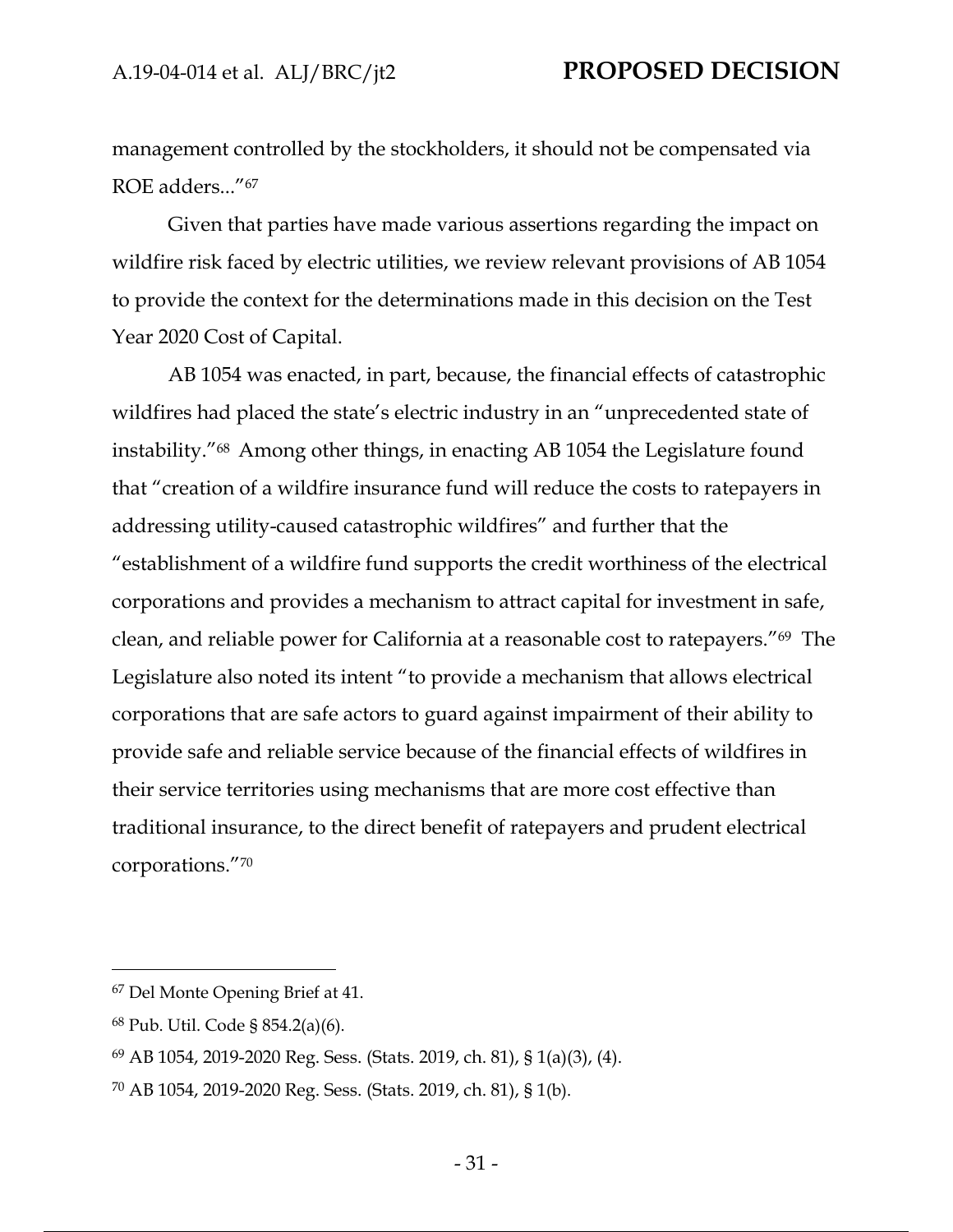management controlled by the stockholders, it should not be compensated via ROE adders..."67

Given that parties have made various assertions regarding the impact on wildfire risk faced by electric utilities, we review relevant provisions of AB 1054 to provide the context for the determinations made in this decision on the Test Year 2020 Cost of Capital.

AB 1054 was enacted, in part, because, the financial effects of catastrophic wildfires had placed the state's electric industry in an "unprecedented state of instability."68 Among other things, in enacting AB 1054 the Legislature found that "creation of a wildfire insurance fund will reduce the costs to ratepayers in addressing utility-caused catastrophic wildfires" and further that the "establishment of a wildfire fund supports the credit worthiness of the electrical corporations and provides a mechanism to attract capital for investment in safe, clean, and reliable power for California at a reasonable cost to ratepayers."69 The Legislature also noted its intent "to provide a mechanism that allows electrical corporations that are safe actors to guard against impairment of their ability to provide safe and reliable service because of the financial effects of wildfires in their service territories using mechanisms that are more cost effective than traditional insurance, to the direct benefit of ratepayers and prudent electrical corporations."70

<sup>67</sup> Del Monte Opening Brief at 41.

<sup>68</sup> Pub. Util. Code § 854.2(a)(6).

<sup>69</sup> AB 1054, 2019-2020 Reg. Sess. (Stats. 2019, ch. 81), § 1(a)(3), (4).

<sup>70</sup> AB 1054, 2019-2020 Reg. Sess. (Stats. 2019, ch. 81), § 1(b).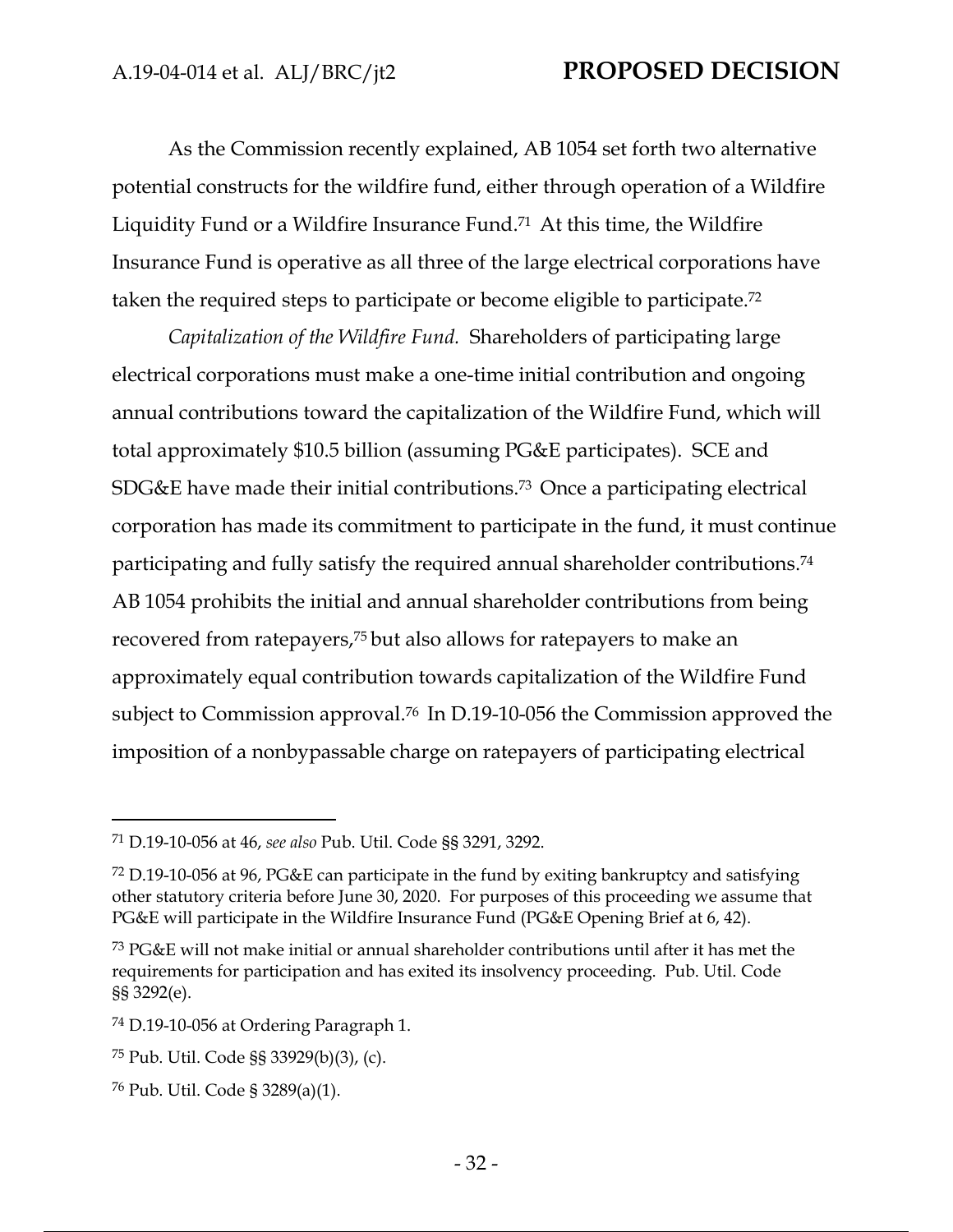As the Commission recently explained, AB 1054 set forth two alternative potential constructs for the wildfire fund, either through operation of a Wildfire Liquidity Fund or a Wildfire Insurance Fund.71 At this time, the Wildfire Insurance Fund is operative as all three of the large electrical corporations have taken the required steps to participate or become eligible to participate.72

*Capitalization of the Wildfire Fund.* Shareholders of participating large electrical corporations must make a one-time initial contribution and ongoing annual contributions toward the capitalization of the Wildfire Fund, which will total approximately \$10.5 billion (assuming PG&E participates). SCE and SDG&E have made their initial contributions.73 Once a participating electrical corporation has made its commitment to participate in the fund, it must continue participating and fully satisfy the required annual shareholder contributions.74 AB 1054 prohibits the initial and annual shareholder contributions from being recovered from ratepayers,75 but also allows for ratepayers to make an approximately equal contribution towards capitalization of the Wildfire Fund subject to Commission approval.76 In D.19-10-056 the Commission approved the imposition of a nonbypassable charge on ratepayers of participating electrical

<sup>71</sup> D.19-10-056 at 46, *see also* Pub. Util. Code §§ 3291, 3292.

<sup>72</sup> D.19-10-056 at 96, PG&E can participate in the fund by exiting bankruptcy and satisfying other statutory criteria before June 30, 2020. For purposes of this proceeding we assume that PG&E will participate in the Wildfire Insurance Fund (PG&E Opening Brief at 6, 42).

<sup>73</sup> PG&E will not make initial or annual shareholder contributions until after it has met the requirements for participation and has exited its insolvency proceeding. Pub. Util. Code §§ 3292(e).

<sup>74</sup> D.19-10-056 at Ordering Paragraph 1.

<sup>75</sup> Pub. Util. Code §§ 33929(b)(3), (c).

<sup>76</sup> Pub. Util. Code § 3289(a)(1).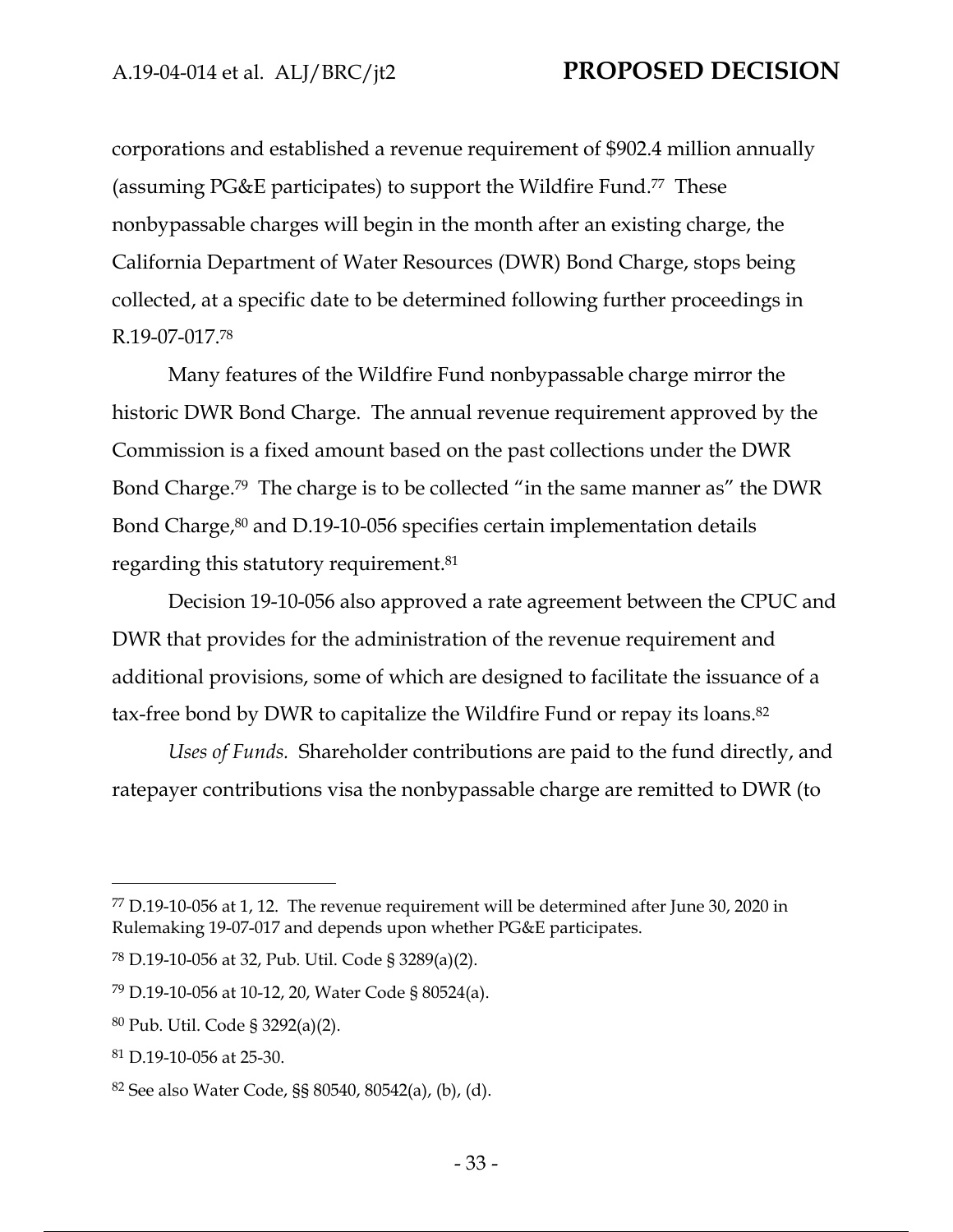corporations and established a revenue requirement of \$902.4 million annually (assuming PG&E participates) to support the Wildfire Fund.77 These nonbypassable charges will begin in the month after an existing charge, the California Department of Water Resources (DWR) Bond Charge, stops being collected, at a specific date to be determined following further proceedings in R.19-07-017.78

Many features of the Wildfire Fund nonbypassable charge mirror the historic DWR Bond Charge. The annual revenue requirement approved by the Commission is a fixed amount based on the past collections under the DWR Bond Charge.79 The charge is to be collected "in the same manner as" the DWR Bond Charge,<sup>80</sup> and D.19-10-056 specifies certain implementation details regarding this statutory requirement.81

Decision 19-10-056 also approved a rate agreement between the CPUC and DWR that provides for the administration of the revenue requirement and additional provisions, some of which are designed to facilitate the issuance of a tax-free bond by DWR to capitalize the Wildfire Fund or repay its loans.82

*Uses of Funds.* Shareholder contributions are paid to the fund directly, and ratepayer contributions visa the nonbypassable charge are remitted to DWR (to

<sup>77</sup> D.19-10-056 at 1, 12. The revenue requirement will be determined after June 30, 2020 in Rulemaking 19-07-017 and depends upon whether PG&E participates.

<sup>78</sup> D.19-10-056 at 32, Pub. Util. Code § 3289(a)(2).

<sup>79</sup> D.19-10-056 at 10-12, 20, Water Code § 80524(a).

<sup>80</sup> Pub. Util. Code § 3292(a)(2).

<sup>81</sup> D.19-10-056 at 25-30.

<sup>82</sup> See also Water Code, §§ 80540, 80542(a), (b), (d).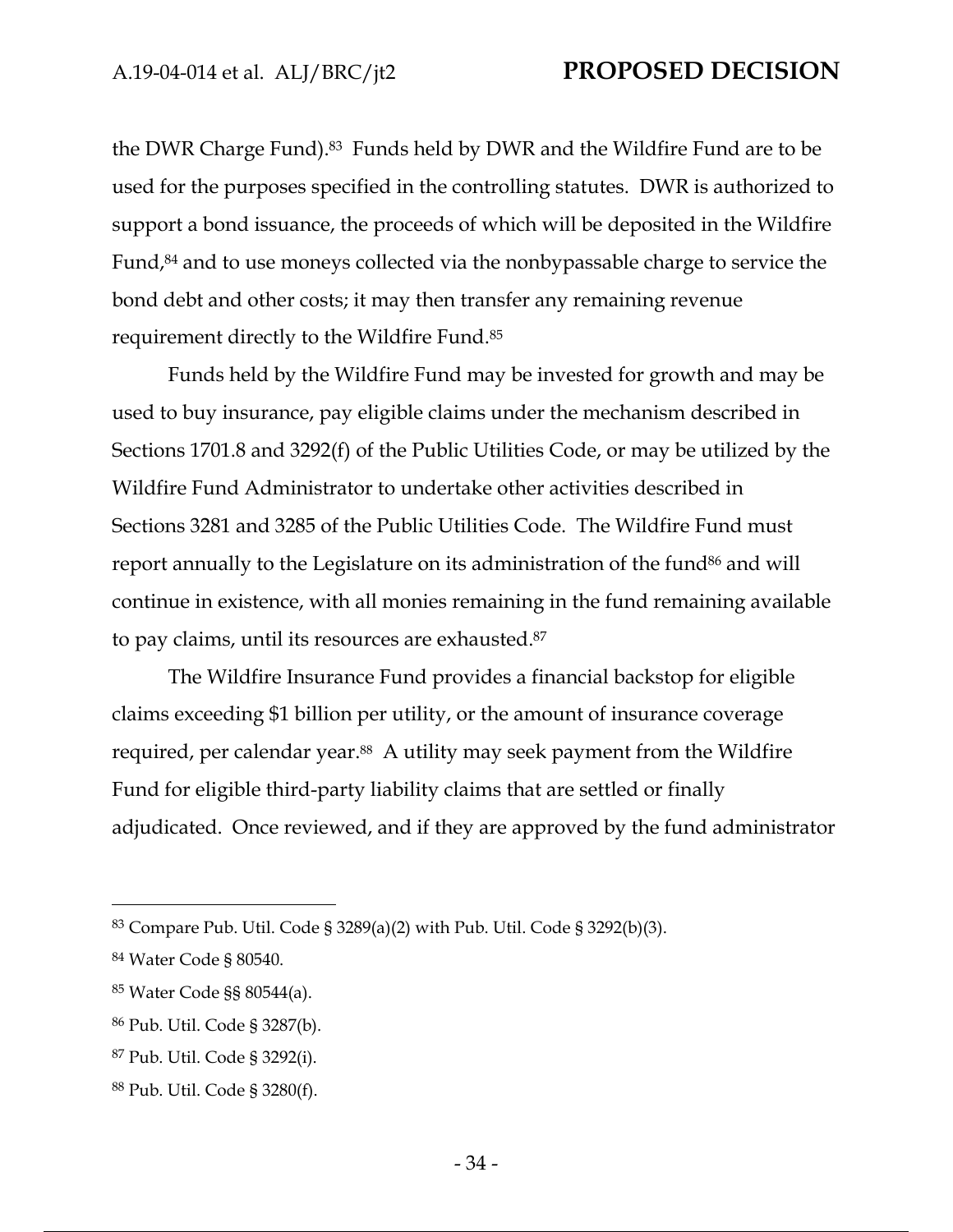the DWR Charge Fund).83 Funds held by DWR and the Wildfire Fund are to be used for the purposes specified in the controlling statutes. DWR is authorized to support a bond issuance, the proceeds of which will be deposited in the Wildfire Fund,84 and to use moneys collected via the nonbypassable charge to service the bond debt and other costs; it may then transfer any remaining revenue requirement directly to the Wildfire Fund.85

Funds held by the Wildfire Fund may be invested for growth and may be used to buy insurance, pay eligible claims under the mechanism described in Sections 1701.8 and 3292(f) of the Public Utilities Code, or may be utilized by the Wildfire Fund Administrator to undertake other activities described in Sections 3281 and 3285 of the Public Utilities Code. The Wildfire Fund must report annually to the Legislature on its administration of the fund<sup>86</sup> and will continue in existence, with all monies remaining in the fund remaining available to pay claims, until its resources are exhausted.87

The Wildfire Insurance Fund provides a financial backstop for eligible claims exceeding \$1 billion per utility, or the amount of insurance coverage required, per calendar year.<sup>88</sup> A utility may seek payment from the Wildfire Fund for eligible third-party liability claims that are settled or finally adjudicated. Once reviewed, and if they are approved by the fund administrator

<sup>83</sup> Compare Pub. Util. Code § 3289(a)(2) with Pub. Util. Code § 3292(b)(3).

<sup>84</sup> Water Code § 80540.

<sup>85</sup> Water Code §§ 80544(a).

<sup>86</sup> Pub. Util. Code § 3287(b).

<sup>87</sup> Pub. Util. Code § 3292(i).

<sup>88</sup> Pub. Util. Code § 3280(f).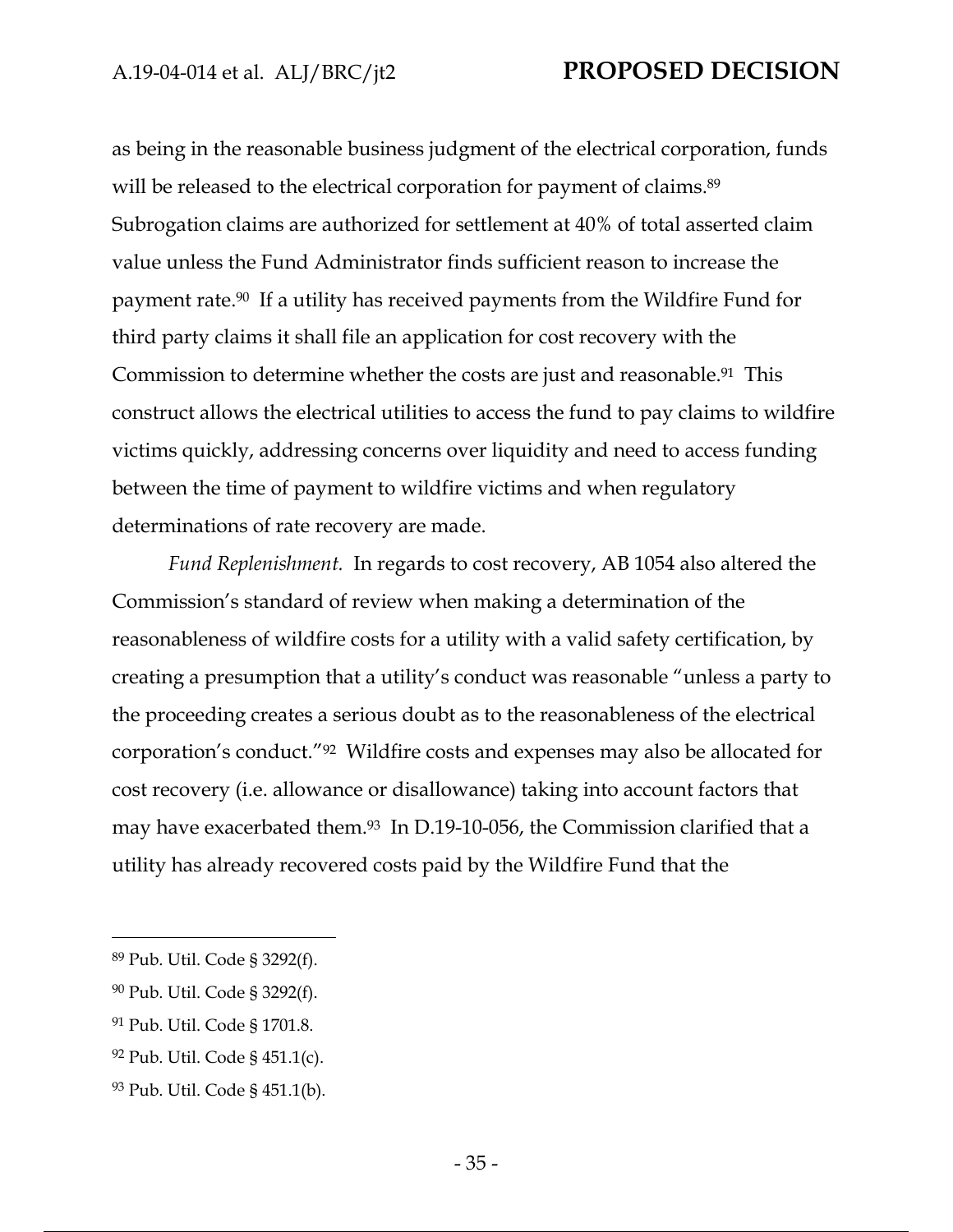as being in the reasonable business judgment of the electrical corporation, funds will be released to the electrical corporation for payment of claims.<sup>89</sup> Subrogation claims are authorized for settlement at 40% of total asserted claim value unless the Fund Administrator finds sufficient reason to increase the payment rate.90 If a utility has received payments from the Wildfire Fund for third party claims it shall file an application for cost recovery with the Commission to determine whether the costs are just and reasonable.91 This construct allows the electrical utilities to access the fund to pay claims to wildfire victims quickly, addressing concerns over liquidity and need to access funding between the time of payment to wildfire victims and when regulatory determinations of rate recovery are made.

*Fund Replenishment.* In regards to cost recovery, AB 1054 also altered the Commission's standard of review when making a determination of the reasonableness of wildfire costs for a utility with a valid safety certification, by creating a presumption that a utility's conduct was reasonable "unless a party to the proceeding creates a serious doubt as to the reasonableness of the electrical corporation's conduct."92 Wildfire costs and expenses may also be allocated for cost recovery (i.e. allowance or disallowance) taking into account factors that may have exacerbated them.<sup>93</sup> In D.19-10-056, the Commission clarified that a utility has already recovered costs paid by the Wildfire Fund that the

92 Pub. Util. Code § 451.1(c).

<sup>89</sup> Pub. Util. Code § 3292(f).

<sup>90</sup> Pub. Util. Code § 3292(f).

<sup>91</sup> Pub. Util. Code § 1701.8.

<sup>93</sup> Pub. Util. Code § 451.1(b).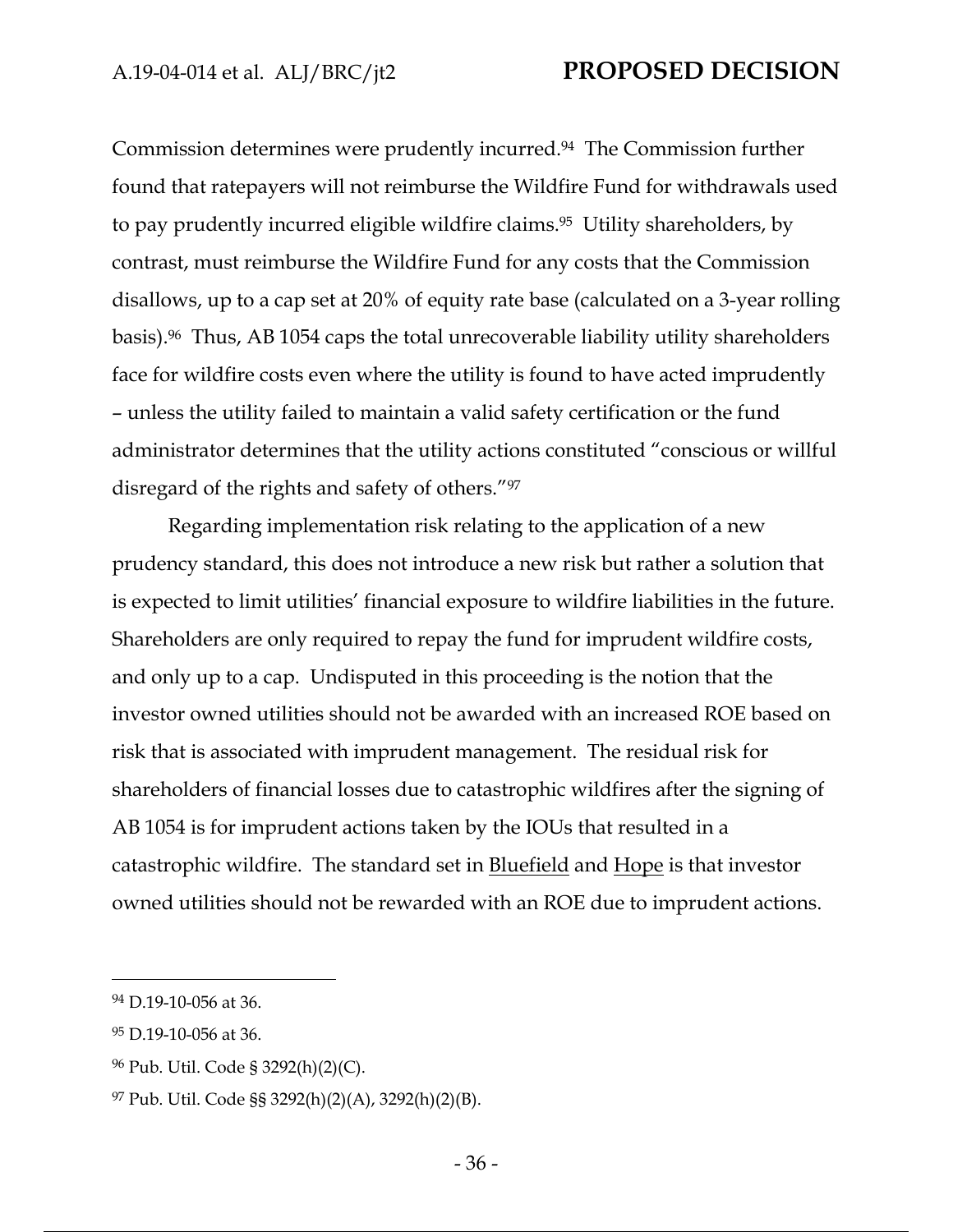Commission determines were prudently incurred.94 The Commission further found that ratepayers will not reimburse the Wildfire Fund for withdrawals used to pay prudently incurred eligible wildfire claims.<sup>95</sup> Utility shareholders, by contrast, must reimburse the Wildfire Fund for any costs that the Commission disallows, up to a cap set at 20% of equity rate base (calculated on a 3-year rolling basis).96 Thus, AB 1054 caps the total unrecoverable liability utility shareholders face for wildfire costs even where the utility is found to have acted imprudently – unless the utility failed to maintain a valid safety certification or the fund administrator determines that the utility actions constituted "conscious or willful disregard of the rights and safety of others."97

Regarding implementation risk relating to the application of a new prudency standard, this does not introduce a new risk but rather a solution that is expected to limit utilities' financial exposure to wildfire liabilities in the future. Shareholders are only required to repay the fund for imprudent wildfire costs, and only up to a cap. Undisputed in this proceeding is the notion that the investor owned utilities should not be awarded with an increased ROE based on risk that is associated with imprudent management. The residual risk for shareholders of financial losses due to catastrophic wildfires after the signing of AB 1054 is for imprudent actions taken by the IOUs that resulted in a catastrophic wildfire. The standard set in Bluefield and Hope is that investor owned utilities should not be rewarded with an ROE due to imprudent actions.

<sup>94</sup> D.19-10-056 at 36.

<sup>95</sup> D.19-10-056 at 36.

<sup>96</sup> Pub. Util. Code § 3292(h)(2)(C).

 $97$  Pub. Util. Code §§ 3292(h)(2)(A), 3292(h)(2)(B).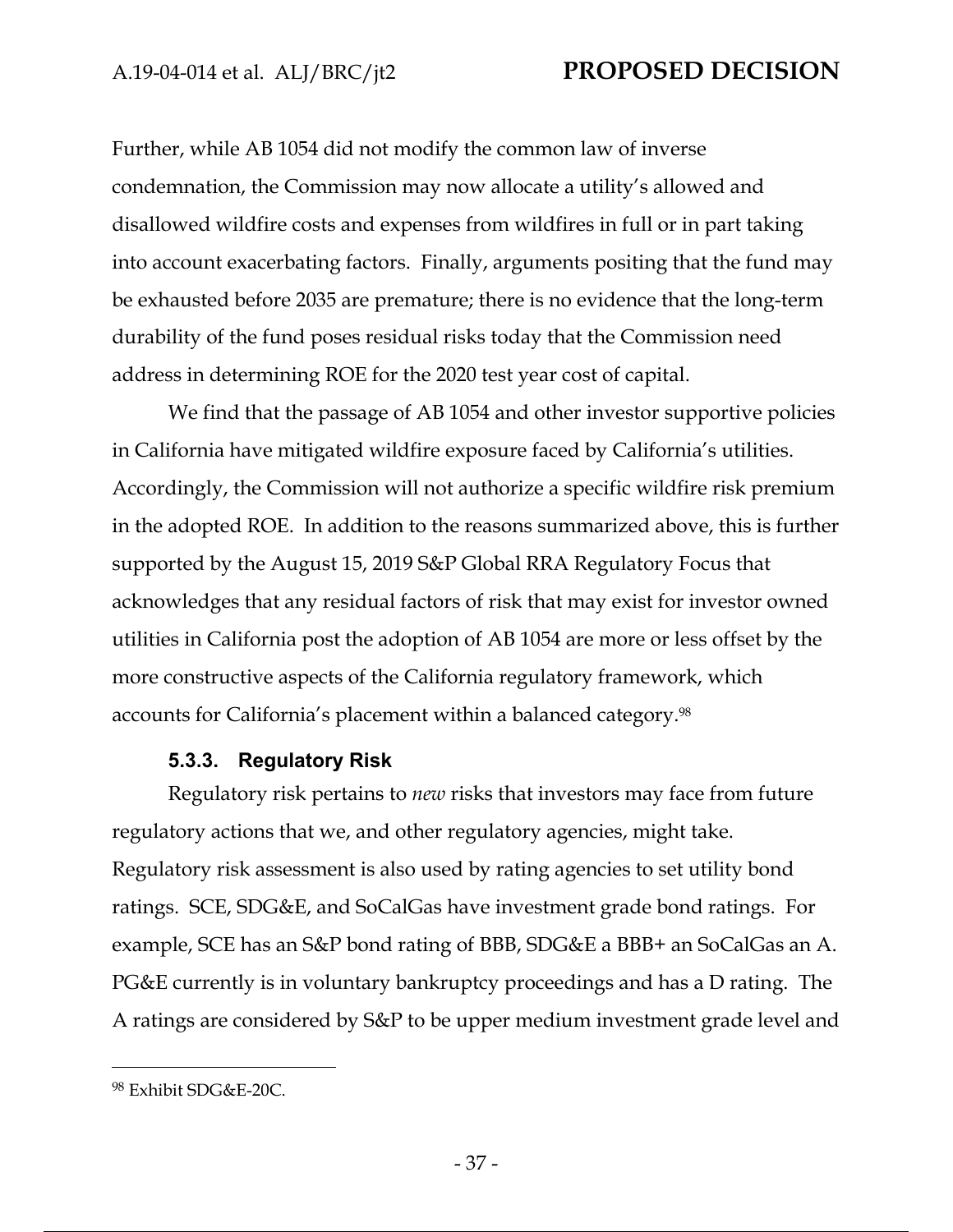Further, while AB 1054 did not modify the common law of inverse condemnation, the Commission may now allocate a utility's allowed and disallowed wildfire costs and expenses from wildfires in full or in part taking into account exacerbating factors. Finally, arguments positing that the fund may be exhausted before 2035 are premature; there is no evidence that the long-term durability of the fund poses residual risks today that the Commission need address in determining ROE for the 2020 test year cost of capital.

We find that the passage of AB 1054 and other investor supportive policies in California have mitigated wildfire exposure faced by California's utilities. Accordingly, the Commission will not authorize a specific wildfire risk premium in the adopted ROE. In addition to the reasons summarized above, this is further supported by the August 15, 2019 S&P Global RRA Regulatory Focus that acknowledges that any residual factors of risk that may exist for investor owned utilities in California post the adoption of AB 1054 are more or less offset by the more constructive aspects of the California regulatory framework, which accounts for California's placement within a balanced category.<sup>98</sup>

### **5.3.3. Regulatory Risk**

Regulatory risk pertains to *new* risks that investors may face from future regulatory actions that we, and other regulatory agencies, might take. Regulatory risk assessment is also used by rating agencies to set utility bond ratings. SCE, SDG&E, and SoCalGas have investment grade bond ratings. For example, SCE has an S&P bond rating of BBB, SDG&E a BBB+ an SoCalGas an A. PG&E currently is in voluntary bankruptcy proceedings and has a D rating. The A ratings are considered by S&P to be upper medium investment grade level and

<sup>98</sup> Exhibit SDG&E-20C.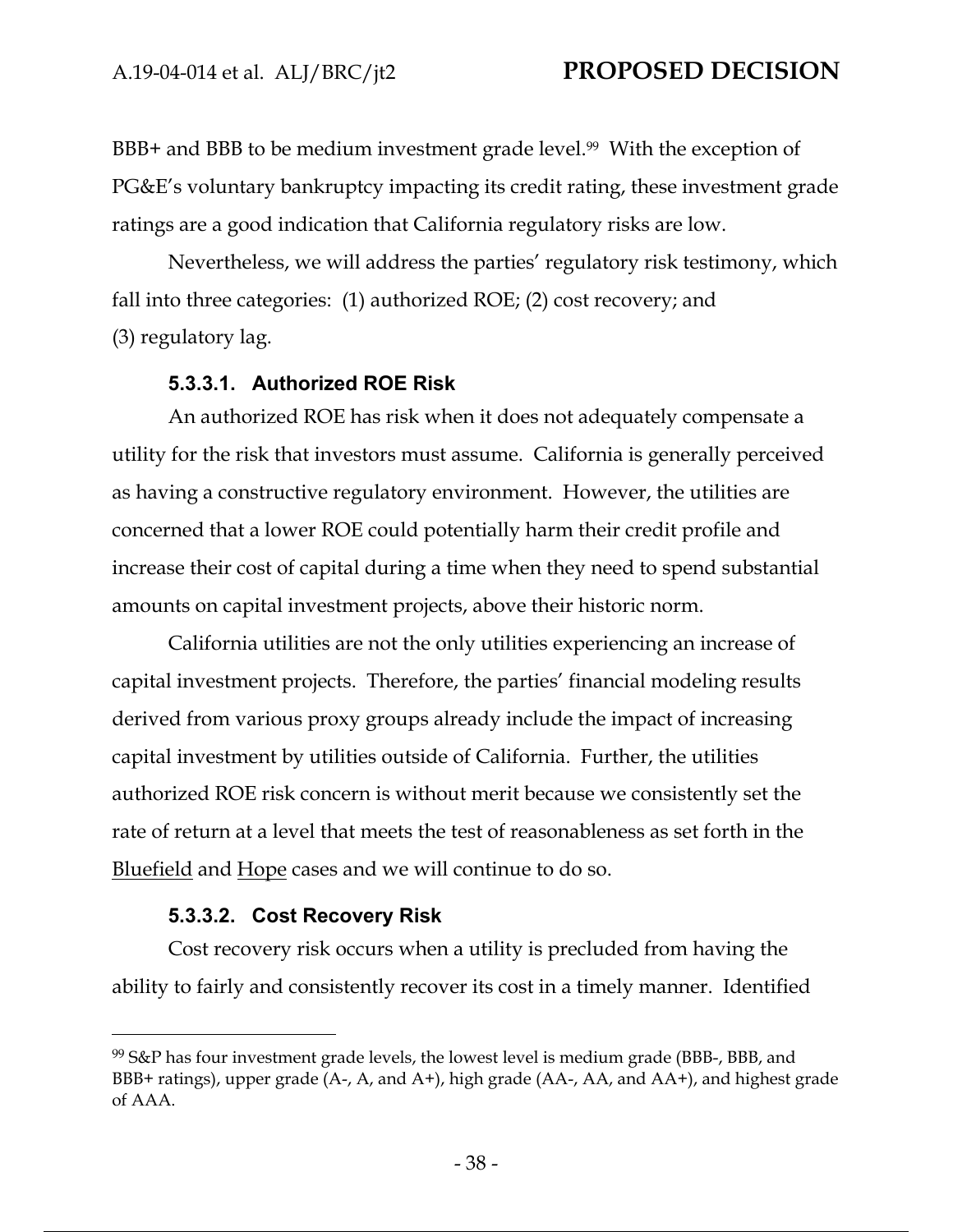BBB+ and BBB to be medium investment grade level.<sup>99</sup> With the exception of PG&E's voluntary bankruptcy impacting its credit rating, these investment grade ratings are a good indication that California regulatory risks are low.

Nevertheless, we will address the parties' regulatory risk testimony, which fall into three categories: (1) authorized ROE; (2) cost recovery; and (3) regulatory lag.

### **5.3.3.1. Authorized ROE Risk**

An authorized ROE has risk when it does not adequately compensate a utility for the risk that investors must assume. California is generally perceived as having a constructive regulatory environment. However, the utilities are concerned that a lower ROE could potentially harm their credit profile and increase their cost of capital during a time when they need to spend substantial amounts on capital investment projects, above their historic norm.

California utilities are not the only utilities experiencing an increase of capital investment projects. Therefore, the parties' financial modeling results derived from various proxy groups already include the impact of increasing capital investment by utilities outside of California. Further, the utilities authorized ROE risk concern is without merit because we consistently set the rate of return at a level that meets the test of reasonableness as set forth in the Bluefield and Hope cases and we will continue to do so.

## **5.3.3.2. Cost Recovery Risk**

Cost recovery risk occurs when a utility is precluded from having the ability to fairly and consistently recover its cost in a timely manner. Identified

<sup>99</sup> S&P has four investment grade levels, the lowest level is medium grade (BBB-, BBB, and BBB+ ratings), upper grade (A-, A, and A+), high grade (AA-, AA, and AA+), and highest grade of AAA.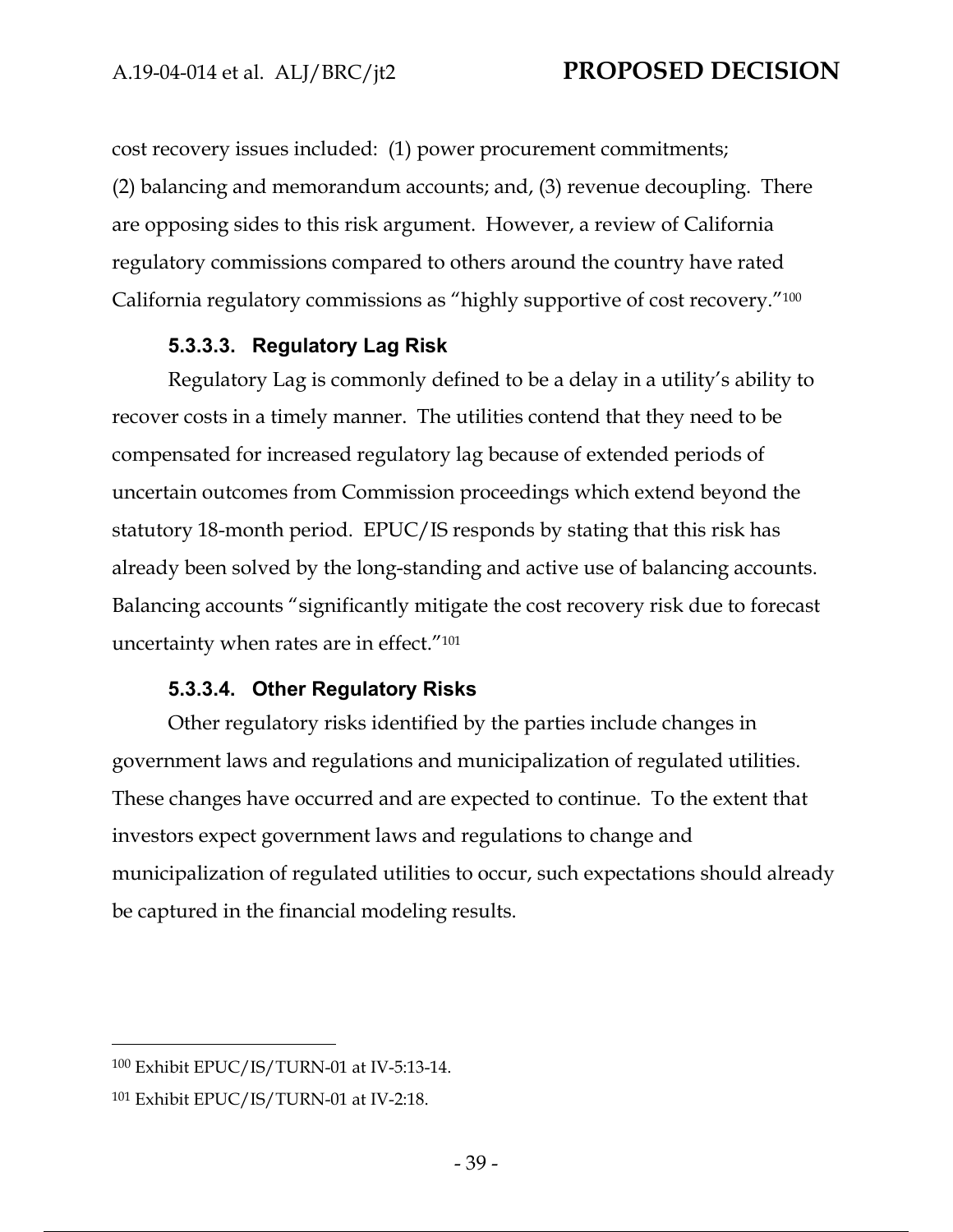cost recovery issues included: (1) power procurement commitments; (2) balancing and memorandum accounts; and, (3) revenue decoupling. There are opposing sides to this risk argument. However, a review of California regulatory commissions compared to others around the country have rated California regulatory commissions as "highly supportive of cost recovery."100

#### **5.3.3.3. Regulatory Lag Risk**

Regulatory Lag is commonly defined to be a delay in a utility's ability to recover costs in a timely manner. The utilities contend that they need to be compensated for increased regulatory lag because of extended periods of uncertain outcomes from Commission proceedings which extend beyond the statutory 18-month period. EPUC/IS responds by stating that this risk has already been solved by the long-standing and active use of balancing accounts. Balancing accounts "significantly mitigate the cost recovery risk due to forecast uncertainty when rates are in effect."101

### **5.3.3.4. Other Regulatory Risks**

Other regulatory risks identified by the parties include changes in government laws and regulations and municipalization of regulated utilities. These changes have occurred and are expected to continue. To the extent that investors expect government laws and regulations to change and municipalization of regulated utilities to occur, such expectations should already be captured in the financial modeling results.

<sup>100</sup> Exhibit EPUC/IS/TURN-01 at IV-5:13-14.

<sup>101</sup> Exhibit EPUC/IS/TURN-01 at IV-2:18.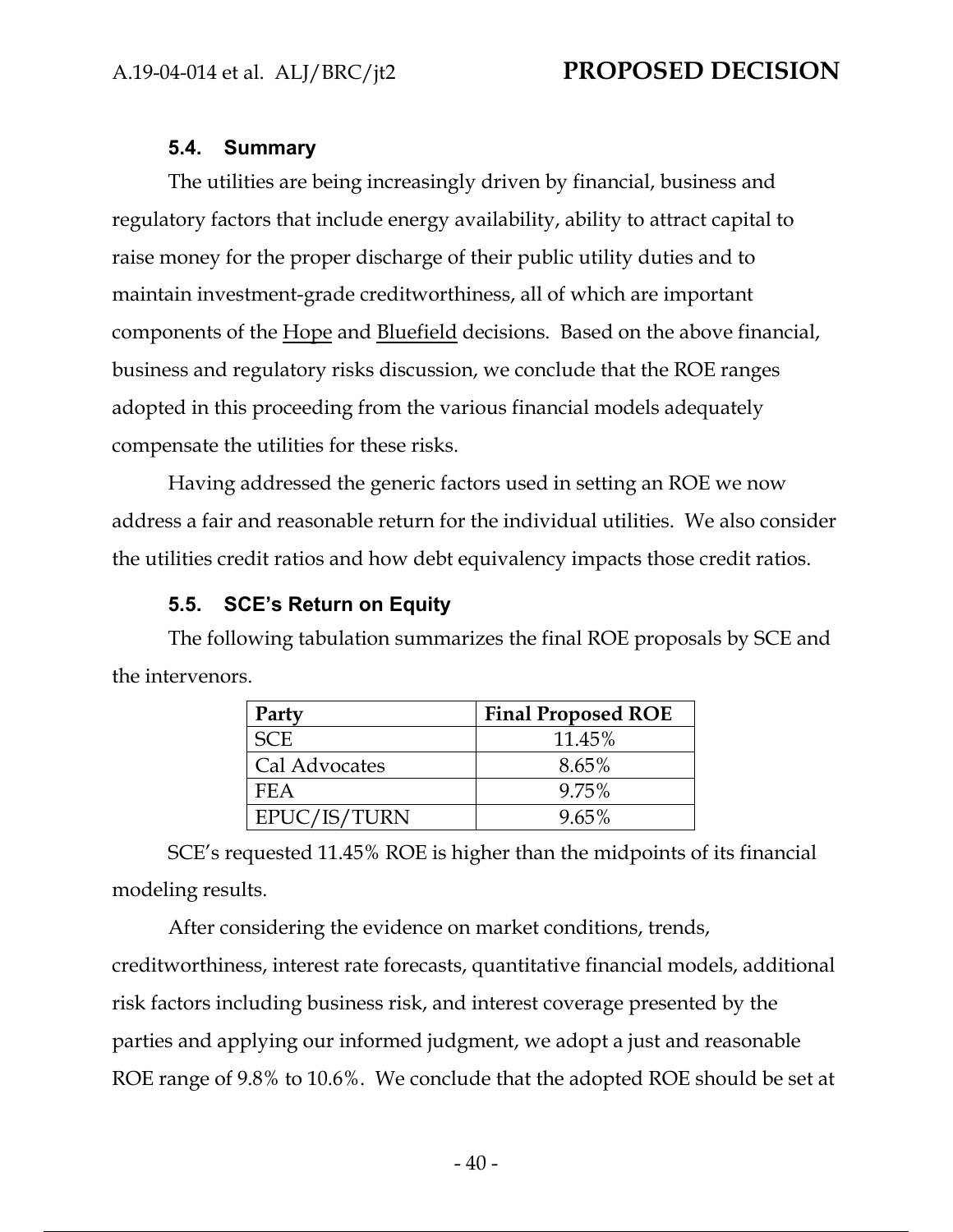### **5.4. Summary**

The utilities are being increasingly driven by financial, business and regulatory factors that include energy availability, ability to attract capital to raise money for the proper discharge of their public utility duties and to maintain investment-grade creditworthiness, all of which are important components of the Hope and Bluefield decisions. Based on the above financial, business and regulatory risks discussion, we conclude that the ROE ranges adopted in this proceeding from the various financial models adequately compensate the utilities for these risks.

Having addressed the generic factors used in setting an ROE we now address a fair and reasonable return for the individual utilities. We also consider the utilities credit ratios and how debt equivalency impacts those credit ratios.

## **5.5. SCE's Return on Equity**

The following tabulation summarizes the final ROE proposals by SCE and the intervenors.

| Party         | <b>Final Proposed ROE</b> |
|---------------|---------------------------|
| SC E.         | 11.45%                    |
| Cal Advocates | 8.65%                     |
| FEA           | 9.75%                     |
| EPUC/IS/TURN  | 9.65%                     |

SCE's requested 11.45% ROE is higher than the midpoints of its financial modeling results.

After considering the evidence on market conditions, trends, creditworthiness, interest rate forecasts, quantitative financial models, additional risk factors including business risk, and interest coverage presented by the parties and applying our informed judgment, we adopt a just and reasonable ROE range of 9.8% to 10.6%. We conclude that the adopted ROE should be set at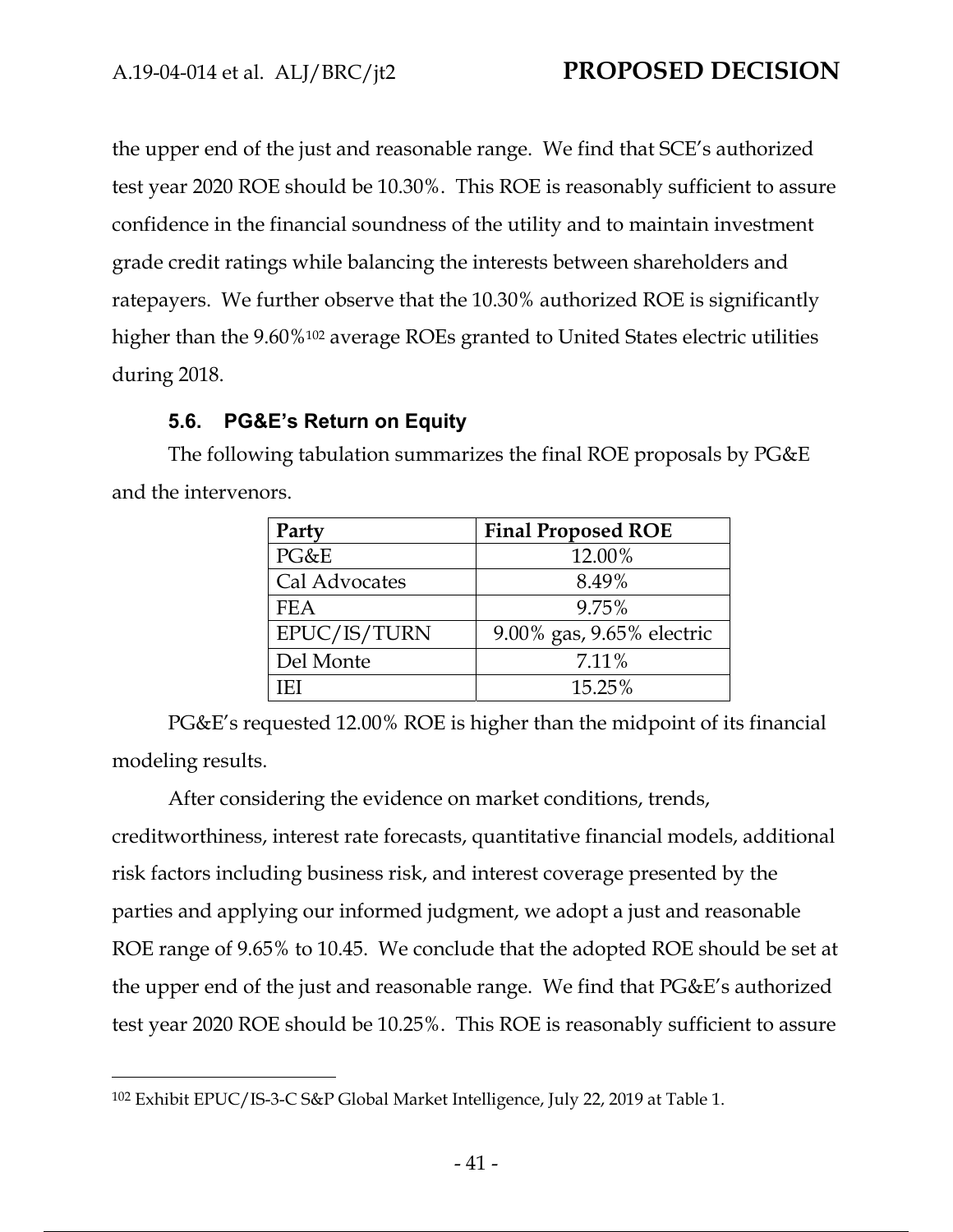the upper end of the just and reasonable range. We find that SCE's authorized test year 2020 ROE should be 10.30%. This ROE is reasonably sufficient to assure confidence in the financial soundness of the utility and to maintain investment grade credit ratings while balancing the interests between shareholders and ratepayers. We further observe that the 10.30% authorized ROE is significantly higher than the 9.60%<sup>102</sup> average ROEs granted to United States electric utilities during 2018.

## **5.6. PG&E's Return on Equity**

The following tabulation summarizes the final ROE proposals by PG&E and the intervenors.

| Party         | <b>Final Proposed ROE</b> |
|---------------|---------------------------|
| PG&E          | 12.00%                    |
| Cal Advocates | 8.49%                     |
| <b>FEA</b>    | 9.75%                     |
| EPUC/IS/TURN  | 9.00% gas, 9.65% electric |
| Del Monte     | 7.11%                     |
| 'F)           | 15.25%                    |

PG&E's requested 12.00% ROE is higher than the midpoint of its financial modeling results.

After considering the evidence on market conditions, trends, creditworthiness, interest rate forecasts, quantitative financial models, additional risk factors including business risk, and interest coverage presented by the parties and applying our informed judgment, we adopt a just and reasonable ROE range of 9.65% to 10.45. We conclude that the adopted ROE should be set at the upper end of the just and reasonable range. We find that PG&E's authorized test year 2020 ROE should be 10.25%. This ROE is reasonably sufficient to assure

<sup>102</sup> Exhibit EPUC/IS-3-C S&P Global Market Intelligence, July 22, 2019 at Table 1.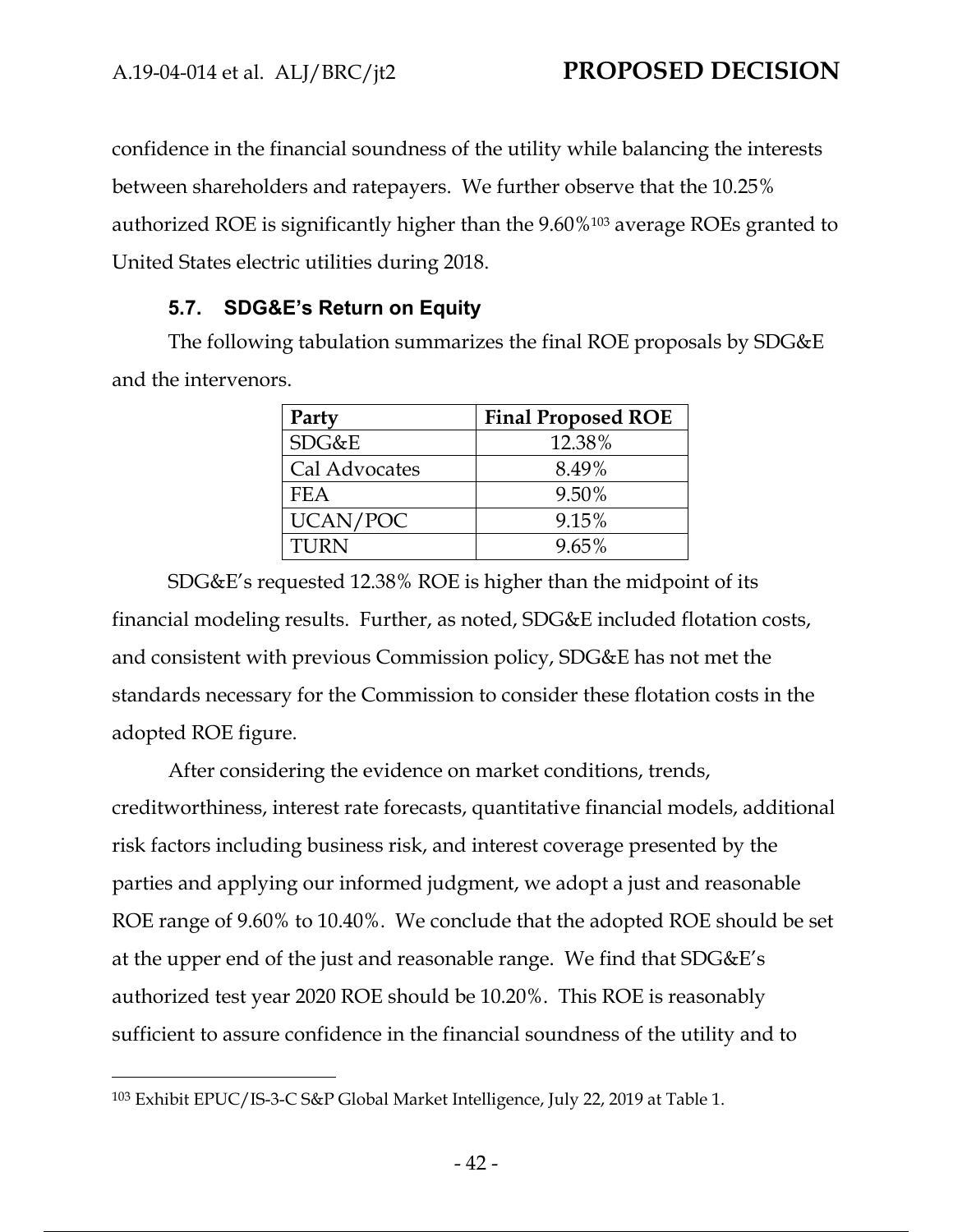confidence in the financial soundness of the utility while balancing the interests between shareholders and ratepayers. We further observe that the 10.25% authorized ROE is significantly higher than the 9.60%103 average ROEs granted to United States electric utilities during 2018.

## **5.7. SDG&E's Return on Equity**

The following tabulation summarizes the final ROE proposals by SDG&E and the intervenors.

| Party         | <b>Final Proposed ROE</b> |
|---------------|---------------------------|
| SDG&E         | 12.38%                    |
| Cal Advocates | 8.49%                     |
| <b>FEA</b>    | 9.50%                     |
| UCAN/POC      | 9.15%                     |
| TURN          | $9.65\%$                  |

SDG&E's requested 12.38% ROE is higher than the midpoint of its financial modeling results. Further, as noted, SDG&E included flotation costs, and consistent with previous Commission policy, SDG&E has not met the standards necessary for the Commission to consider these flotation costs in the adopted ROE figure.

After considering the evidence on market conditions, trends, creditworthiness, interest rate forecasts, quantitative financial models, additional risk factors including business risk, and interest coverage presented by the parties and applying our informed judgment, we adopt a just and reasonable ROE range of 9.60% to 10.40%.We conclude that the adopted ROE should be set at the upper end of the just and reasonable range. We find that SDG&E's authorized test year 2020 ROE should be 10.20%. This ROE is reasonably sufficient to assure confidence in the financial soundness of the utility and to

<sup>103</sup> Exhibit EPUC/IS-3-C S&P Global Market Intelligence, July 22, 2019 at Table 1.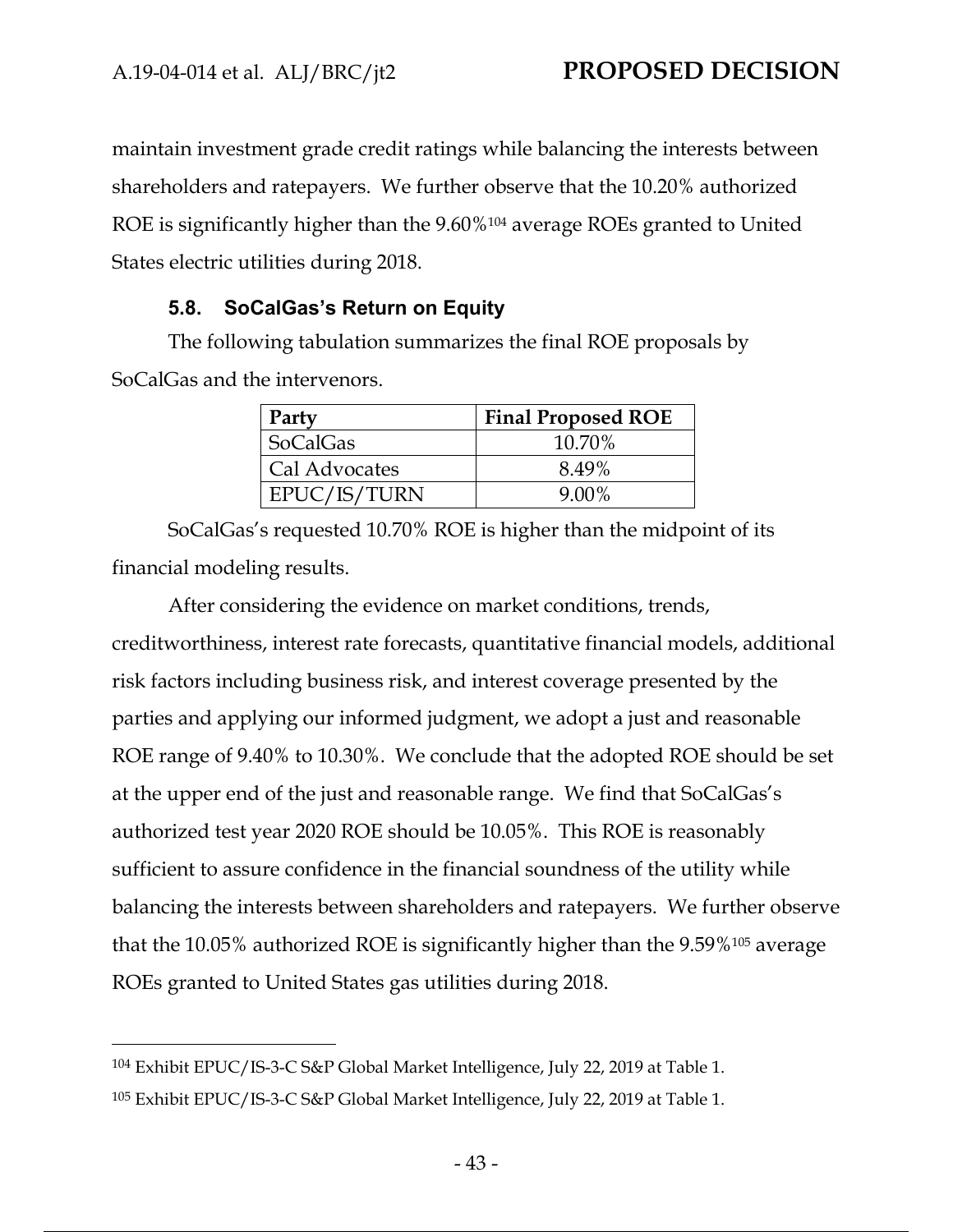maintain investment grade credit ratings while balancing the interests between shareholders and ratepayers. We further observe that the 10.20% authorized ROE is significantly higher than the 9.60%<sup>104</sup> average ROEs granted to United States electric utilities during 2018.

## **5.8. SoCalGas's Return on Equity**

The following tabulation summarizes the final ROE proposals by SoCalGas and the intervenors.

| Party           | <b>Final Proposed ROE</b> |
|-----------------|---------------------------|
| <b>SoCalGas</b> | 10.70%                    |
| Cal Advocates   | 8.49%                     |
| EPUC/IS/TURN    | $9.00\%$                  |

SoCalGas's requested 10.70% ROE is higher than the midpoint of its financial modeling results.

After considering the evidence on market conditions, trends, creditworthiness, interest rate forecasts, quantitative financial models, additional risk factors including business risk, and interest coverage presented by the parties and applying our informed judgment, we adopt a just and reasonable ROE range of 9.40% to 10.30%. We conclude that the adopted ROE should be set at the upper end of the just and reasonable range. We find that SoCalGas's authorized test year 2020 ROE should be 10.05%. This ROE is reasonably sufficient to assure confidence in the financial soundness of the utility while balancing the interests between shareholders and ratepayers. We further observe that the 10.05% authorized ROE is significantly higher than the 9.59%105 average ROEs granted to United States gas utilities during 2018.

<sup>104</sup> Exhibit EPUC/IS-3-C S&P Global Market Intelligence, July 22, 2019 at Table 1. 105 Exhibit EPUC/IS-3-C S&P Global Market Intelligence, July 22, 2019 at Table 1.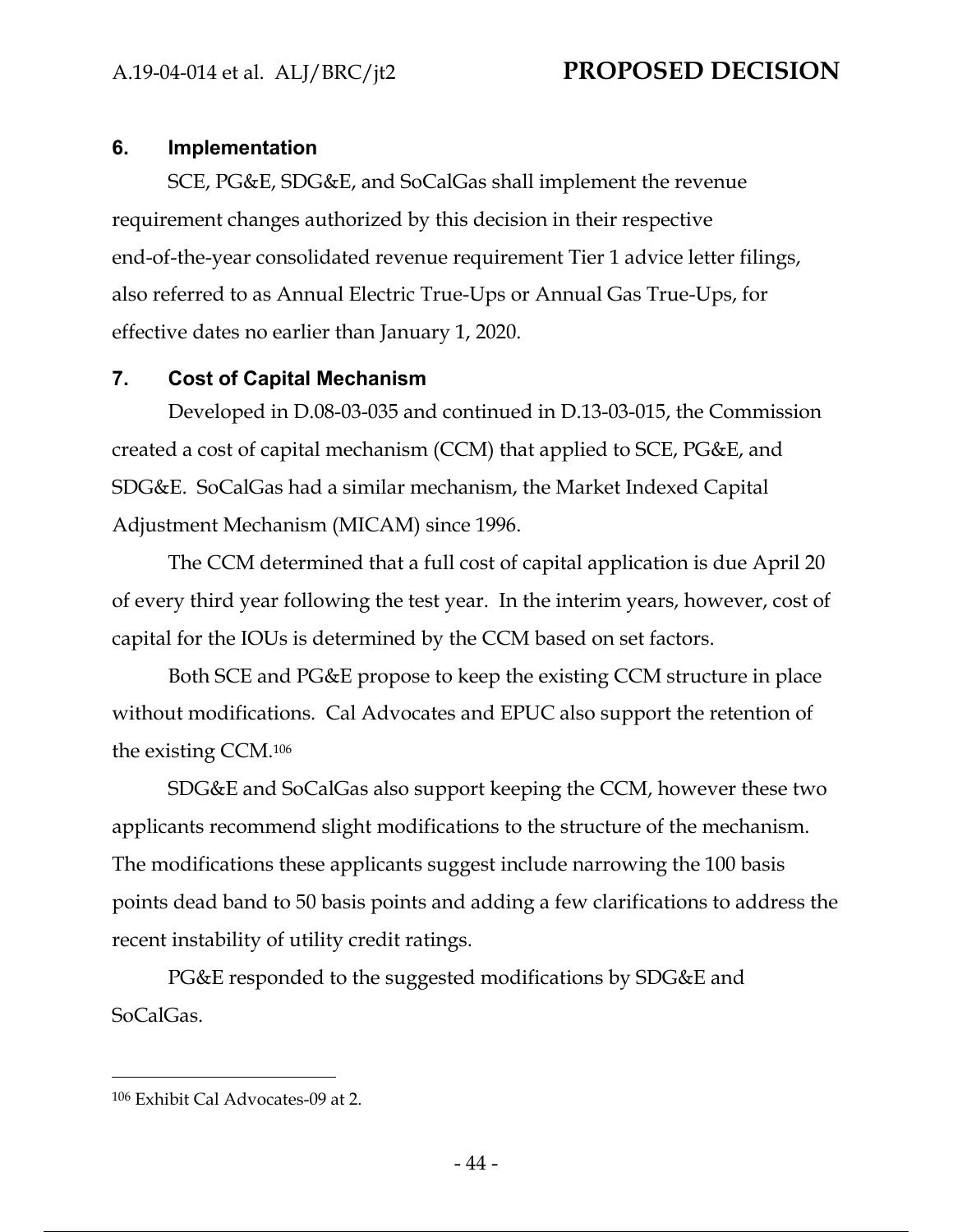## **6. Implementation**

SCE, PG&E, SDG&E, and SoCalGas shall implement the revenue requirement changes authorized by this decision in their respective end-of-the-year consolidated revenue requirement Tier 1 advice letter filings, also referred to as Annual Electric True-Ups or Annual Gas True-Ups, for effective dates no earlier than January 1, 2020.

## **7. Cost of Capital Mechanism**

Developed in D.08-03-035 and continued in D.13-03-015, the Commission created a cost of capital mechanism (CCM) that applied to SCE, PG&E, and SDG&E. SoCalGas had a similar mechanism, the Market Indexed Capital Adjustment Mechanism (MICAM) since 1996.

The CCM determined that a full cost of capital application is due April 20 of every third year following the test year. In the interim years, however, cost of capital for the IOUs is determined by the CCM based on set factors.

Both SCE and PG&E propose to keep the existing CCM structure in place without modifications. Cal Advocates and EPUC also support the retention of the existing CCM.106

SDG&E and SoCalGas also support keeping the CCM, however these two applicants recommend slight modifications to the structure of the mechanism. The modifications these applicants suggest include narrowing the 100 basis points dead band to 50 basis points and adding a few clarifications to address the recent instability of utility credit ratings.

PG&E responded to the suggested modifications by SDG&E and SoCalGas.

<sup>106</sup> Exhibit Cal Advocates-09 at 2.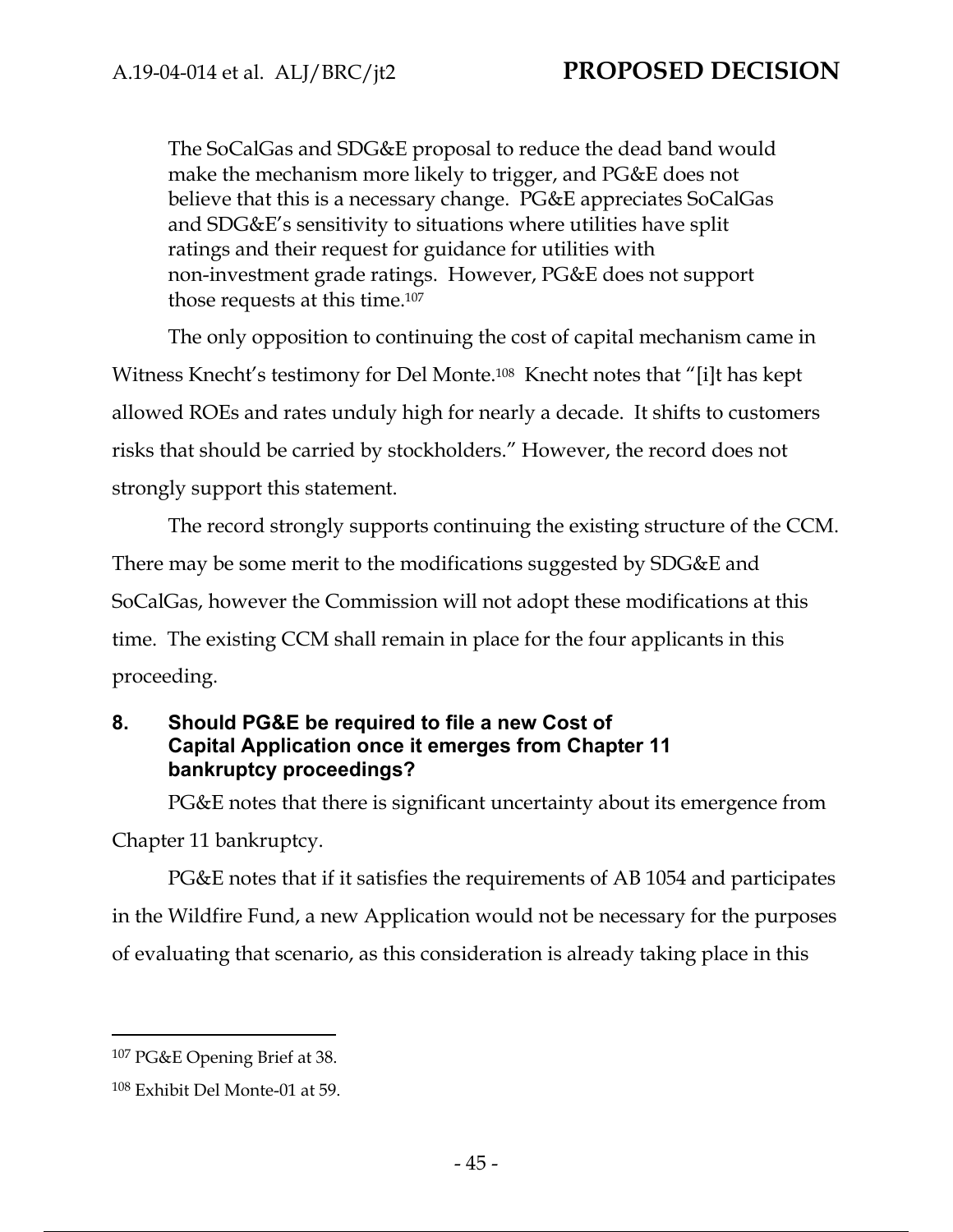The SoCalGas and SDG&E proposal to reduce the dead band would make the mechanism more likely to trigger, and PG&E does not believe that this is a necessary change. PG&E appreciates SoCalGas and SDG&E's sensitivity to situations where utilities have split ratings and their request for guidance for utilities with non-investment grade ratings. However, PG&E does not support those requests at this time.107

The only opposition to continuing the cost of capital mechanism came in Witness Knecht's testimony for Del Monte.108 Knecht notes that "[i]t has kept allowed ROEs and rates unduly high for nearly a decade. It shifts to customers risks that should be carried by stockholders." However, the record does not strongly support this statement.

The record strongly supports continuing the existing structure of the CCM. There may be some merit to the modifications suggested by SDG&E and SoCalGas, however the Commission will not adopt these modifications at this time. The existing CCM shall remain in place for the four applicants in this proceeding.

### **8. Should PG&E be required to file a new Cost of Capital Application once it emerges from Chapter 11 bankruptcy proceedings?**

PG&E notes that there is significant uncertainty about its emergence from Chapter 11 bankruptcy.

PG&E notes that if it satisfies the requirements of AB 1054 and participates in the Wildfire Fund, a new Application would not be necessary for the purposes of evaluating that scenario, as this consideration is already taking place in this

<sup>107</sup> PG&E Opening Brief at 38.

<sup>108</sup> Exhibit Del Monte-01 at 59.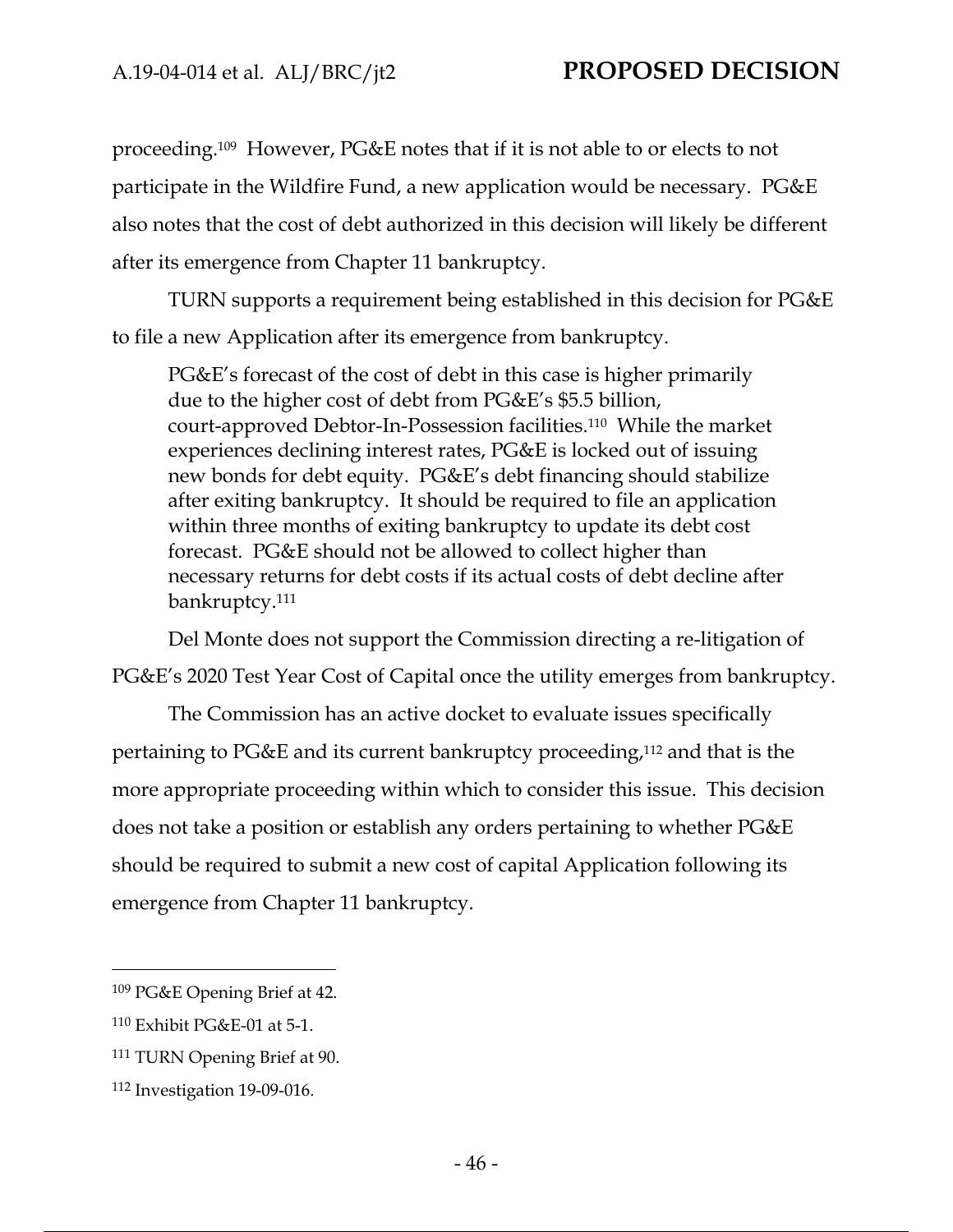proceeding.109 However, PG&E notes that if it is not able to or elects to not participate in the Wildfire Fund, a new application would be necessary. PG&E also notes that the cost of debt authorized in this decision will likely be different after its emergence from Chapter 11 bankruptcy.

TURN supports a requirement being established in this decision for PG&E to file a new Application after its emergence from bankruptcy.

PG&E's forecast of the cost of debt in this case is higher primarily due to the higher cost of debt from PG&E's \$5.5 billion, court-approved Debtor-In-Possession facilities.110 While the market experiences declining interest rates, PG&E is locked out of issuing new bonds for debt equity. PG&E's debt financing should stabilize after exiting bankruptcy. It should be required to file an application within three months of exiting bankruptcy to update its debt cost forecast. PG&E should not be allowed to collect higher than necessary returns for debt costs if its actual costs of debt decline after bankruptcy.111

Del Monte does not support the Commission directing a re-litigation of PG&E's 2020 Test Year Cost of Capital once the utility emerges from bankruptcy.

The Commission has an active docket to evaluate issues specifically pertaining to PG&E and its current bankruptcy proceeding,112 and that is the more appropriate proceeding within which to consider this issue. This decision does not take a position or establish any orders pertaining to whether PG&E should be required to submit a new cost of capital Application following its emergence from Chapter 11 bankruptcy.

<sup>109</sup> PG&E Opening Brief at 42.

<sup>110</sup> Exhibit PG&E-01 at 5-1.

<sup>111</sup> TURN Opening Brief at 90.

<sup>112</sup> Investigation 19-09-016.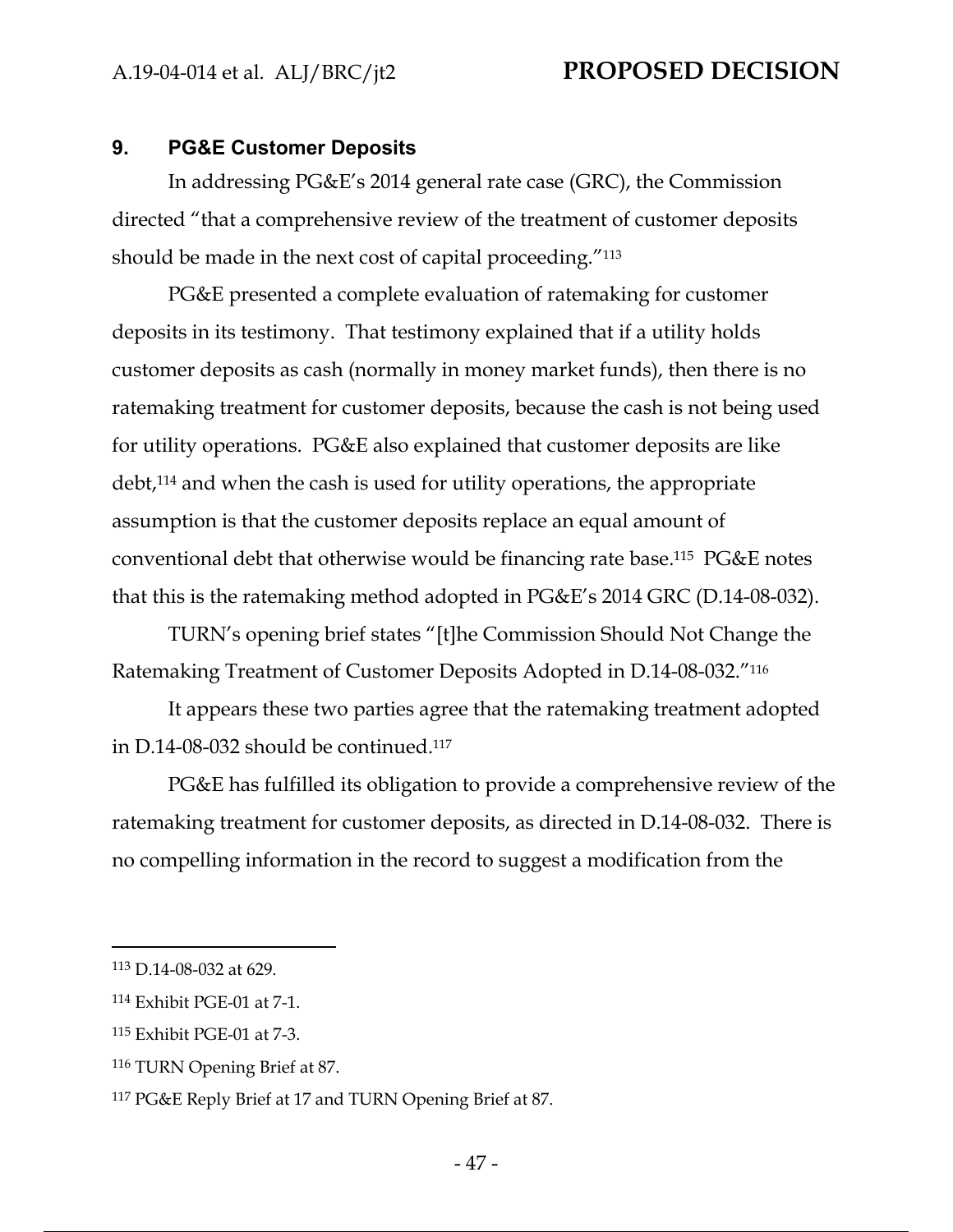### **9. PG&E Customer Deposits**

In addressing PG&E's 2014 general rate case (GRC), the Commission directed "that a comprehensive review of the treatment of customer deposits should be made in the next cost of capital proceeding."113

PG&E presented a complete evaluation of ratemaking for customer deposits in its testimony. That testimony explained that if a utility holds customer deposits as cash (normally in money market funds), then there is no ratemaking treatment for customer deposits, because the cash is not being used for utility operations. PG&E also explained that customer deposits are like debt,114 and when the cash is used for utility operations, the appropriate assumption is that the customer deposits replace an equal amount of conventional debt that otherwise would be financing rate base.115 PG&E notes that this is the ratemaking method adopted in PG&E's 2014 GRC (D.14-08-032).

TURN's opening brief states "[t]he Commission Should Not Change the Ratemaking Treatment of Customer Deposits Adopted in D.14-08-032."116

It appears these two parties agree that the ratemaking treatment adopted in D.14-08-032 should be continued.117

PG&E has fulfilled its obligation to provide a comprehensive review of the ratemaking treatment for customer deposits, as directed in D.14-08-032. There is no compelling information in the record to suggest a modification from the

<sup>113</sup> D.14-08-032 at 629.

<sup>114</sup> Exhibit PGE-01 at 7-1.

<sup>115</sup> Exhibit PGE-01 at 7-3.

<sup>116</sup> TURN Opening Brief at 87.

<sup>117</sup> PG&E Reply Brief at 17 and TURN Opening Brief at 87.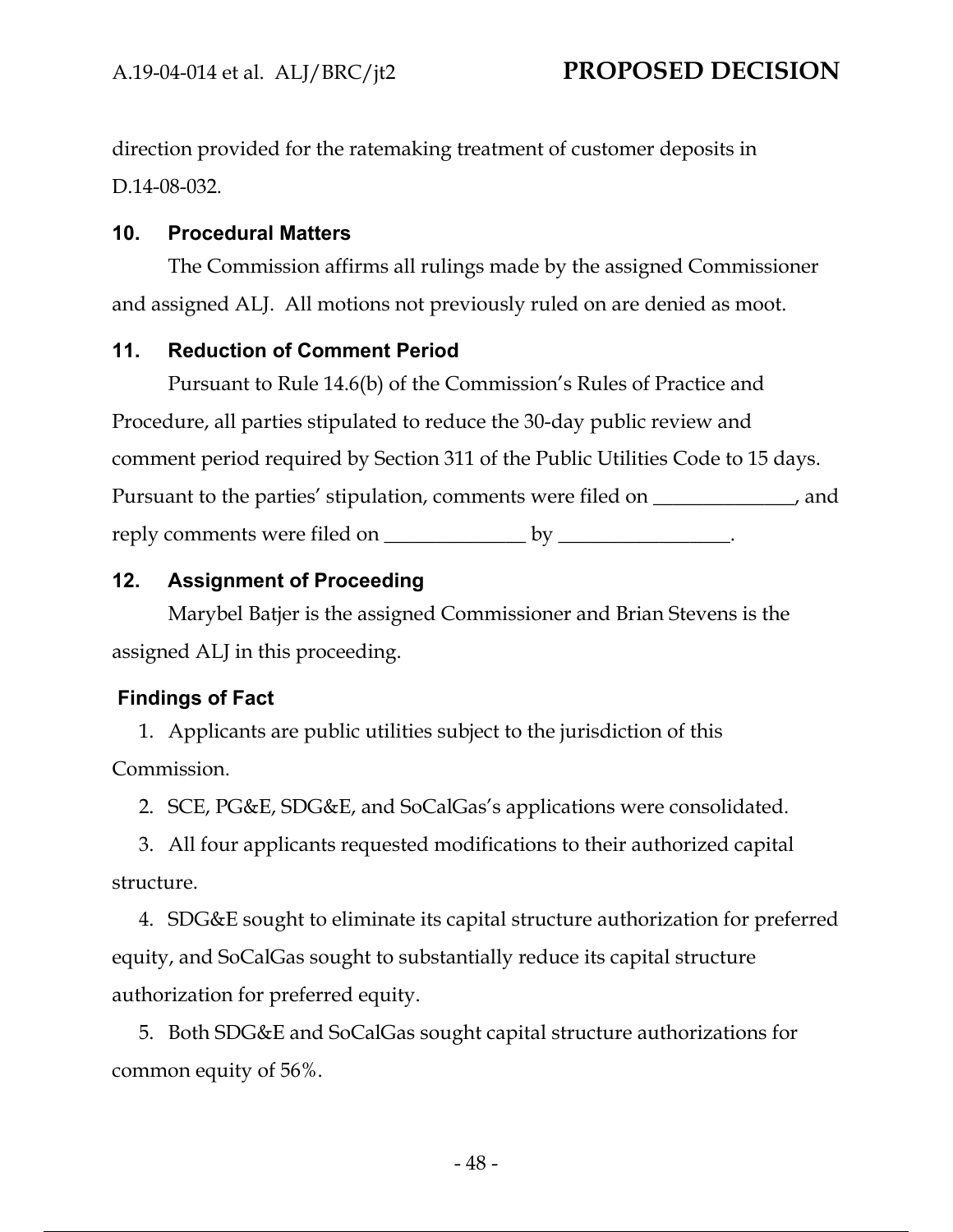direction provided for the ratemaking treatment of customer deposits in D.14-08-032.

## **10. Procedural Matters**

The Commission affirms all rulings made by the assigned Commissioner and assigned ALJ. All motions not previously ruled on are denied as moot.

## **11. Reduction of Comment Period**

Pursuant to Rule 14.6(b) of the Commission's Rules of Practice and Procedure, all parties stipulated to reduce the 30-day public review and comment period required by Section 311 of the Public Utilities Code to 15 days. Pursuant to the parties' stipulation, comments were filed on \_\_\_\_\_\_\_\_\_\_\_, and reply comments were filed on \_\_\_\_\_\_\_\_\_\_\_\_\_\_\_\_\_ by \_\_\_\_\_\_\_\_\_\_\_\_\_\_\_\_.

## **12. Assignment of Proceeding**

Marybel Batjer is the assigned Commissioner and Brian Stevens is the assigned ALJ in this proceeding.

## **Findings of Fact**

1. Applicants are public utilities subject to the jurisdiction of this Commission.

2. SCE, PG&E, SDG&E, and SoCalGas's applications were consolidated.

3. All four applicants requested modifications to their authorized capital structure.

4. SDG&E sought to eliminate its capital structure authorization for preferred equity, and SoCalGas sought to substantially reduce its capital structure authorization for preferred equity.

5. Both SDG&E and SoCalGas sought capital structure authorizations for common equity of 56%.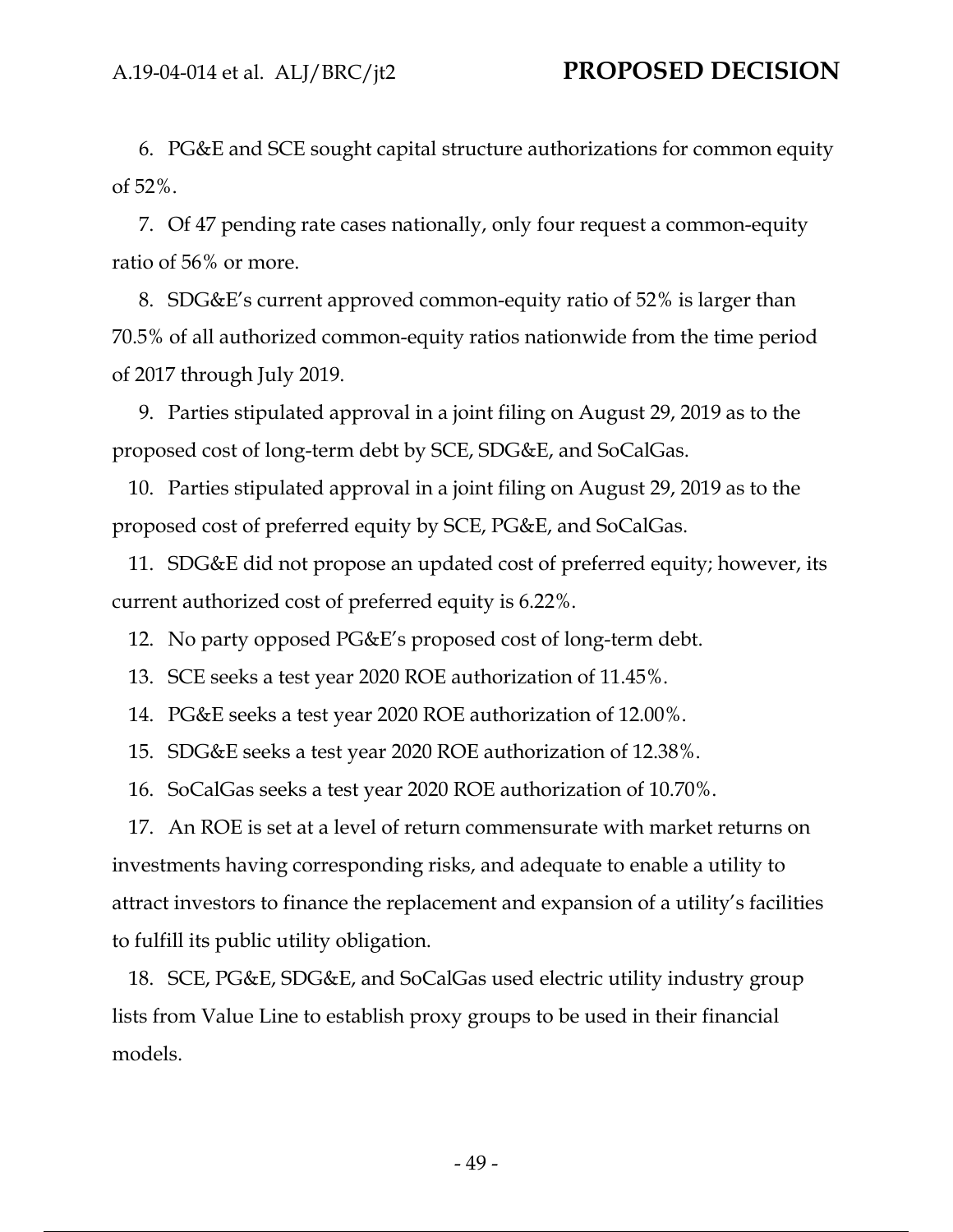6. PG&E and SCE sought capital structure authorizations for common equity of 52%.

7. Of 47 pending rate cases nationally, only four request a common-equity ratio of 56% or more.

8. SDG&E's current approved common-equity ratio of 52% is larger than 70.5% of all authorized common-equity ratios nationwide from the time period of 2017 through July 2019.

9. Parties stipulated approval in a joint filing on August 29, 2019 as to the proposed cost of long-term debt by SCE, SDG&E, and SoCalGas.

10. Parties stipulated approval in a joint filing on August 29, 2019 as to the proposed cost of preferred equity by SCE, PG&E, and SoCalGas.

11. SDG&E did not propose an updated cost of preferred equity; however, its current authorized cost of preferred equity is 6.22%.

12. No party opposed PG&E's proposed cost of long-term debt.

13. SCE seeks a test year 2020 ROE authorization of 11.45%.

14. PG&E seeks a test year 2020 ROE authorization of 12.00%.

15. SDG&E seeks a test year 2020 ROE authorization of 12.38%.

16. SoCalGas seeks a test year 2020 ROE authorization of 10.70%.

17. An ROE is set at a level of return commensurate with market returns on investments having corresponding risks, and adequate to enable a utility to attract investors to finance the replacement and expansion of a utility's facilities to fulfill its public utility obligation.

18. SCE, PG&E, SDG&E, and SoCalGas used electric utility industry group lists from Value Line to establish proxy groups to be used in their financial models.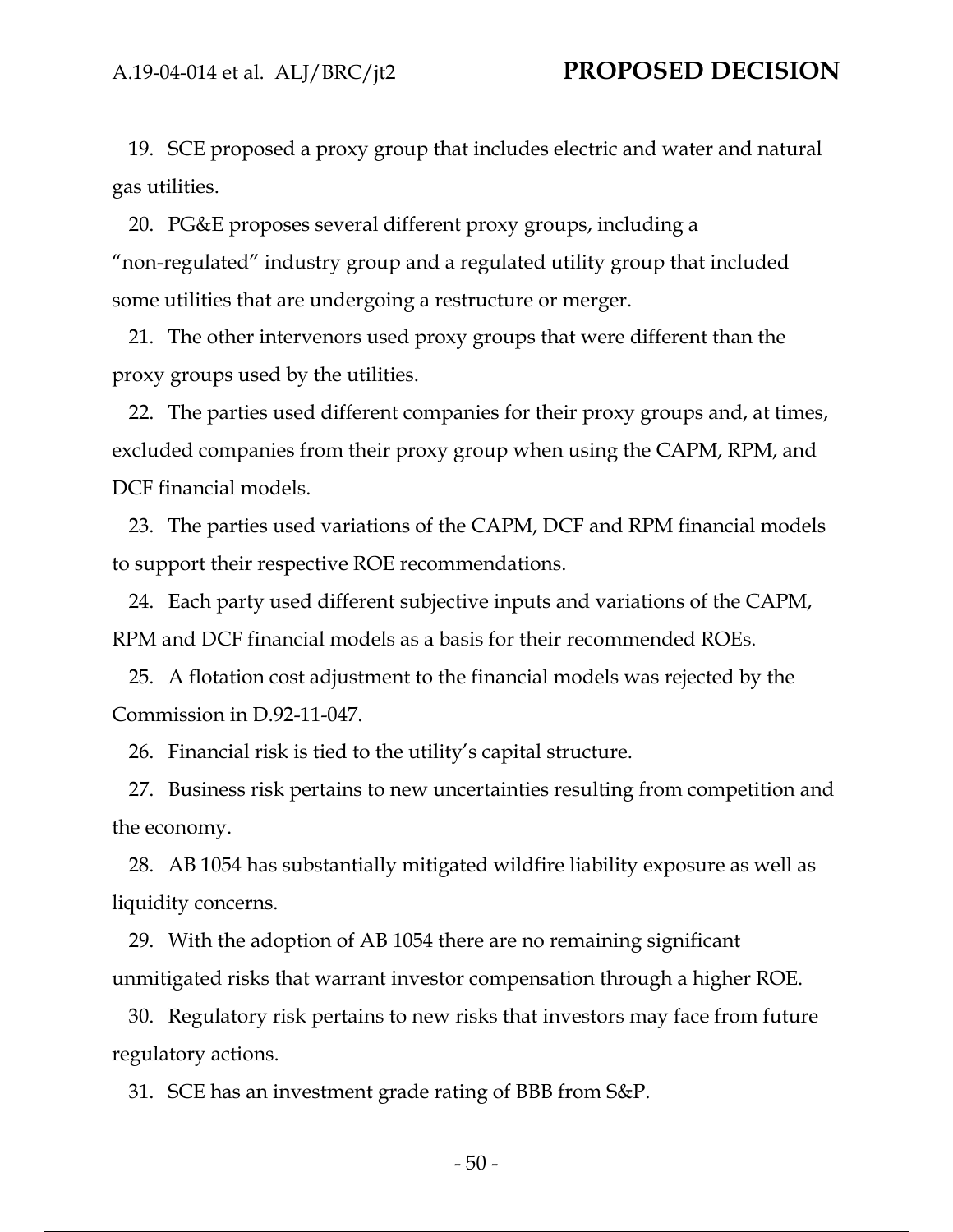19. SCE proposed a proxy group that includes electric and water and natural gas utilities.

20. PG&E proposes several different proxy groups, including a "non-regulated" industry group and a regulated utility group that included some utilities that are undergoing a restructure or merger.

21. The other intervenors used proxy groups that were different than the proxy groups used by the utilities.

22. The parties used different companies for their proxy groups and, at times, excluded companies from their proxy group when using the CAPM, RPM, and DCF financial models.

23. The parties used variations of the CAPM, DCF and RPM financial models to support their respective ROE recommendations.

24. Each party used different subjective inputs and variations of the CAPM, RPM and DCF financial models as a basis for their recommended ROEs.

25. A flotation cost adjustment to the financial models was rejected by the Commission in D.92-11-047.

26. Financial risk is tied to the utility's capital structure.

27. Business risk pertains to new uncertainties resulting from competition and the economy.

28. AB 1054 has substantially mitigated wildfire liability exposure as well as liquidity concerns.

29. With the adoption of AB 1054 there are no remaining significant unmitigated risks that warrant investor compensation through a higher ROE.

30. Regulatory risk pertains to new risks that investors may face from future regulatory actions.

31. SCE has an investment grade rating of BBB from S&P.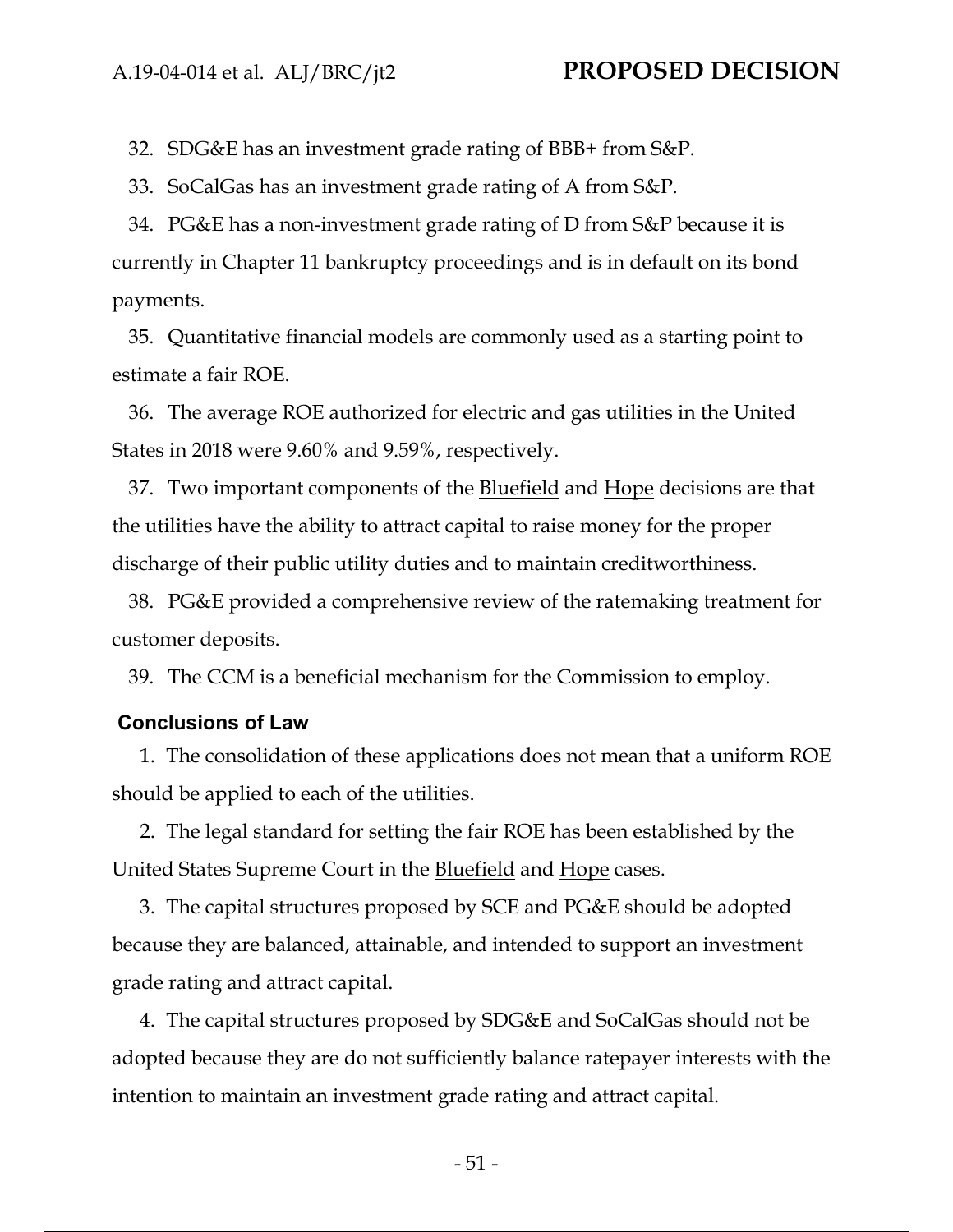32. SDG&E has an investment grade rating of BBB+ from S&P.

33. SoCalGas has an investment grade rating of A from S&P.

34. PG&E has a non-investment grade rating of D from S&P because it is currently in Chapter 11 bankruptcy proceedings and is in default on its bond payments.

35. Quantitative financial models are commonly used as a starting point to estimate a fair ROE.

36. The average ROE authorized for electric and gas utilities in the United States in 2018 were 9.60% and 9.59%, respectively.

37. Two important components of the **Bluefield** and **Hope** decisions are that the utilities have the ability to attract capital to raise money for the proper discharge of their public utility duties and to maintain creditworthiness.

38. PG&E provided a comprehensive review of the ratemaking treatment for customer deposits.

39. The CCM is a beneficial mechanism for the Commission to employ.

#### **Conclusions of Law**

1. The consolidation of these applications does not mean that a uniform ROE should be applied to each of the utilities.

2. The legal standard for setting the fair ROE has been established by the United States Supreme Court in the <u>Bluefield</u> and <u>Hope</u> cases.

3. The capital structures proposed by SCE and PG&E should be adopted because they are balanced, attainable, and intended to support an investment grade rating and attract capital.

4. The capital structures proposed by SDG&E and SoCalGas should not be adopted because they are do not sufficiently balance ratepayer interests with the intention to maintain an investment grade rating and attract capital.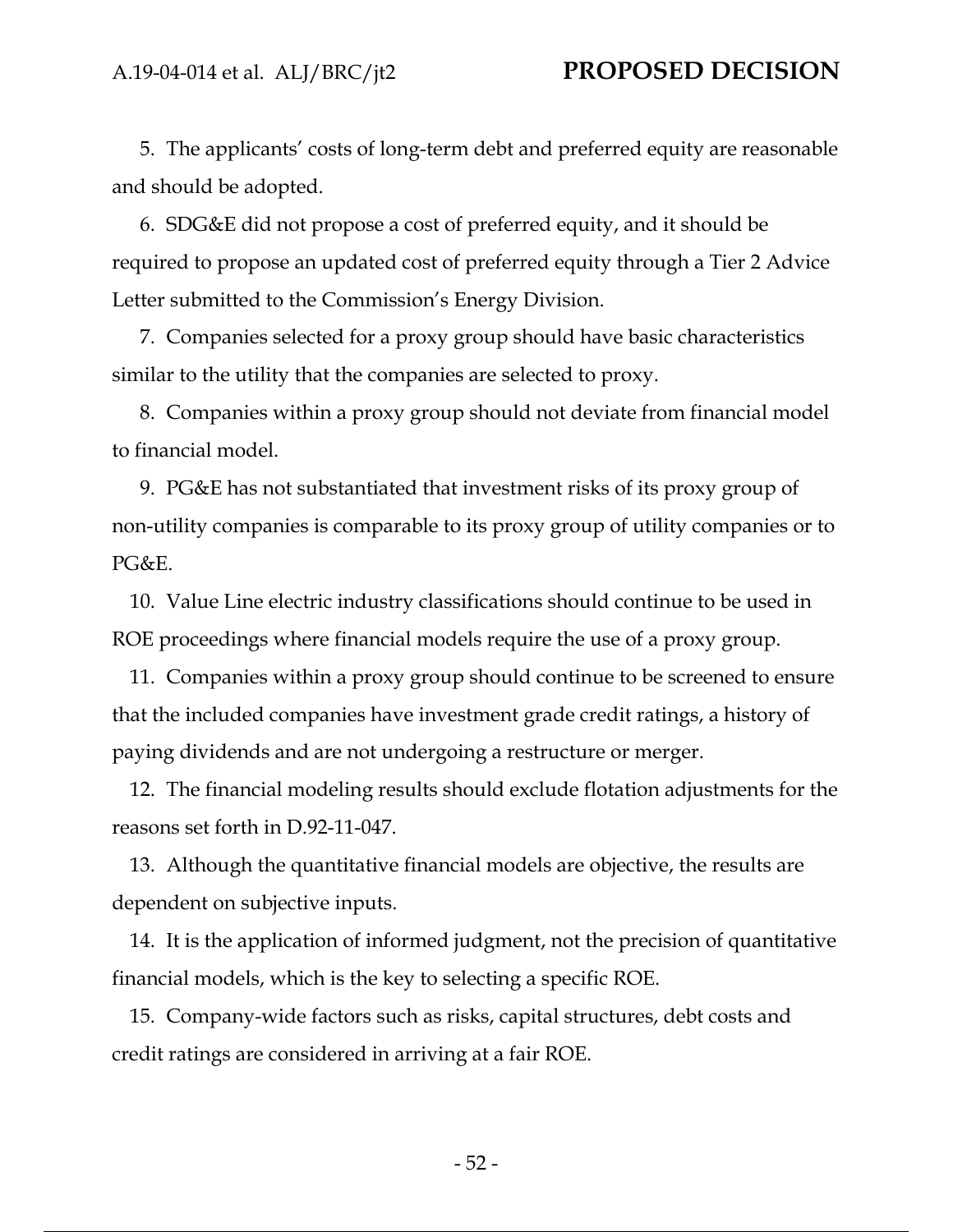5. The applicants' costs of long-term debt and preferred equity are reasonable and should be adopted.

6. SDG&E did not propose a cost of preferred equity, and it should be required to propose an updated cost of preferred equity through a Tier 2 Advice Letter submitted to the Commission's Energy Division.

7. Companies selected for a proxy group should have basic characteristics similar to the utility that the companies are selected to proxy.

8. Companies within a proxy group should not deviate from financial model to financial model.

9. PG&E has not substantiated that investment risks of its proxy group of non-utility companies is comparable to its proxy group of utility companies or to PG&E.

10. Value Line electric industry classifications should continue to be used in ROE proceedings where financial models require the use of a proxy group.

11. Companies within a proxy group should continue to be screened to ensure that the included companies have investment grade credit ratings, a history of paying dividends and are not undergoing a restructure or merger.

12. The financial modeling results should exclude flotation adjustments for the reasons set forth in D.92-11-047.

13. Although the quantitative financial models are objective, the results are dependent on subjective inputs.

14. It is the application of informed judgment, not the precision of quantitative financial models, which is the key to selecting a specific ROE.

15. Company-wide factors such as risks, capital structures, debt costs and credit ratings are considered in arriving at a fair ROE.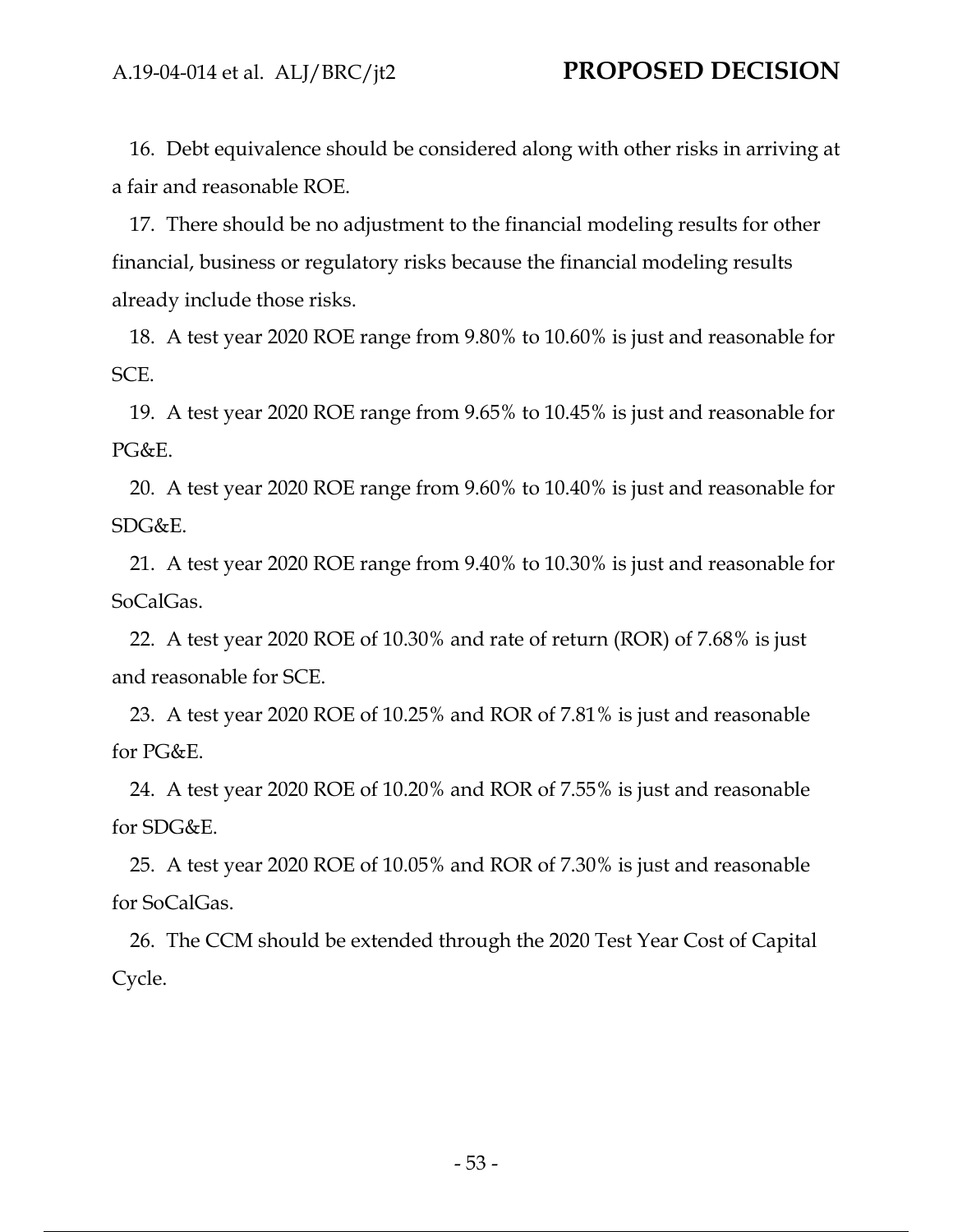16. Debt equivalence should be considered along with other risks in arriving at a fair and reasonable ROE.

17. There should be no adjustment to the financial modeling results for other financial, business or regulatory risks because the financial modeling results already include those risks.

18. A test year 2020 ROE range from 9.80% to 10.60% is just and reasonable for SCE.

19. A test year 2020 ROE range from 9.65% to 10.45% is just and reasonable for PG&E.

20. A test year 2020 ROE range from 9.60% to 10.40% is just and reasonable for SDG&E.

21. A test year 2020 ROE range from 9.40% to 10.30% is just and reasonable for SoCalGas.

22. A test year 2020 ROE of 10.30% and rate of return (ROR) of 7.68% is just and reasonable for SCE.

23. A test year 2020 ROE of 10.25% and ROR of 7.81% is just and reasonable for PG&E.

24. A test year 2020 ROE of 10.20% and ROR of 7.55% is just and reasonable for SDG&E.

25. A test year 2020 ROE of 10.05% and ROR of 7.30% is just and reasonable for SoCalGas.

26. The CCM should be extended through the 2020 Test Year Cost of Capital Cycle.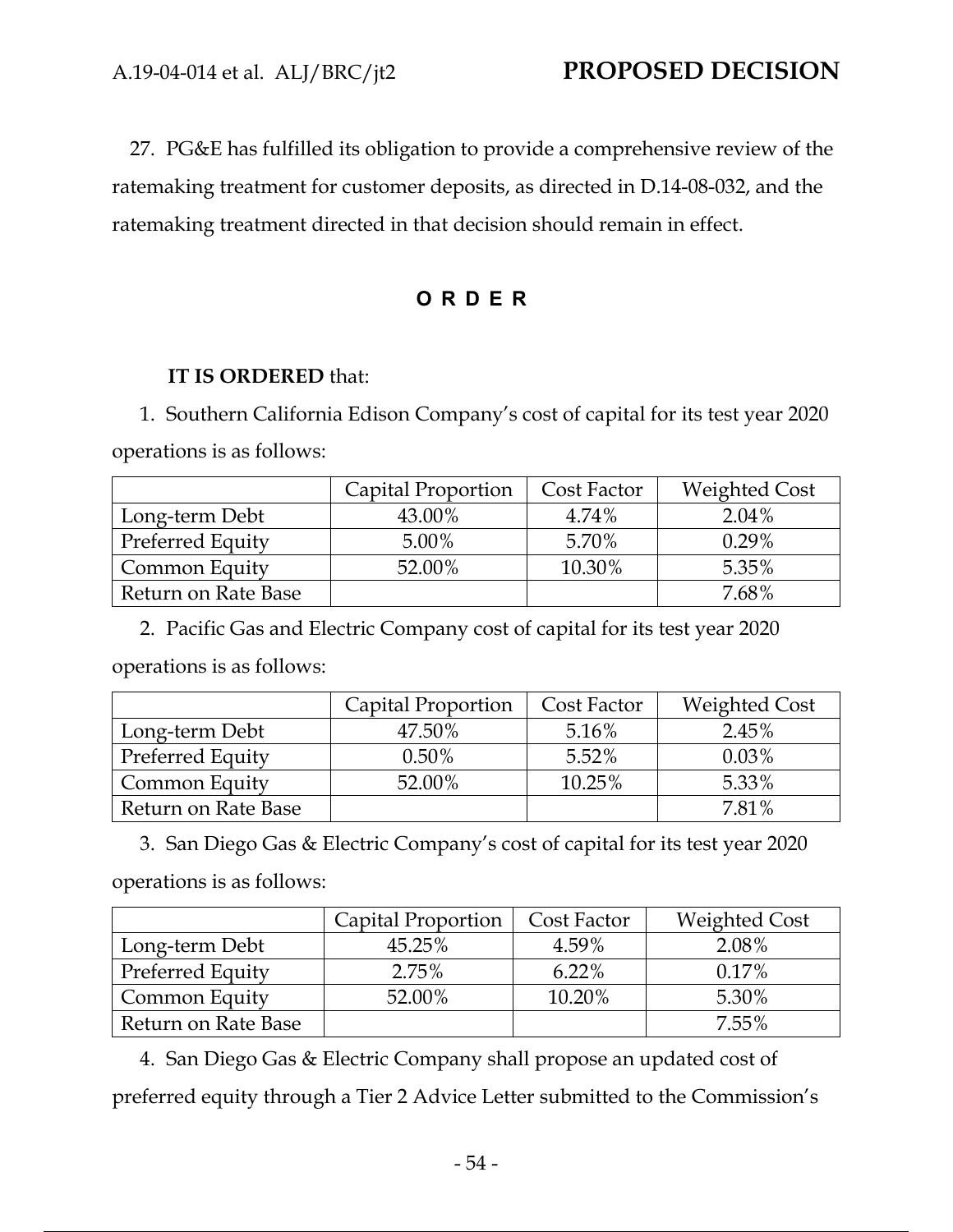27. PG&E has fulfilled its obligation to provide a comprehensive review of the ratemaking treatment for customer deposits, as directed in D.14-08-032, and the ratemaking treatment directed in that decision should remain in effect.

## **ORDER**

## **IT IS ORDERED** that:

1. Southern California Edison Company's cost of capital for its test year 2020 operations is as follows:

|                     | Capital Proportion | Cost Factor | <b>Weighted Cost</b> |
|---------------------|--------------------|-------------|----------------------|
| Long-term Debt      | 43.00%             | 4.74%       | $2.04\%$             |
| Preferred Equity    | $5.00\%$           | 5.70%       | $0.29\%$             |
| Common Equity       | 52.00%             | 10.30%      | 5.35%                |
| Return on Rate Base |                    |             | $7.68\%$             |

2. Pacific Gas and Electric Company cost of capital for its test year 2020

operations is as follows:

|                     | Capital Proportion | Cost Factor | <b>Weighted Cost</b> |
|---------------------|--------------------|-------------|----------------------|
| Long-term Debt      | 47.50%             | 5.16%       | 2.45%                |
| Preferred Equity    | $0.50\%$           | 5.52%       | $0.03\%$             |
| Common Equity       | 52.00%             | 10.25%      | 5.33%                |
| Return on Rate Base |                    |             | 7.81%                |

3. San Diego Gas & Electric Company's cost of capital for its test year 2020

operations is as follows:

|                     | Capital Proportion | Cost Factor | <b>Weighted Cost</b> |
|---------------------|--------------------|-------------|----------------------|
| Long-term Debt      | 45.25%             | 4.59%       | 2.08%                |
| Preferred Equity    | 2.75%              | 6.22%       | 0.17%                |
| Common Equity       | 52.00%             | 10.20%      | 5.30%                |
| Return on Rate Base |                    |             | $7.55\%$             |

4. San Diego Gas & Electric Company shall propose an updated cost of preferred equity through a Tier 2 Advice Letter submitted to the Commission's